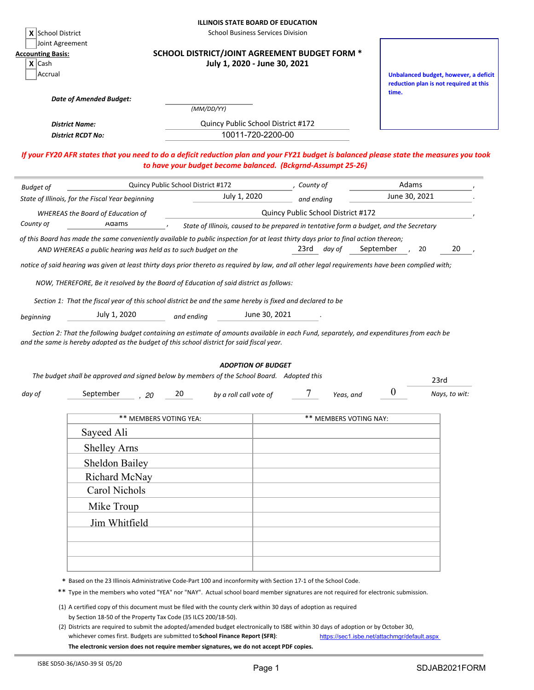| X School District                                                  |                                                                                                                                                                                                                                                                                       | <b>ILLINOIS STATE BOARD OF EDUCATION</b>                                               | <b>School Business Services Division</b> |                                    |                        |                                              |                                        |
|--------------------------------------------------------------------|---------------------------------------------------------------------------------------------------------------------------------------------------------------------------------------------------------------------------------------------------------------------------------------|----------------------------------------------------------------------------------------|------------------------------------------|------------------------------------|------------------------|----------------------------------------------|----------------------------------------|
| Joint Agreement<br><b>Accounting Basis:</b><br>$X$ Cash<br>Accrual |                                                                                                                                                                                                                                                                                       | SCHOOL DISTRICT/JOINT AGREEMENT BUDGET FORM *<br>July 1, 2020 - June 30, 2021          |                                          |                                    |                        |                                              | Unbalanced budget, however, a deficit  |
|                                                                    | <b>Date of Amended Budget:</b>                                                                                                                                                                                                                                                        |                                                                                        |                                          |                                    |                        | time.                                        | reduction plan is not required at this |
|                                                                    |                                                                                                                                                                                                                                                                                       | (MM/DD/YY)                                                                             |                                          |                                    |                        |                                              |                                        |
|                                                                    | <b>District Name:</b>                                                                                                                                                                                                                                                                 | Quincy Public School District #172                                                     |                                          |                                    |                        |                                              |                                        |
|                                                                    | <b>District RCDT No:</b>                                                                                                                                                                                                                                                              |                                                                                        | 10011-720-2200-00                        |                                    |                        |                                              |                                        |
|                                                                    | If your FY20 AFR states that you need to do a deficit reduction plan and your FY21 budget is balanced please state the measures you took                                                                                                                                              | to have your budget become balanced. (Bckgrnd-Assumpt 25-26)                           |                                          |                                    |                        |                                              |                                        |
| <b>Budget of</b>                                                   |                                                                                                                                                                                                                                                                                       | Quincy Public School District #172                                                     |                                          | , County of                        |                        | Adams                                        |                                        |
|                                                                    | State of Illinois, for the Fiscal Year beginning                                                                                                                                                                                                                                      | July 1, 2020                                                                           |                                          | and ending                         |                        | June 30, 2021                                |                                        |
|                                                                    | <b>WHEREAS the Board of Education of</b>                                                                                                                                                                                                                                              |                                                                                        |                                          | Quincy Public School District #172 |                        |                                              |                                        |
| County of                                                          | Adams                                                                                                                                                                                                                                                                                 | State of Illinois, caused to be prepared in tentative form a budget, and the Secretary |                                          |                                    |                        |                                              |                                        |
|                                                                    | of this Board has made the same conveniently available to public inspection for at least thirty days prior to final action thereon;                                                                                                                                                   |                                                                                        |                                          | 23rd<br>day of                     | September              | 20                                           | 20                                     |
|                                                                    | AND WHEREAS a public hearing was held as to such budget on the                                                                                                                                                                                                                        |                                                                                        |                                          |                                    |                        |                                              |                                        |
|                                                                    | notice of said hearing was given at least thirty days prior thereto as required by law, and all other legal requirements have been complied with;                                                                                                                                     |                                                                                        |                                          |                                    |                        |                                              |                                        |
|                                                                    | NOW, THEREFORE, Be it resolved by the Board of Education of said district as follows:                                                                                                                                                                                                 |                                                                                        |                                          |                                    |                        |                                              |                                        |
|                                                                    | Section 1: That the fiscal year of this school district be and the same hereby is fixed and declared to be                                                                                                                                                                            |                                                                                        |                                          |                                    |                        |                                              |                                        |
| beginning                                                          | July 1, 2020                                                                                                                                                                                                                                                                          | and ending                                                                             | June 30, 2021                            |                                    |                        |                                              |                                        |
|                                                                    | Section 2: That the following budget containing an estimate of amounts available in each Fund, separately, and expenditures from each be<br>and the same is hereby adopted as the budget of this school district for said fiscal year.                                                |                                                                                        |                                          |                                    |                        |                                              |                                        |
|                                                                    |                                                                                                                                                                                                                                                                                       |                                                                                        |                                          |                                    |                        |                                              |                                        |
|                                                                    | The budget shall be approved and signed below by members of the School Board. Adopted this                                                                                                                                                                                            |                                                                                        | <b>ADOPTION OF BUDGET</b>                |                                    |                        |                                              |                                        |
| day of                                                             | September<br>20                                                                                                                                                                                                                                                                       | 20<br>by a roll call vote of                                                           |                                          |                                    | Yeas, and              |                                              | 23rd<br>Nays, to wit:                  |
|                                                                    | ** MEMBERS VOTING YEA:                                                                                                                                                                                                                                                                |                                                                                        |                                          |                                    | ** MEMBERS VOTING NAY: |                                              |                                        |
|                                                                    | Sayeed Ali                                                                                                                                                                                                                                                                            |                                                                                        |                                          |                                    |                        |                                              |                                        |
|                                                                    | <b>Shelley Arns</b>                                                                                                                                                                                                                                                                   |                                                                                        |                                          |                                    |                        |                                              |                                        |
|                                                                    | <b>Sheldon Bailey</b>                                                                                                                                                                                                                                                                 |                                                                                        |                                          |                                    |                        |                                              |                                        |
|                                                                    | Richard McNay                                                                                                                                                                                                                                                                         |                                                                                        |                                          |                                    |                        |                                              |                                        |
|                                                                    | Carol Nichols                                                                                                                                                                                                                                                                         |                                                                                        |                                          |                                    |                        |                                              |                                        |
|                                                                    | Mike Troup                                                                                                                                                                                                                                                                            |                                                                                        |                                          |                                    |                        |                                              |                                        |
|                                                                    | Jim Whitfield                                                                                                                                                                                                                                                                         |                                                                                        |                                          |                                    |                        |                                              |                                        |
|                                                                    |                                                                                                                                                                                                                                                                                       |                                                                                        |                                          |                                    |                        |                                              |                                        |
|                                                                    |                                                                                                                                                                                                                                                                                       |                                                                                        |                                          |                                    |                        |                                              |                                        |
|                                                                    |                                                                                                                                                                                                                                                                                       |                                                                                        |                                          |                                    |                        |                                              |                                        |
|                                                                    | * Based on the 23 Illinois Administrative Code-Part 100 and inconformity with Section 17-1 of the School Code.<br>** Type in the members who voted "YEA" nor "NAY". Actual school board member signatures are not required for electronic submission.                                 |                                                                                        |                                          |                                    |                        |                                              |                                        |
|                                                                    | (1) A certified copy of this document must be filed with the county clerk within 30 days of adoption as required                                                                                                                                                                      |                                                                                        |                                          |                                    |                        |                                              |                                        |
|                                                                    | by Section 18-50 of the Property Tax Code (35 ILCS 200/18-50).<br>(2) Districts are required to submit the adopted/amended budget electronically to ISBE within 30 days of adoption or by October 30,<br>whichever comes first. Budgets are submitted to School Finance Report (SFR): |                                                                                        |                                          |                                    |                        | https://sec1.isbe.net/attachmgr/default.aspx |                                        |
|                                                                    | The electronic version does not require member signatures, we do not accept PDF copies.                                                                                                                                                                                               |                                                                                        |                                          |                                    |                        |                                              |                                        |
|                                                                    | ISBE SD50-36/JA50-39 SI 05/20                                                                                                                                                                                                                                                         |                                                                                        | Page 1                                   |                                    |                        |                                              | SDJAB2021FORM                          |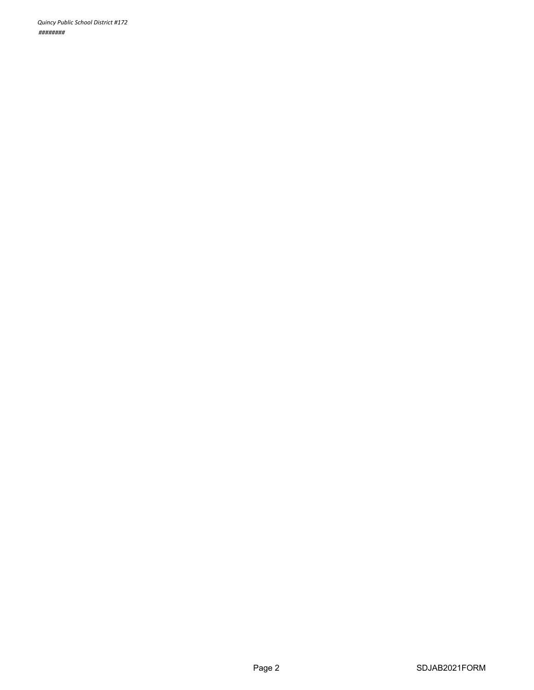*Quincy Public School District #172 ########*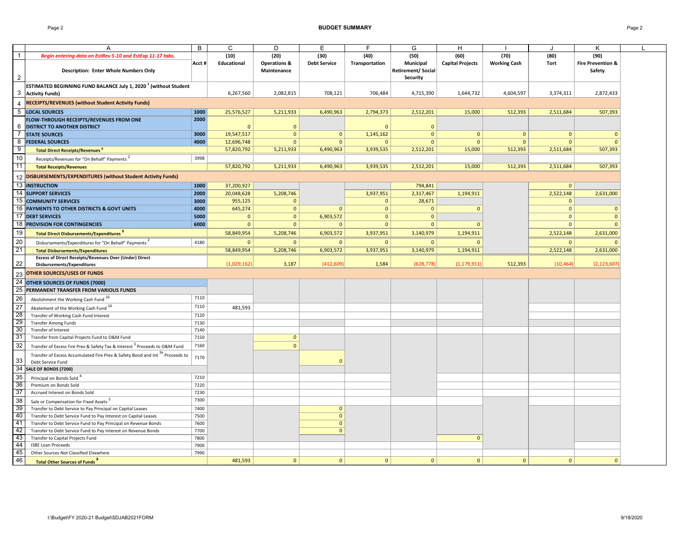Page 2 **BUDGET SUMMARY** Page 2

|                 |                                                                                          | B      | C            | D                       | E                   |                | G                  | н                       |                     | J            | κ                            |  |
|-----------------|------------------------------------------------------------------------------------------|--------|--------------|-------------------------|---------------------|----------------|--------------------|-------------------------|---------------------|--------------|------------------------------|--|
|                 | Α                                                                                        |        |              |                         |                     | (40)           |                    |                         |                     |              |                              |  |
| $\overline{1}$  | Begin entering data on EstRev 5-10 and EstExp 11-17 tabs.                                |        | (10)         | (20)                    | (30)                |                | (50)               | (60)                    | (70)                | (80)         | (90)                         |  |
|                 |                                                                                          | Acct # | Educational  | <b>Operations &amp;</b> | <b>Debt Service</b> | Transportation | Municipal          | <b>Capital Projects</b> | <b>Working Cash</b> | <b>Tort</b>  | <b>Fire Prevention &amp;</b> |  |
|                 | Description: Enter Whole Numbers Only                                                    |        |              | Maintenance             |                     |                | Retirement/ Social |                         |                     |              | Safety                       |  |
| $\overline{2}$  |                                                                                          |        |              |                         |                     |                | Security           |                         |                     |              |                              |  |
|                 | ESTIMATED BEGINNING FUND BALANCE July 1, 2020 <sup>1</sup> (without Student              |        |              |                         |                     |                |                    |                         |                     |              |                              |  |
|                 | 3 Activity Funds)                                                                        |        | 6,267,560    | 2,082,815               | 708,121             | 706,484        | 4,715,390          | 1,644,732               | 4,604,597           | 3,374,311    | 2,872,433                    |  |
|                 | 4 RECEIPTS/REVENUES (without Student Activity Funds)                                     |        |              |                         |                     |                |                    |                         |                     |              |                              |  |
|                 |                                                                                          |        |              |                         |                     |                |                    |                         |                     |              |                              |  |
| 5               | <b>LOCAL SOURCES</b>                                                                     | 1000   | 25,576,527   | 5,211,933               | 6,490,963           | 2,794,373      | 2,512,201          | 15,000                  | 512,393             | 2,511,684    | 507,393                      |  |
|                 | FLOW-THROUGH RECEIPTS/REVENUES FROM ONE                                                  | 2000   |              |                         |                     |                |                    |                         |                     |              |                              |  |
| 6               | DISTRICT TO ANOTHER DISTRICT                                                             |        | $\Omega$     | $\mathbf{0}$            |                     | $\Omega$       | $\overline{0}$     |                         |                     |              |                              |  |
| $\overline{7}$  | <b>STATE SOURCES</b>                                                                     | 3000   | 19,547,517   | $\mathbf{0}$            | $\mathbf{0}$        | 1,145,162      | $\mathbf{0}$       | $\mathbf{0}$            | $\mathbf{0}$        | $\mathbf{0}$ | $\overline{0}$               |  |
| 8               | <b>FEDERAL SOURCES</b>                                                                   | 4000   | 12,696,748   | $\mathbf{0}$            | $\mathbf{0}$        | $\mathbf{0}$   | $\Omega$           | $\Omega$                | $\mathbf{0}$        | $\mathbf{0}$ | $\Omega$                     |  |
| -9              | <b>Total Direct Receipts/Revenues</b> <sup>8</sup>                                       |        | 57,820,792   | 5,211,933               | 6,490,963           | 3,939,535      | 2,512,201          | 15,000                  | 512,393             | 2,511,684    | 507,393                      |  |
| $10$            | Receipts/Revenues for "On Behalf" Payments                                               | 3998   |              |                         |                     |                |                    |                         |                     |              |                              |  |
| 11              |                                                                                          |        | 57,820,792   | 5,211,933               | 6,490,963           | 3,939,535      | 2,512,201          | 15,000                  | 512,393             | 2,511,684    | 507,393                      |  |
|                 | <b>Total Receipts/Revenues</b>                                                           |        |              |                         |                     |                |                    |                         |                     |              |                              |  |
|                 | 12 DISBURSEMENTS/EXPENDITURES (without Student Activity Funds)                           |        |              |                         |                     |                |                    |                         |                     |              |                              |  |
| 13              | <b>INSTRUCTION</b>                                                                       | 1000   | 37,200,927   |                         |                     |                | 794,841            |                         |                     | $\mathbf{0}$ |                              |  |
|                 | <b>14 SUPPORT SERVICES</b>                                                               | 2000   | 20,048,628   | 5,208,746               |                     | 3,937,951      | 2,317,467          | 1,194,911               |                     | 2,522,148    | 2,631,000                    |  |
|                 | 15 COMMUNITY SERVICES                                                                    | 3000   | 955,125      | $\mathbf{0}$            |                     | $\mathbf 0$    | 28,671             |                         |                     | $\mathbf{0}$ |                              |  |
| 16              | PAYMENTS TO OTHER DISTRICTS & GOVT UNITS                                                 | 4000   | 645,274      | $\mathbf{0}$            | $\Omega$            | $\mathbf{0}$   | $\mathbf 0$        | $\Omega$                |                     | $\mathbf{0}$ | - 0                          |  |
|                 | 17 DEBT SERVICES                                                                         | 5000   | $\Omega$     | $\mathbf{0}$            | 6,903,572           | $\mathbf{0}$   | $\Omega$           |                         |                     | $\mathbf{0}$ | $\Omega$                     |  |
| 18              |                                                                                          |        |              |                         |                     |                |                    |                         |                     |              |                              |  |
|                 | <b>PROVISION FOR CONTINGENCIES</b>                                                       | 6000   | $\mathbf{0}$ | $\mathbf{0}$            | $\mathbf{0}$        | $\mathbf{0}$   | $\mathbf{0}$       | $\mathbf 0$             |                     | $\mathbf{0}$ | $\overline{0}$               |  |
| 19              | Total Direct Disbursements/Expenditures                                                  |        | 58,849,954   | 5,208,746               | 6,903,572           | 3,937,951      | 3,140,979          | 1,194,911               |                     | 2,522,148    | 2,631,000                    |  |
| 20              | Disbursements/Expenditures for "On Behalf" Payments                                      | 4180   | $\mathbf{0}$ | $\mathbf{0}$            | $\mathbf{0}$        | $\mathbf{0}$   | $\mathbf{0}$       | $\Omega$                |                     | $\mathbf{0}$ |                              |  |
| 21              | <b>Total Disbursements/Expenditures</b>                                                  |        | 58,849,954   | 5,208,746               | 6,903,572           | 3,937,951      | 3,140,979          | 1,194,911               |                     | 2,522,148    | 2,631,000                    |  |
|                 | Excess of Direct Receipts/Revenues Over (Under) Direct                                   |        |              |                         |                     |                |                    |                         |                     |              |                              |  |
| 22              | Disbursements/Expenditures                                                               |        | (1,029,162)  | 3,187                   | (412, 609)          | 1,584          | (628, 778)         | (1, 179, 911)           | 512,393             | (10, 464)    | (2, 123, 607)                |  |
|                 | 23 OTHER SOURCES/USES OF FUNDS                                                           |        |              |                         |                     |                |                    |                         |                     |              |                              |  |
| 24              |                                                                                          |        |              |                         |                     |                |                    |                         |                     |              |                              |  |
|                 | OTHER SOURCES OF FUNDS (7000)                                                            |        |              |                         |                     |                |                    |                         |                     |              |                              |  |
| 25              | PERMANENT TRANSFER FROM VARIOUS FUNDS                                                    |        |              |                         |                     |                |                    |                         |                     |              |                              |  |
| 26              | Abolishment the Working Cash Fund 16                                                     | 7110   |              |                         |                     |                |                    |                         |                     |              |                              |  |
| $\frac{27}{28}$ | Abatement of the Working Cash Fund 16                                                    | 7110   | 481,593      |                         |                     |                |                    |                         |                     |              |                              |  |
|                 | Transfer of Working Cash Fund Interest                                                   | 7120   |              |                         |                     |                |                    |                         |                     |              |                              |  |
| 29              | <b>Transfer Among Funds</b>                                                              | 7130   |              |                         |                     |                |                    |                         |                     |              |                              |  |
| 30              | Transfer of Interest                                                                     | 7140   |              |                         |                     |                |                    |                         |                     |              |                              |  |
| 31              | Transfer from Capital Projects Fund to O&M Fund                                          | 7150   |              | $\mathbf{0}$            |                     |                |                    |                         |                     |              |                              |  |
| 32              |                                                                                          | 7160   |              | $\mathbf{0}$            |                     |                |                    |                         |                     |              |                              |  |
|                 | Transfer of Excess Fire Prev & Safety Tax & Interest <sup>3</sup> Proceeds to O&M Fund   |        |              |                         |                     |                |                    |                         |                     |              |                              |  |
|                 | Transfer of Excess Accumulated Fire Prev & Safety Bond and Int <sup>3a</sup> Proceeds to | 7170   |              |                         |                     |                |                    |                         |                     |              |                              |  |
| 33              | Debt Service Fund                                                                        |        |              |                         | $\Omega$            |                |                    |                         |                     |              |                              |  |
| 34              | SALE OF BONDS (7200)                                                                     |        |              |                         |                     |                |                    |                         |                     |              |                              |  |
| 35              | Principal on Bonds Sold                                                                  | 7210   |              |                         |                     |                |                    |                         |                     |              |                              |  |
| 36              | Premium on Bonds Sold                                                                    | 7220   |              |                         |                     |                |                    |                         |                     |              |                              |  |
| 37              | Accrued Interest on Bonds Sold                                                           | 7230   |              |                         |                     |                |                    |                         |                     |              |                              |  |
| 38              | Sale or Compensation for Fixed Assets                                                    | 7300   |              |                         |                     |                |                    |                         |                     |              |                              |  |
| 39              | Transfer to Debt Service to Pay Principal on Capital Leases                              | 7400   |              |                         | $\mathbf{0}$        |                |                    |                         |                     |              |                              |  |
| 40              | Transfer to Debt Service Fund to Pay Interest on Capital Leases                          | 7500   |              |                         | $\mathbf{0}$        |                |                    |                         |                     |              |                              |  |
| 41              | Transfer to Debt Service Fund to Pay Principal on Revenue Bonds                          | 7600   |              |                         | $\mathbf{0}$        |                |                    |                         |                     |              |                              |  |
| 42              | Transfer to Debt Service Fund to Pay Interest on Revenue Bonds                           | 7700   |              |                         | $\mathbf{0}$        |                |                    |                         |                     |              |                              |  |
| 43              | Transfer to Capital Projects Fund                                                        | 7800   |              |                         |                     |                |                    | $\mathbf{0}$            |                     |              |                              |  |
| -44             | <b>ISBE Loan Proceeds</b>                                                                | 7900   |              |                         |                     |                |                    |                         |                     |              |                              |  |
| 45              | Other Sources Not Classified Elsewhere                                                   | 7990   |              |                         |                     |                |                    |                         |                     |              |                              |  |
| 46              |                                                                                          |        | 481,593      | $\mathbf{0}$            | $\mathbf{0}$        | 0              | 0                  | $\overline{0}$          | $\overline{0}$      | 0            | $\overline{0}$               |  |
|                 | <b>Total Other Sources of Funds<sup>8</sup></b>                                          |        |              |                         |                     |                |                    |                         |                     |              |                              |  |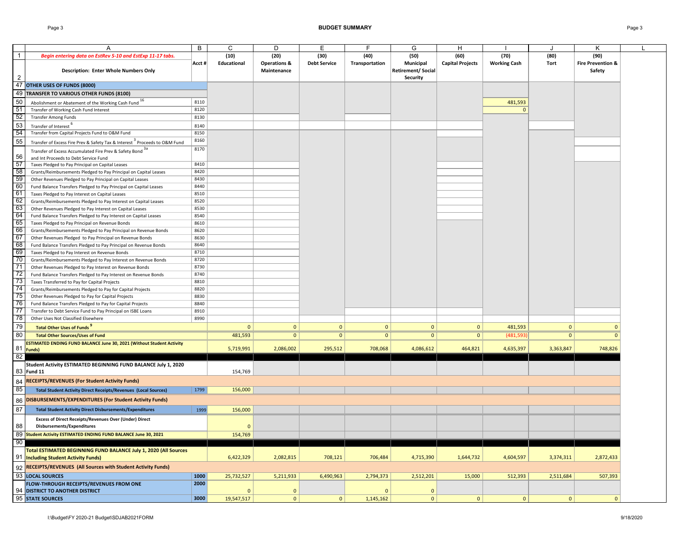|                           | Α                                                                                                                             | B      | C            | D                       | E                   | F              | G                         | н                       |                     |                | κ                            |  |
|---------------------------|-------------------------------------------------------------------------------------------------------------------------------|--------|--------------|-------------------------|---------------------|----------------|---------------------------|-------------------------|---------------------|----------------|------------------------------|--|
| $\overline{1}$            | Begin entering data on EstRev 5-10 and EstExp 11-17 tabs.                                                                     |        | (10)         | (20)                    | (30)                | (40)           | (50)                      | (60)                    | (70)                | (80)           | (90)                         |  |
|                           |                                                                                                                               | Acct # | Educational  | <b>Operations &amp;</b> | <b>Debt Service</b> | Transportation | Municipal                 | <b>Capital Projects</b> | <b>Working Cash</b> | Tort           | <b>Fire Prevention &amp;</b> |  |
|                           | <b>Description: Enter Whole Numbers Only</b>                                                                                  |        |              | Maintenance             |                     |                | <b>Retirement/ Social</b> |                         |                     |                | Safety                       |  |
| $\overline{2}$            |                                                                                                                               |        |              |                         |                     |                | <b>Security</b>           |                         |                     |                |                              |  |
| 47                        | OTHER USES OF FUNDS (8000)                                                                                                    |        |              |                         |                     |                |                           |                         |                     |                |                              |  |
| 49                        | TRANSFER TO VARIOUS OTHER FUNDS (8100)                                                                                        |        |              |                         |                     |                |                           |                         |                     |                |                              |  |
| 50                        | Abolishment or Abatement of the Working Cash Fund 16                                                                          | 8110   |              |                         |                     |                |                           |                         | 481,593             |                |                              |  |
|                           | Transfer of Working Cash Fund Interest                                                                                        | 8120   |              |                         |                     |                |                           |                         | $\Omega$            |                |                              |  |
|                           | <b>Transfer Among Funds</b>                                                                                                   | 8130   |              |                         |                     |                |                           |                         |                     |                |                              |  |
| $rac{51}{52}$<br>53<br>54 | Transfer of Interest <sup>6</sup>                                                                                             | 8140   |              |                         |                     |                |                           |                         |                     |                |                              |  |
|                           | Transfer from Capital Projects Fund to O&M Fund                                                                               | 8150   |              |                         |                     |                |                           |                         |                     |                |                              |  |
| 55                        | Transfer of Excess Fire Prev & Safety Tax & Interest <sup>3</sup> Proceeds to O&M Fund                                        | 8160   |              |                         |                     |                |                           |                         |                     |                |                              |  |
|                           |                                                                                                                               | 8170   |              |                         |                     |                |                           |                         |                     |                |                              |  |
|                           | Transfer of Excess Accumulated Fire Prev & Safety Bond 3a                                                                     |        |              |                         |                     |                |                           |                         |                     |                |                              |  |
| $\frac{56}{57}$           | and Int Proceeds to Debt Service Fund                                                                                         | 8410   |              |                         |                     |                |                           |                         |                     |                |                              |  |
| 58                        | Taxes Pledged to Pay Principal on Capital Leases                                                                              | 8420   |              |                         |                     |                |                           |                         |                     |                |                              |  |
|                           | Grants/Reimbursements Pledged to Pay Principal on Capital Leases<br>Other Revenues Pledged to Pay Principal on Capital Leases | 8430   |              |                         |                     |                |                           |                         |                     |                |                              |  |
| $\frac{59}{60}$           | Fund Balance Transfers Pledged to Pay Principal on Capital Leases                                                             | 8440   |              |                         |                     |                |                           |                         |                     |                |                              |  |
|                           | Taxes Pledged to Pay Interest on Capital Leases                                                                               | 8510   |              |                         |                     |                |                           |                         |                     |                |                              |  |
| $\frac{61}{62}$           | Grants/Reimbursements Pledged to Pay Interest on Capital Leases                                                               | 8520   |              |                         |                     |                |                           |                         |                     |                |                              |  |
| 63                        | Other Revenues Pledged to Pay Interest on Capital Leases                                                                      | 8530   |              |                         |                     |                |                           |                         |                     |                |                              |  |
|                           | Fund Balance Transfers Pledged to Pay Interest on Capital Leases                                                              | 8540   |              |                         |                     |                |                           |                         |                     |                |                              |  |
| $\frac{64}{65}$           | Taxes Pledged to Pay Principal on Revenue Bonds                                                                               | 8610   |              |                         |                     |                |                           |                         |                     |                |                              |  |
| 66                        | Grants/Reimbursements Pledged to Pay Principal on Revenue Bonds                                                               | 8620   |              |                         |                     |                |                           |                         |                     |                |                              |  |
| 67                        | Other Revenues Pledged to Pay Principal on Revenue Bonds                                                                      | 8630   |              |                         |                     |                |                           |                         |                     |                |                              |  |
| 68                        | Fund Balance Transfers Pledged to Pay Principal on Revenue Bonds                                                              | 8640   |              |                         |                     |                |                           |                         |                     |                |                              |  |
| 69                        | Taxes Pledged to Pay Interest on Revenue Bonds                                                                                | 8710   |              |                         |                     |                |                           |                         |                     |                |                              |  |
| $\overline{70}$           | Grants/Reimbursements Pledged to Pay Interest on Revenue Bonds                                                                | 8720   |              |                         |                     |                |                           |                         |                     |                |                              |  |
| 71                        | Other Revenues Pledged to Pay Interest on Revenue Bonds                                                                       | 8730   |              |                         |                     |                |                           |                         |                     |                |                              |  |
| 72                        | Fund Balance Transfers Pledged to Pay Interest on Revenue Bonds                                                               | 8740   |              |                         |                     |                |                           |                         |                     |                |                              |  |
| 73                        | Taxes Transferred to Pay for Capital Projects                                                                                 | 8810   |              |                         |                     |                |                           |                         |                     |                |                              |  |
| 74<br>75                  | Grants/Reimbursements Pledged to Pay for Capital Projects                                                                     | 8820   |              |                         |                     |                |                           |                         |                     |                |                              |  |
| 76                        | Other Revenues Pledged to Pay for Capital Projects                                                                            | 8830   |              |                         |                     |                |                           |                         |                     |                |                              |  |
| 77                        | Fund Balance Transfers Pledged to Pay for Capital Projects                                                                    | 8840   |              |                         |                     |                |                           |                         |                     |                |                              |  |
| 78                        | Transfer to Debt Service Fund to Pay Principal on ISBE Loans                                                                  | 8910   |              |                         |                     |                |                           |                         |                     |                |                              |  |
| 79                        | Other Uses Not Classified Elsewhere                                                                                           | 8990   |              |                         |                     |                |                           |                         |                     |                |                              |  |
|                           | <b>Total Other Uses of Funds</b>                                                                                              |        | $\mathbf{0}$ | $\overline{0}$          | $\mathbf{0}$        | $\mathbf 0$    | $\mathbf{0}$              | $\mathbf 0$             | 481,593             | $\overline{0}$ | $\mathbf{0}$                 |  |
| 80                        | <b>Total Other Sources/Uses of Fund</b>                                                                                       |        | 481,593      | $\mathbf{0}$            | $\mathbf{0}$        | $\mathbf{0}$   | $\mathbf{0}$              | $\mathbf{0}$            | (481, 593)          | $\mathbf{0}$   | $\mathbf{0}$                 |  |
| 81                        | ESTIMATED ENDING FUND BALANCE June 30, 2021 (Without Student Activity                                                         |        | 5,719,991    | 2,086,002               | 295,512             | 708,068        | 4,086,612                 | 464,821                 | 4,635,397           | 3,363,847      | 748,826                      |  |
| 82                        | <b>Funds</b> )                                                                                                                |        |              |                         |                     |                |                           |                         |                     |                |                              |  |
|                           | Student Activity ESTIMATED BEGINNING FUND BALANCE July 1, 2020                                                                |        |              |                         |                     |                |                           |                         |                     |                |                              |  |
|                           | 83 Fund 11                                                                                                                    |        | 154,769      |                         |                     |                |                           |                         |                     |                |                              |  |
|                           |                                                                                                                               |        |              |                         |                     |                |                           |                         |                     |                |                              |  |
| 84                        | <b>RECEIPTS/REVENUES (For Student Activity Funds)</b>                                                                         |        |              |                         |                     |                |                           |                         |                     |                |                              |  |
| 85                        | <b>Total Student Activity Direct Receipts/Revenues (Local Sources)</b>                                                        | 1799   | 156,000      |                         |                     |                |                           |                         |                     |                |                              |  |
| 86                        | DISBURSEMENTS/EXPENDITURES (For Student Activity Funds)                                                                       |        |              |                         |                     |                |                           |                         |                     |                |                              |  |
| 87                        | <b>Total Student Activity Direct Disbursements/Expenditures</b>                                                               | 1999   | 156,000      |                         |                     |                |                           |                         |                     |                |                              |  |
|                           |                                                                                                                               |        |              |                         |                     |                |                           |                         |                     |                |                              |  |
| 88                        | <b>Excess of Direct Receipts/Revenues Over (Under) Direct</b><br>Disbursements/Expenditures                                   |        | $\Omega$     |                         |                     |                |                           |                         |                     |                |                              |  |
|                           | 89 Student Activity ESTIMATED ENDING FUND BALANCE June 30, 2021                                                               |        |              |                         |                     |                |                           |                         |                     |                |                              |  |
| 90                        |                                                                                                                               |        | 154,769      |                         |                     |                |                           |                         |                     |                |                              |  |
|                           |                                                                                                                               |        |              |                         |                     |                |                           |                         |                     |                |                              |  |
|                           | Total ESTIMATED BEGINNING FUND BALANCE July 1, 2020 (All Sources<br>91 Including Student Activity Funds)                      |        | 6,422,329    | 2,082,815               | 708,121             | 706,484        | 4,715,390                 | 1,644,732               | 4,604,597           | 3,374,311      | 2,872,433                    |  |
|                           |                                                                                                                               |        |              |                         |                     |                |                           |                         |                     |                |                              |  |
|                           | 92 RECEIPTS/REVENUES (All Sources with Student Activity Funds)                                                                |        |              |                         |                     |                |                           |                         |                     |                |                              |  |
|                           | 93 LOCAL SOURCES                                                                                                              | 1000   | 25,732,527   | 5,211,933               | 6,490,963           | 2,794,373      | 2,512,201                 | 15,000                  | 512,393             | 2,511,684      | 507,393                      |  |
|                           | FLOW-THROUGH RECEIPTS/REVENUES FROM ONE                                                                                       | 2000   |              |                         |                     |                |                           |                         |                     |                |                              |  |
|                           | 94 DISTRICT TO ANOTHER DISTRICT                                                                                               |        | $\mathbf{0}$ | $\overline{0}$          |                     | $\mathbf{0}$   | $\mathbf{0}$              |                         |                     |                |                              |  |
|                           | 95 STATE SOURCES                                                                                                              | 3000   | 19,547,517   | $\mathbf{0}$            | $\mathbf{0}$        | 1,145,162      | $\mathbf{0}$              | $\mathbf{0}$            | $\mathbf{0}$        | $\mathbf{0}$   | $\mathbf{0}$                 |  |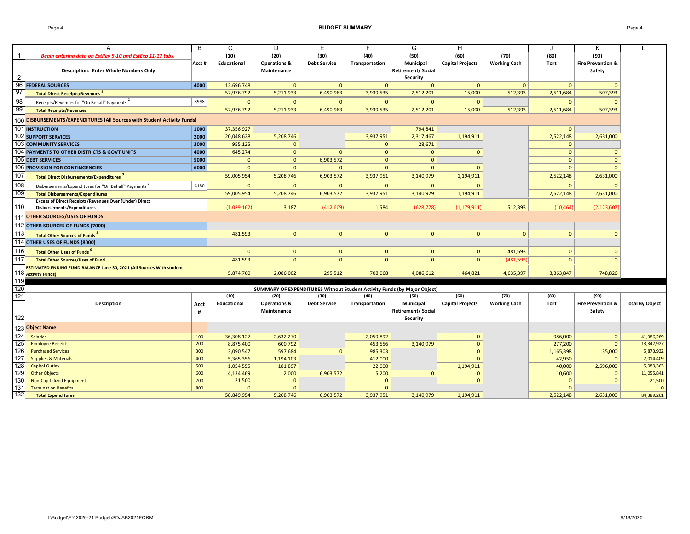Page 4 **BUDGET SUMMARY** Page 4

|                | A                                                                            | B      | C                  | D                                      | E                   | E              | G                                                                        | н                       |                     |             | к                                      |                        |
|----------------|------------------------------------------------------------------------------|--------|--------------------|----------------------------------------|---------------------|----------------|--------------------------------------------------------------------------|-------------------------|---------------------|-------------|----------------------------------------|------------------------|
| $\overline{1}$ | Begin entering data on EstRev 5-10 and EstExp 11-17 tabs.                    |        | (10)               | (20)                                   | (30)                | (40)           | (50)                                                                     | (60)                    | (70)                | (80)        | (90)                                   |                        |
| $\overline{2}$ | <b>Description: Enter Whole Numbers Only</b>                                 | Acct # | Educational        | <b>Operations &amp;</b><br>Maintenance | <b>Debt Service</b> | Transportation | Municipal<br><b>Retirement/Social</b><br>Security                        | <b>Capital Projects</b> | <b>Working Cash</b> | <b>Tort</b> | <b>Fire Prevention &amp;</b><br>Safety |                        |
| 96             | <b>FEDERAL SOURCES</b>                                                       | 4000   | 12,696,748         | $\mathbf{0}$                           | $\Omega$            | $\Omega$       | $\Omega$                                                                 | $\Omega$                | $\Omega$            | $\Omega$    |                                        |                        |
| 97             | <b>Total Direct Receipts/Revenues</b>                                        |        | 57,976,792         | 5,211,933                              | 6,490,963           | 3,939,535      | 2,512,201                                                                | 15,000                  | 512,393             | 2,511,684   | 507,393                                |                        |
| 98             | Receipts/Revenues for "On Behalf" Payments                                   | 3998   | $\mathbf{0}$       | $\mathbf{0}$                           | $\mathbf{0}$        | $\mathbf{0}$   | $\Omega$                                                                 | $\mathbf{0}$            |                     | $\Omega$    |                                        |                        |
| 99             | <b>Total Receipts/Revenues</b>                                               |        | 57,976,792         | 5,211,933                              | 6,490,963           | 3,939,535      | 2,512,201                                                                | 15,000                  | 512,393             | 2,511,684   | 507,393                                |                        |
|                | 100 DISBURSEMENTS/EXPENDITURES (All Sources with Student Activity Funds)     |        |                    |                                        |                     |                |                                                                          |                         |                     |             |                                        |                        |
| 101            | <b>INSTRUCTION</b>                                                           | 1000   | 37,356,927         |                                        |                     |                | 794,841                                                                  |                         |                     | $\Omega$    |                                        |                        |
|                | <b>102 SUPPORT SERVICES</b>                                                  | 2000   | 20,048,628         | 5,208,746                              |                     | 3,937,951      | 2,317,467                                                                | 1,194,911               |                     | 2,522,148   | 2,631,000                              |                        |
| 103            | <b>COMMUNITY SERVICES</b>                                                    | 3000   | 955,125            | $\mathbf{0}$                           |                     | $\mathbf{0}$   | 28,671                                                                   |                         |                     | $\Omega$    |                                        |                        |
| 104            | PAYMENTS TO OTHER DISTRICTS & GOVT UNITS                                     | 4000   | 645,274            | $\mathbf{0}$                           | $\mathbf{0}$        | $\mathbf{0}$   | $\mathbf{0}$                                                             | $\mathbf{0}$            |                     | $\Omega$    | $\mathbf{0}$                           |                        |
|                | <b>105 DEBT SERVICES</b>                                                     | 5000   | $\mathbf{0}$       | $\mathbf{0}$                           | 6,903,572           | $\mathbf{0}$   | $\mathbf{0}$                                                             |                         |                     | $\mathbf 0$ | $\mathbf{0}$                           |                        |
| 106            | <b>PROVISION FOR CONTINGENCIES</b>                                           | 6000   | $\mathbf{0}$       | $\mathbf{0}$                           | $\Omega$            | $\mathbf{0}$   | $\mathbf{0}$                                                             | $\mathbf{0}$            |                     | $\Omega$    | $\Omega$                               |                        |
| 107            | Total Direct Disbursements/Expenditures                                      |        | 59,005,954         | 5,208,746                              | 6,903,572           | 3,937,951      | 3,140,979                                                                | 1,194,911               |                     | 2,522,148   | 2,631,000                              |                        |
| 108            | Disbursements/Expenditures for "On Behalf" Payments                          | 4180   | $\mathbf{0}$       | $\mathbf{0}$                           | $\mathbf{0}$        | $\Omega$       | $\mathbf{0}$                                                             | $\Omega$                |                     | $\Omega$    |                                        |                        |
| 109            | <b>Total Disbursements/Expenditures</b>                                      |        | 59,005,954         | 5,208,746                              | 6,903,572           | 3,937,951      | 3,140,979                                                                | 1,194,911               |                     | 2,522,148   | 2,631,000                              |                        |
| 110            | <b>Excess of Direct Receipts/Revenues Over (Under) Direct</b>                |        | (1,029,162)        | 3,187                                  | (412, 609)          | 1,584          | (628, 778)                                                               | (1, 179, 911)           | 512,393             | (10, 464)   | (2, 123, 607)                          |                        |
|                | Disbursements/Expenditures                                                   |        |                    |                                        |                     |                |                                                                          |                         |                     |             |                                        |                        |
|                | 111 OTHER SOURCES/USES OF FUNDS                                              |        |                    |                                        |                     |                |                                                                          |                         |                     |             |                                        |                        |
| 112            | OTHER SOURCES OF FUNDS (7000)                                                |        |                    |                                        |                     |                |                                                                          |                         |                     |             |                                        |                        |
| 113            | <b>Total Other Sources of Funds</b>                                          |        | 481,593            | $\mathbf{0}$                           | $\Omega$            | $\Omega$       | $\Omega$                                                                 | $\Omega$                | $\overline{0}$      | $\Omega$    |                                        |                        |
|                | 114 OTHER USES OF FUNDS (8000)                                               |        |                    |                                        |                     |                |                                                                          |                         |                     |             |                                        |                        |
| 116            | Total Other Uses of Funds <sup>9</sup>                                       |        | $\mathbf{0}$       | $\mathbf{0}$                           | $\mathbf{0}$        | $\mathbf{0}$   | $\Omega$                                                                 | $\mathbf{0}$            | 481,593             | $\Omega$    | $\Omega$                               |                        |
| 117            | <b>Total Other Sources/Uses of Fund</b>                                      |        | 481,593            | $\overline{0}$                         | $\mathbf{0}$        | $\Omega$       | $\mathbf{0}$                                                             | $\mathbf{0}$            | (481, 593)          | $\Omega$    | $\Omega$                               |                        |
|                | <b>ESTIMATED ENDING FUND BALANCE June 30, 2021 (All Sources With student</b> |        |                    |                                        |                     |                |                                                                          |                         |                     |             |                                        |                        |
|                | 118 Activity Funds)                                                          |        | 5,874,760          | 2,086,002                              | 295,512             | 708,068        | 4,086,612                                                                | 464,821                 | 4,635,397           | 3,363,847   | 748,826                                |                        |
| 119            |                                                                              |        |                    |                                        |                     |                |                                                                          |                         |                     |             |                                        |                        |
| 120            |                                                                              |        |                    |                                        |                     |                | SUMMARY OF EXPENDITURES Without Student Activity Funds (by Major Object) |                         |                     |             |                                        |                        |
| 121            |                                                                              |        | (10)               | (20)                                   | (30)                | (40)           | (50)                                                                     | (60)                    | (70)                | (80)        | (90)                                   |                        |
|                | <b>Description</b>                                                           | Acct   | <b>Educational</b> | <b>Operations &amp;</b><br>Maintenance | <b>Debt Service</b> | Transportation | Municipal<br><b>Retirement/Social</b>                                    | <b>Capital Projects</b> | <b>Working Cash</b> | Tort        | <b>Fire Prevention &amp;</b><br>Safety | <b>Total By Object</b> |
| 122            |                                                                              | #      |                    |                                        |                     |                | Security                                                                 |                         |                     |             |                                        |                        |
|                | 123 Object Name                                                              |        |                    |                                        |                     |                |                                                                          |                         |                     |             |                                        |                        |
| 124            | <b>Salaries</b>                                                              | 100    | 36,308,127         | 2,632,270                              |                     | 2,059,892      |                                                                          | $\mathbf{0}$            |                     | 986,000     | $\mathbf{0}$                           | 41,986,289             |
| 125            | <b>Employee Benefits</b>                                                     | 200    | 8,875,400          | 600,792                                |                     | 453,556        | 3,140,979                                                                | $\mathbf{0}$            |                     | 277,200     | $\overline{0}$                         | 13,347,927             |
| 126            | <b>Purchased Services</b>                                                    | 300    | 3,090,547          | 597,684                                | $\Omega$            | 985,303        |                                                                          | $\Omega$                |                     | 1,165,398   | 35,000                                 | 5,873,932              |
| 127            | <b>Supplies &amp; Materials</b>                                              | 400    | 5,365,356          | 1,194,103                              |                     | 412,000        |                                                                          | $\Omega$                |                     | 42,950      | $\Omega$                               | 7,014,409              |
| 128            | <b>Capital Outlay</b>                                                        | 500    | 1,054,555          | 181,897                                |                     | 22,000         |                                                                          | 1,194,911               |                     | 40,000      | 2,596,000                              | 5,089,363              |
| 129            | <b>Other Objects</b>                                                         | 600    | 4,134,469          | 2,000                                  | 6,903,572           | 5,200          | $\Omega$                                                                 | $\Omega$                |                     | 10,600      | $\Omega$                               | 11,055,841             |
| 130            | Non-Capitalized Equipment                                                    | 700    | 21,500             | $\Omega$                               |                     | $\Omega$       |                                                                          | $\Omega$                |                     | $\Omega$    | $\Omega$                               | 21,500                 |
| 131            | <b>Termination Benefits</b>                                                  | 800    | $\mathbf{0}$       | $\mathbf{0}$                           |                     | $\mathbf{0}$   |                                                                          |                         |                     | $\Omega$    |                                        | $\Omega$               |
| 132            | <b>Total Expenditures</b>                                                    |        | 58,849,954         | 5,208,746                              | 6,903,572           | 3,937,951      | 3,140,979                                                                | 1,194,911               |                     | 2,522,148   | 2,631,000                              | 84,389,261             |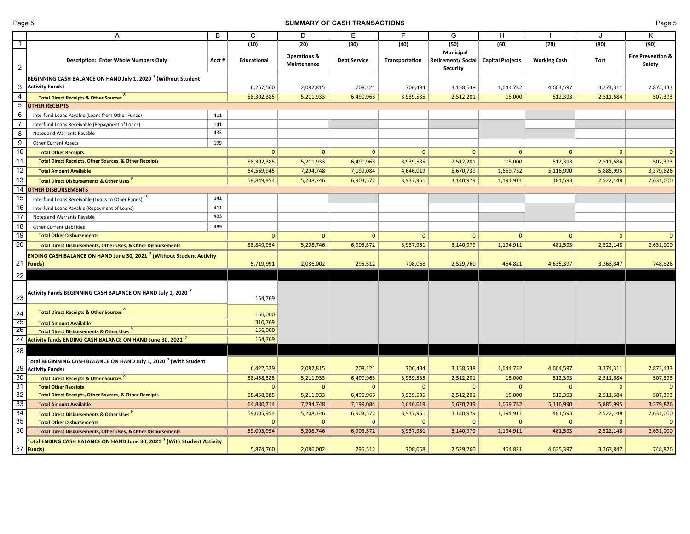### **SUMMARY OF CASH TRANSACTIONS Page 5 Page 5 Page 5 Page 5 Page 5 Page 4 Page 5 Page 5 Page 5 Page 5 Page 5 Page 5 Page 5 Page 5 Page 5 Page 5 Page 5 Page 5 Page 5 Page 5 Page 5 P**

|--|--|

|                 | A                                                                                      | В     | $\mathsf C$  | D                       | E                   | E              | G                             | H                       |                     | J            | Κ                            |
|-----------------|----------------------------------------------------------------------------------------|-------|--------------|-------------------------|---------------------|----------------|-------------------------------|-------------------------|---------------------|--------------|------------------------------|
| $\mathbf{1}$    |                                                                                        |       | (10)         | (20)                    | (30)                | (40)           | (50)                          | (60)                    | (70)                | (80)         | (90)                         |
|                 |                                                                                        |       |              | <b>Operations &amp;</b> |                     |                | Municipal                     |                         |                     |              | <b>Fire Prevention &amp;</b> |
| $\overline{c}$  | <b>Description: Enter Whole Numbers Only</b>                                           | Acct# | Educational  | Maintenance             | <b>Debt Service</b> | Transportation | Retirement/Social<br>Security | <b>Capital Projects</b> | <b>Working Cash</b> | Tort         | Safety                       |
|                 | BEGINNING CASH BALANCE ON HAND July 1, 2020 <sup>7</sup> (Without Student              |       |              |                         |                     |                |                               |                         |                     |              |                              |
|                 | 3 Activity Funds)                                                                      |       | 6,267,560    | 2,082,815               | 708,121             | 706,484        | 3,158,538                     | 1,644,732               | 4,604,597           | 3,374,311    | 2,872,433                    |
| $\overline{4}$  | <b>Total Direct Receipts &amp; Other Sources 8</b>                                     |       | 58,302,385   | 5,211,933               | 6,490,963           | 3,939,535      | 2,512,201                     | 15,000                  | 512,393             | 2,511,684    | 507,393                      |
| 5               | <b>OTHER RECEIPTS</b>                                                                  |       |              |                         |                     |                |                               |                         |                     |              |                              |
| 6               | Interfund Loans Payable (Loans from Other Funds)                                       | 411   |              |                         |                     |                |                               |                         |                     |              |                              |
| $\overline{7}$  | Interfund Loans Receivable (Repayment of Loans)                                        | 141   |              |                         |                     |                |                               |                         |                     |              |                              |
| 8               | Notes and Warrants Payable                                                             | 433   |              |                         |                     |                |                               |                         |                     |              |                              |
| 9               | <b>Other Current Assets</b>                                                            | 199   |              |                         |                     |                |                               |                         |                     |              |                              |
| 10              | <b>Total Other Receipts</b>                                                            |       | $\mathbf{0}$ | $\mathbf{0}$            | $\overline{0}$      | $\mathbf{0}$   | $\mathbf{0}$                  | $\mathbf{0}$            | $\mathbf{0}$        | $\Omega$     | $\mathbf{0}$                 |
| 11              | <b>Total Direct Receipts, Other Sources, &amp; Other Receipts</b>                      |       | 58,302,385   | 5,211,933               | 6,490,963           | 3,939,535      | 2,512,201                     | 15,000                  | 512,393             | 2,511,684    | 507,393                      |
| 12              | <b>Total Amount Available</b>                                                          |       | 64,569,945   | 7,294,748               | 7,199,084           | 4,646,019      | 5,670,739                     | 1,659,732               | 5,116,990           | 5,885,995    | 3,379,826                    |
| 13              | <b>Total Direct Disbursements &amp; Other Uses</b>                                     |       | 58,849,954   | 5,208,746               | 6,903,572           | 3,937,951      | 3,140,979                     | 1,194,911               | 481,593             | 2,522,148    | 2,631,000                    |
|                 | 14 OTHER DISBURSEMENTS                                                                 |       |              |                         |                     |                |                               |                         |                     |              |                              |
| 15              | Interfund Loans Receivable (Loans to Other Funds) 10                                   | 141   |              |                         |                     |                |                               |                         |                     |              |                              |
| 16              | Interfund Loans Payable (Repayment of Loans)                                           | 411   |              |                         |                     |                |                               |                         |                     |              |                              |
| 17              | Notes and Warrants Payable                                                             | 433   |              |                         |                     |                |                               |                         |                     |              |                              |
| 18              | <b>Other Current Liabilities</b>                                                       | 499   |              |                         |                     |                |                               |                         |                     |              |                              |
| 19              | <b>Total Other Disbursements</b>                                                       |       | $\mathbf{0}$ | $\mathbf{0}$            | $\mathbf 0$         | $\mathbf 0$    | $\Omega$                      | $\mathbf{0}$            | $\mathbf{0}$        | $\Omega$     | $\mathbf{0}$                 |
| $\overline{20}$ | Total Direct Disbursements, Other Uses, & Other Disbursements                          |       | 58,849,954   | 5,208,746               | 6,903,572           | 3,937,951      | 3,140,979                     | 1,194,911               | 481,593             | 2,522,148    | 2,631,000                    |
|                 | <b>ENDING CASH BALANCE ON HAND June 30, 2021<sup>7</sup> (Without Student Activity</b> |       |              |                         |                     |                |                               |                         |                     |              |                              |
|                 | 21 Funds)                                                                              |       | 5,719,991    | 2,086,002               | 295,512             | 708,068        | 2,529,760                     | 464,821                 | 4,635,397           | 3,363,847    | 748,826                      |
| 22              |                                                                                        |       |              |                         |                     |                |                               |                         |                     |              |                              |
|                 |                                                                                        |       |              |                         |                     |                |                               |                         |                     |              |                              |
|                 | Activity Funds BEGINNING CASH BALANCE ON HAND July 1, 2020 <sup>7</sup>                |       |              |                         |                     |                |                               |                         |                     |              |                              |
| 23              |                                                                                        |       | 154,769      |                         |                     |                |                               |                         |                     |              |                              |
| 24              | <b>Total Direct Receipts &amp; Other Sources</b>                                       |       | 156,000      |                         |                     |                |                               |                         |                     |              |                              |
| 25              | <b>Total Amount Available</b>                                                          |       | 310,769      |                         |                     |                |                               |                         |                     |              |                              |
| 26              | <b>Total Direct Disbursements &amp; Other Uses</b>                                     |       | 156,000      |                         |                     |                |                               |                         |                     |              |                              |
| 27              | Activity funds ENDING CASH BALANCE ON HAND June 30, 2021 <sup>7</sup>                  |       | 154,769      |                         |                     |                |                               |                         |                     |              |                              |
| 28              |                                                                                        |       |              |                         |                     |                |                               |                         |                     |              |                              |
|                 | Total BEGINNING CASH BALANCE ON HAND July 1, 2020 <sup>7</sup> (With Student           |       |              |                         |                     |                |                               |                         |                     |              |                              |
| 29              | <b>Activity Funds)</b>                                                                 |       | 6,422,329    | 2,082,815               | 708,121             | 706,484        | 3,158,538                     | 1,644,732               | 4,604,597           | 3,374,311    | 2,872,433                    |
| 30              | <b>Total Direct Receipts &amp; Other Sources</b>                                       |       | 58,458,385   | 5,211,933               | 6,490,963           | 3,939,535      | 2,512,201                     | 15,000                  | 512,393             | 2,511,684    | 507,393                      |
| 31              | <b>Total Other Receipts</b>                                                            |       | $\mathbf{0}$ | $\mathbf{0}$            | $\mathbf 0$         | $\overline{0}$ | $\mathbf{0}$                  | $\mathbf{0}$            | $\mathbf{0}$        |              | $\mathbf{0}$                 |
| 32              | <b>Total Direct Receipts, Other Sources, &amp; Other Receipts</b>                      |       | 58,458,385   | 5,211,933               | 6,490,963           | 3,939,535      | 2,512,201                     | 15,000                  | 512,393             | 2,511,684    | 507,393                      |
| 33              | <b>Total Amount Available</b>                                                          |       | 64,880,714   | 7,294,748               | 7,199,084           | 4,646,019      | 5,670,739                     | 1,659,732               | 5,116,990           | 5,885,995    | 3,379,826                    |
| 34              | <b>Total Direct Disbursements &amp; Other Uses</b>                                     |       | 59,005,954   | 5,208,746               | 6,903,572           | 3,937,951      | 3,140,979                     | 1,194,911               | 481,593             | 2,522,148    | 2,631,000                    |
| 35              | <b>Total Other Disbursements</b>                                                       |       | $\mathbf{0}$ | $\mathbf{0}$            | $\mathbf{0}$        | $\mathbf{0}$   | $\mathbf{0}$                  | $\mathbf{0}$            | $\mathbf{0}$        | $\mathbf{0}$ | $\mathbf{0}$                 |
| 36              | Total Direct Disbursements, Other Uses, & Other Disbursements                          |       | 59,005,954   | 5,208,746               | 6,903,572           | 3,937,951      | 3,140,979                     | 1,194,911               | 481,593             | 2,522,148    | 2,631,000                    |
|                 | Total ENDING CASH BALANCE ON HAND June 30, 2021 <sup>7</sup> (With Student Activity    |       |              |                         |                     |                |                               |                         |                     |              |                              |
|                 | 37 <b>Funds</b> )                                                                      |       | 5,874,760    | 2,086,002               | 295,512             | 708,068        | 2,529,760                     | 464,821                 | 4,635,397           | 3,363,847    | 748,826                      |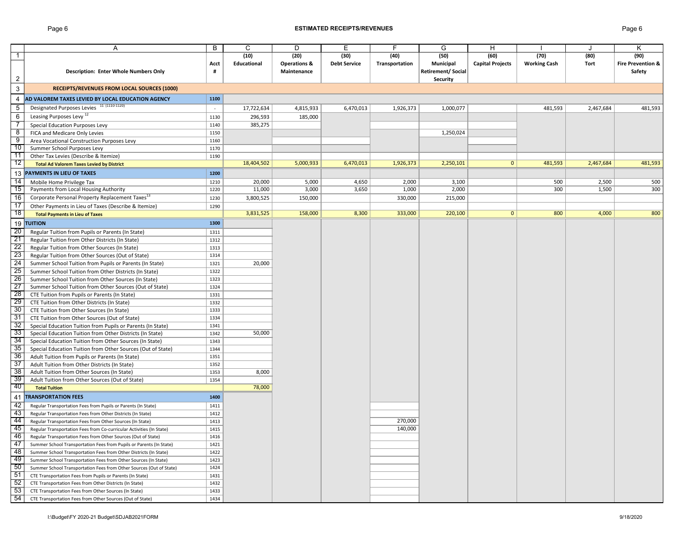## Page 6 **ESTIMATED RECEIPTS/REVENUES** Page 6

|                 | Α                                                                                              | B      | C           | D                       | E                   | F              | G                        | Н                       |                     |           | κ                        |
|-----------------|------------------------------------------------------------------------------------------------|--------|-------------|-------------------------|---------------------|----------------|--------------------------|-------------------------|---------------------|-----------|--------------------------|
| 1               |                                                                                                |        | (10)        | (20)                    | (30)                | (40)           | (50)                     | (60)                    | (70)                | (80)      | (90)                     |
|                 |                                                                                                | Acct   | Educational | <b>Operations &amp;</b> | <b>Debt Service</b> | Transportation | Municipal                | <b>Capital Projects</b> | <b>Working Cash</b> | Tort      | <b>Fire Prevention 8</b> |
|                 | <b>Description: Enter Whole Numbers Only</b>                                                   | #      |             | Maintenance             |                     |                | <b>Retirement/Social</b> |                         |                     |           | Safety                   |
| $\overline{2}$  |                                                                                                |        |             |                         |                     |                | Security                 |                         |                     |           |                          |
| 3               | RECEIPTS/REVENUES FROM LOCAL SOURCES (1000)                                                    |        |             |                         |                     |                |                          |                         |                     |           |                          |
| 4               | AD VALOREM TAXES LEVIED BY LOCAL EDUCATION AGENCY                                              | 1100   |             |                         |                     |                |                          |                         |                     |           |                          |
|                 | Designated Purposes Levies <sup>11</sup> (1110-1120)                                           |        |             |                         |                     |                |                          |                         |                     |           |                          |
| $\sqrt{5}$      |                                                                                                | $\sim$ | 17,722,634  | 4,815,933               | 6,470,013           | 1,926,373      | 1,000,077                |                         | 481,593             | 2,467,684 | 481,593                  |
| 6               | Leasing Purposes Levy <sup>12</sup>                                                            | 1130   | 296,593     | 185,000                 |                     |                |                          |                         |                     |           |                          |
| 7               | Special Education Purposes Levy                                                                | 1140   | 385,275     |                         |                     |                |                          |                         |                     |           |                          |
| 8               | FICA and Medicare Only Levies                                                                  | 1150   |             |                         |                     |                | 1,250,024                |                         |                     |           |                          |
| 9               | Area Vocational Construction Purposes Levy                                                     | 1160   |             |                         |                     |                |                          |                         |                     |           |                          |
| 10              | Summer School Purposes Levy                                                                    | 1170   |             |                         |                     |                |                          |                         |                     |           |                          |
| 11              | Other Tax Levies (Describe & Itemize)                                                          | 1190   |             |                         |                     |                |                          |                         |                     |           |                          |
| 12              | <b>Total Ad Valorem Taxes Levied by District</b>                                               |        | 18,404,502  | 5,000,933               | 6,470,013           | 1,926,373      | 2,250,101                | $\mathbf 0$             | 481,593             | 2,467,684 | 481,593                  |
|                 | 13 PAYMENTS IN LIEU OF TAXES                                                                   | 1200   |             |                         |                     |                |                          |                         |                     |           |                          |
| 14              | Mobile Home Privilege Tax                                                                      | 1210   | 20,000      | 5,000                   | 4,650               | 2,000          | 3,100                    |                         | 500                 | 2,500     | 500                      |
| 15              | Payments from Local Housing Authority                                                          | 1220   | 11,000      | 3,000                   | 3,650               | 1,000          | 2,000                    |                         | 300                 | 1,500     | 300                      |
| 16              | Corporate Personal Property Replacement Taxes <sup>13</sup>                                    |        |             |                         |                     |                |                          |                         |                     |           |                          |
|                 |                                                                                                | 1230   | 3,800,525   | 150,000                 |                     | 330,000        | 215,000                  |                         |                     |           |                          |
| 17              | Other Payments in Lieu of Taxes (Describe & Itemize)                                           | 1290   |             |                         |                     |                |                          |                         |                     |           |                          |
| 18              | <b>Total Payments in Lieu of Taxes</b>                                                         |        | 3,831,525   | 158,000                 | 8,300               | 333,000        | 220,100                  | $\mathbf{0}$            | 800                 | 4,000     | 800                      |
|                 | 19 TUITION                                                                                     | 1300   |             |                         |                     |                |                          |                         |                     |           |                          |
| 20              | Regular Tuition from Pupils or Parents (In State)                                              | 1311   |             |                         |                     |                |                          |                         |                     |           |                          |
| 21              | Regular Tuition from Other Districts (In State)                                                | 1312   |             |                         |                     |                |                          |                         |                     |           |                          |
| 22              | Regular Tuition from Other Sources (In State)                                                  | 1313   |             |                         |                     |                |                          |                         |                     |           |                          |
| -23             | Regular Tuition from Other Sources (Out of State)                                              | 1314   |             |                         |                     |                |                          |                         |                     |           |                          |
| $\overline{24}$ | Summer School Tuition from Pupils or Parents (In State)                                        | 1321   | 20,000      |                         |                     |                |                          |                         |                     |           |                          |
| 25              | Summer School Tuition from Other Districts (In State)                                          | 1322   |             |                         |                     |                |                          |                         |                     |           |                          |
| 26              | Summer School Tuition from Other Sources (In State)                                            | 1323   |             |                         |                     |                |                          |                         |                     |           |                          |
| 27              | Summer School Tuition from Other Sources (Out of State)                                        | 1324   |             |                         |                     |                |                          |                         |                     |           |                          |
| 28              | CTE Tuition from Pupils or Parents (In State)                                                  | 1331   |             |                         |                     |                |                          |                         |                     |           |                          |
| 29              | CTE Tuition from Other Districts (In State)                                                    | 1332   |             |                         |                     |                |                          |                         |                     |           |                          |
| 30              | CTE Tuition from Other Sources (In State)                                                      | 1333   |             |                         |                     |                |                          |                         |                     |           |                          |
| 31              | CTE Tuition from Other Sources (Out of State)                                                  | 1334   |             |                         |                     |                |                          |                         |                     |           |                          |
| 32              | Special Education Tuition from Pupils or Parents (In State)                                    | 1341   |             |                         |                     |                |                          |                         |                     |           |                          |
| 33              | Special Education Tuition from Other Districts (In State)                                      | 1342   | 50,000      |                         |                     |                |                          |                         |                     |           |                          |
| 34              | Special Education Tuition from Other Sources (In State)                                        | 1343   |             |                         |                     |                |                          |                         |                     |           |                          |
| 35              | Special Education Tuition from Other Sources (Out of State)                                    | 1344   |             |                         |                     |                |                          |                         |                     |           |                          |
| 36              | Adult Tuition from Pupils or Parents (In State)                                                | 1351   |             |                         |                     |                |                          |                         |                     |           |                          |
| 37              | Adult Tuition from Other Districts (In State)                                                  | 1352   |             |                         |                     |                |                          |                         |                     |           |                          |
| -38             |                                                                                                | 1353   | 8,000       |                         |                     |                |                          |                         |                     |           |                          |
| 39              | Adult Tuition from Other Sources (In State)<br>Adult Tuition from Other Sources (Out of State) | 1354   |             |                         |                     |                |                          |                         |                     |           |                          |
| 40              |                                                                                                |        | 78,000      |                         |                     |                |                          |                         |                     |           |                          |
|                 | <b>Total Tuition</b>                                                                           |        |             |                         |                     |                |                          |                         |                     |           |                          |
| 41              | <b>TRANSPORTATION FEES</b>                                                                     | 1400   |             |                         |                     |                |                          |                         |                     |           |                          |
| 42              | Regular Transportation Fees from Pupils or Parents (In State)                                  | 1411   |             |                         |                     |                |                          |                         |                     |           |                          |
| 43              | Regular Transportation Fees from Other Districts (In State)                                    | 1412   |             |                         |                     |                |                          |                         |                     |           |                          |
| 44              | Regular Transportation Fees from Other Sources (In State)                                      | 1413   |             |                         |                     | 270,000        |                          |                         |                     |           |                          |
| 45              | Regular Transportation Fees from Co-curricular Activities (In State)                           | 1415   |             |                         |                     | 140,000        |                          |                         |                     |           |                          |
| 46              | Regular Transportation Fees from Other Sources (Out of State)                                  | 1416   |             |                         |                     |                |                          |                         |                     |           |                          |
| 47              | Summer School Transportation Fees from Pupils or Parents (In State)                            | 1421   |             |                         |                     |                |                          |                         |                     |           |                          |
| -48             | Summer School Transportation Fees from Other Districts (In State)                              | 1422   |             |                         |                     |                |                          |                         |                     |           |                          |
| -49             | Summer School Transportation Fees from Other Sources (In State)                                | 1423   |             |                         |                     |                |                          |                         |                     |           |                          |
| 50              | Summer School Transportation Fees from Other Sources (Out of State)                            | 1424   |             |                         |                     |                |                          |                         |                     |           |                          |
| 51              | CTE Transportation Fees from Pupils or Parents (In State)                                      | 1431   |             |                         |                     |                |                          |                         |                     |           |                          |
| 52              | CTE Transportation Fees from Other Districts (In State)                                        | 1432   |             |                         |                     |                |                          |                         |                     |           |                          |
| 53              | CTE Transportation Fees from Other Sources (In State)                                          | 1433   |             |                         |                     |                |                          |                         |                     |           |                          |
| 54              | CTE Transportation Fees from Other Sources (Out of State)                                      | 1434   |             |                         |                     |                |                          |                         |                     |           |                          |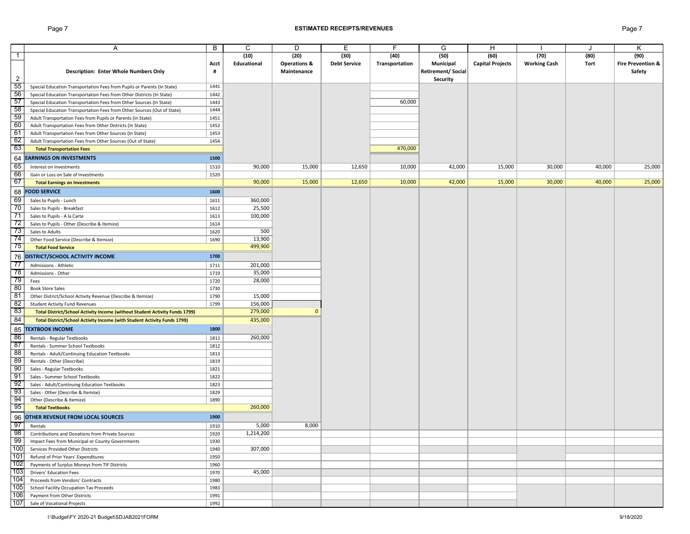# Page 7 **ESTIMATED RECEIPTS/REVENUES** Page 7

|                | Α                                                                           | B            | C                 | D                       | E                   | F              | G                        | H                       |                     | J      | Κ                            |
|----------------|-----------------------------------------------------------------------------|--------------|-------------------|-------------------------|---------------------|----------------|--------------------------|-------------------------|---------------------|--------|------------------------------|
| $\mathbf{1}$   |                                                                             |              | (10)              | (20)                    | (30)                | (40)           | (50)                     | (60)                    | (70)                | (80)   | (90)                         |
|                |                                                                             | Acct         | Educational       | <b>Operations &amp;</b> | <b>Debt Service</b> | Transportation | Municipal                | <b>Capital Projects</b> | <b>Working Cash</b> | Tort   | <b>Fire Prevention &amp;</b> |
|                | <b>Description: Enter Whole Numbers Only</b>                                | #            |                   | Maintenance             |                     |                | <b>Retirement/Social</b> |                         |                     |        | Safety                       |
| $\overline{2}$ |                                                                             |              |                   |                         |                     |                | <b>Security</b>          |                         |                     |        |                              |
| 55             | Special Education Transportation Fees from Pupils or Parents (In State)     | 1441         |                   |                         |                     |                |                          |                         |                     |        |                              |
| 56             | Special Education Transportation Fees from Other Districts (In State)       | 1442         |                   |                         |                     |                |                          |                         |                     |        |                              |
| 57             | Special Education Transportation Fees from Other Sources (In State)         | 1443         |                   |                         |                     | 60,000         |                          |                         |                     |        |                              |
| 58             | Special Education Transportation Fees from Other Sources (Out of State)     | 1444         |                   |                         |                     |                |                          |                         |                     |        |                              |
| -59            | Adult Transportation Fees from Pupils or Parents (In State)                 | 1451         |                   |                         |                     |                |                          |                         |                     |        |                              |
| 60             | Adult Transportation Fees from Other Districts (In State)                   | 1452         |                   |                         |                     |                |                          |                         |                     |        |                              |
| 61             | Adult Transportation Fees from Other Sources (In State)                     | 1453         |                   |                         |                     |                |                          |                         |                     |        |                              |
| 62             | Adult Transportation Fees from Other Sources (Out of State)                 | 1454         |                   |                         |                     |                |                          |                         |                     |        |                              |
| -63            | <b>Total Transportation Fees</b>                                            |              |                   |                         |                     | 470,000        |                          |                         |                     |        |                              |
| 64             | <b>EARNINGS ON INVESTMENTS</b>                                              | 1500         |                   |                         |                     |                |                          |                         |                     |        |                              |
| 65             | Interest on Investments                                                     | 1510         | 90,000            | 15,000                  | 12,650              | 10,000         | 42,000                   | 15,000                  | 30,000              | 40,000 | 25,000                       |
| 66             | Gain or Loss on Sale of Investments                                         | 1520         |                   |                         |                     |                |                          |                         |                     |        |                              |
| -67            | <b>Total Earnings on Investments</b>                                        |              | 90,000            | 15,000                  | 12,650              | 10,000         | 42,000                   | 15,000                  | 30,000              | 40,000 | 25,000                       |
|                | 68 FOOD SERVICE                                                             | 1600         |                   |                         |                     |                |                          |                         |                     |        |                              |
| 69             | Sales to Pupils - Lunch                                                     | 1611         | 360,000           |                         |                     |                |                          |                         |                     |        |                              |
| 70             | Sales to Pupils - Breakfast                                                 | 1612         | 25,500            |                         |                     |                |                          |                         |                     |        |                              |
| 71             | Sales to Pupils - A la Carte                                                | 1613         | 100,000           |                         |                     |                |                          |                         |                     |        |                              |
| 72             | Sales to Pupils - Other (Describe & Itemize)                                | 1614         |                   |                         |                     |                |                          |                         |                     |        |                              |
| 73             | Sales to Adults                                                             | 1620         | 500               |                         |                     |                |                          |                         |                     |        |                              |
| 74             | Other Food Service (Describe & Itemize)                                     | 1690         | 13,900            |                         |                     |                |                          |                         |                     |        |                              |
| 75             | <b>Total Food Service</b>                                                   |              | 499,900           |                         |                     |                |                          |                         |                     |        |                              |
| 76             | DISTRICT/SCHOOL ACTIVITY INCOME                                             | 1700         |                   |                         |                     |                |                          |                         |                     |        |                              |
| 77             |                                                                             |              |                   |                         |                     |                |                          |                         |                     |        |                              |
| -78            | Admissions - Athletic<br>Admissions - Other                                 | 1711<br>1719 | 201,000<br>35,000 |                         |                     |                |                          |                         |                     |        |                              |
| 79             | Fees                                                                        | 1720         | 28,000            |                         |                     |                |                          |                         |                     |        |                              |
| 80             | <b>Book Store Sales</b>                                                     | 1730         |                   |                         |                     |                |                          |                         |                     |        |                              |
| 81             | Other District/School Activity Revenue (Describe & Itemize)                 | 1790         | 15,000            |                         |                     |                |                          |                         |                     |        |                              |
| 82             | <b>Student Activity Fund Revenues</b>                                       | 1799         | 156,000           |                         |                     |                |                          |                         |                     |        |                              |
| -83            | Total District/School Activity Income (without Student Activity Funds 1799) |              | 279,000           | $\Omega$                |                     |                |                          |                         |                     |        |                              |
| -84            | Total District/School Activity Income (with Student Activity Funds 1799)    |              | 435,000           |                         |                     |                |                          |                         |                     |        |                              |
| 85             | <b>TEXTBOOK INCOME</b>                                                      | 1800         |                   |                         |                     |                |                          |                         |                     |        |                              |
| 86             | Rentals - Regular Textbooks                                                 | 1811         | 260,000           |                         |                     |                |                          |                         |                     |        |                              |
| -87            | Rentals - Summer School Textbooks                                           | 1812         |                   |                         |                     |                |                          |                         |                     |        |                              |
| -88            | Rentals - Adult/Continuing Education Textbooks                              | 1813         |                   |                         |                     |                |                          |                         |                     |        |                              |
| 89             | Rentals - Other (Describe)                                                  | 1819         |                   |                         |                     |                |                          |                         |                     |        |                              |
| 90             | Sales - Regular Textbooks                                                   | 1821         |                   |                         |                     |                |                          |                         |                     |        |                              |
| -91            | Sales - Summer School Textbooks                                             | 1822         |                   |                         |                     |                |                          |                         |                     |        |                              |
| 92             | Sales - Adult/Continuing Education Textbooks                                | 1823         |                   |                         |                     |                |                          |                         |                     |        |                              |
| 93             | Sales - Other (Describe & Itemize)                                          | 1829         |                   |                         |                     |                |                          |                         |                     |        |                              |
| 94             | Other (Describe & Itemize)                                                  | 1890         |                   |                         |                     |                |                          |                         |                     |        |                              |
| -95            | <b>Total Textbooks</b>                                                      |              | 260,000           |                         |                     |                |                          |                         |                     |        |                              |
| 96             | <b>OTHER REVENUE FROM LOCAL SOURCES</b>                                     | 1900         |                   |                         |                     |                |                          |                         |                     |        |                              |
| 97             | Rentals                                                                     | 1910         | 5,000             | 8,000                   |                     |                |                          |                         |                     |        |                              |
| 98             | Contributions and Donations from Private Sources                            | 1920         | 1,214,200         |                         |                     |                |                          |                         |                     |        |                              |
| -99            | Impact Fees from Municipal or County Governments                            | 1930         |                   |                         |                     |                |                          |                         |                     |        |                              |
| 100            | Services Provided Other Districts                                           | 1940         | 307,000           |                         |                     |                |                          |                         |                     |        |                              |
| 101            | Refund of Prior Years' Expenditures                                         | 1950         |                   |                         |                     |                |                          |                         |                     |        |                              |
| 102            | Payments of Surplus Moneys from TIF Districts                               | 1960         |                   |                         |                     |                |                          |                         |                     |        |                              |
| 103            | Drivers' Education Fees                                                     | 1970         | 45,000            |                         |                     |                |                          |                         |                     |        |                              |
| 104            | Proceeds from Vendors' Contracts                                            | 1980         |                   |                         |                     |                |                          |                         |                     |        |                              |
| 105            | School Facility Occupation Tax Proceeds                                     | 1983         |                   |                         |                     |                |                          |                         |                     |        |                              |
| 106            | Payment from Other Districts                                                | 1991         |                   |                         |                     |                |                          |                         |                     |        |                              |
| 107            | Sale of Vocational Projects                                                 | 1992         |                   |                         |                     |                |                          |                         |                     |        |                              |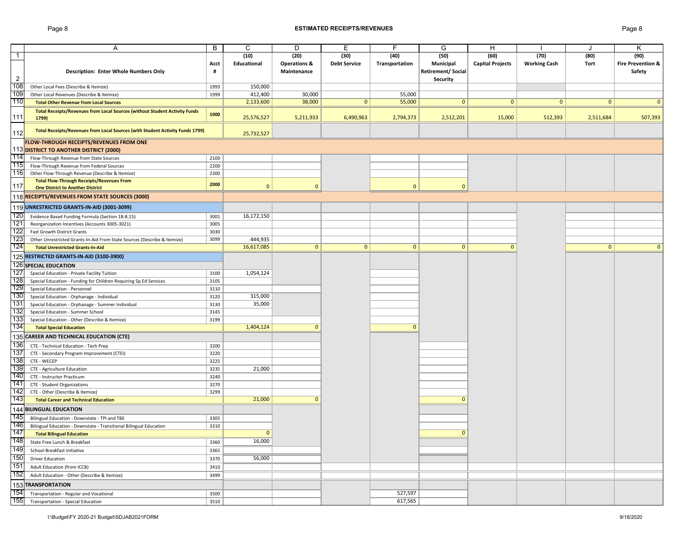## Page 8 **ESTIMATED RECEIPTS/REVENUES** Page 8

|                | A                                                                                    | B    | C            | D                       | Е                   | F              | G                        | H                       |                     |              | Κ                            |
|----------------|--------------------------------------------------------------------------------------|------|--------------|-------------------------|---------------------|----------------|--------------------------|-------------------------|---------------------|--------------|------------------------------|
| $\overline{1}$ |                                                                                      |      | (10)         | (20)                    | (30)                | (40)           | (50)                     | (60)                    | (70)                | (80)         | (90)                         |
|                |                                                                                      | Acct | Educational  | <b>Operations &amp;</b> | <b>Debt Service</b> | Transportation | Municipal                | <b>Capital Projects</b> | <b>Working Cash</b> | Tort         | <b>Fire Prevention &amp;</b> |
|                | Description: Enter Whole Numbers Only                                                | #    |              | Maintenance             |                     |                | <b>Retirement/Social</b> |                         |                     |              | Safety                       |
| $\overline{2}$ |                                                                                      |      |              |                         |                     |                | Security                 |                         |                     |              |                              |
| 108            | Other Local Fees (Describe & Itemize)                                                | 1993 | 150,000      |                         |                     |                |                          |                         |                     |              |                              |
| 109            | Other Local Revenues (Describe & Itemize)                                            | 1999 | 412,400      | 30,000                  |                     | 55,000         |                          |                         |                     |              |                              |
| 110            | <b>Total Other Revenue from Local Sources</b>                                        |      | 2,133,600    | 38,000                  | $\mathbf{0}$        | 55,000         | $\mathbf{0}$             | $\mathbf{0}$            | $\overline{0}$      | $\mathbf{0}$ | $\mathbf{0}$                 |
|                | Total Receipts/Revenues from Local Sources (without Student Activity Funds           |      |              |                         |                     |                |                          |                         |                     |              |                              |
| 111            | 1799)                                                                                | 1000 | 25,576,527   | 5,211,933               | 6,490,963           | 2,794,373      | 2,512,201                | 15,000                  | 512,393             | 2,511,684    | 507,393                      |
|                | <b>Total Receipts/Revenues from Local Sources (with Student Activity Funds 1799)</b> |      |              |                         |                     |                |                          |                         |                     |              |                              |
| 112            |                                                                                      |      | 25,732,527   |                         |                     |                |                          |                         |                     |              |                              |
|                | FLOW-THROUGH RECEIPTS/REVENUES FROM ONE                                              |      |              |                         |                     |                |                          |                         |                     |              |                              |
|                | 113 DISTRICT TO ANOTHER DISTRICT (2000)                                              |      |              |                         |                     |                |                          |                         |                     |              |                              |
| 114            | Flow-Through Revenue from State Sources                                              | 2100 |              |                         |                     |                |                          |                         |                     |              |                              |
| 115            | Flow-Through Revenue from Federal Sources                                            | 2200 |              |                         |                     |                |                          |                         |                     |              |                              |
| 116            | Other Flow-Through Revenue (Describe & Itemize)                                      | 2300 |              |                         |                     |                |                          |                         |                     |              |                              |
| 117            | <b>Total Flow-Through Receipts/Revenues From</b>                                     | 2000 | $\mathbf{0}$ | $\mathbf{0}$            |                     | $\mathbf{0}$   | $\Omega$                 |                         |                     |              |                              |
|                | <b>One District to Another District</b>                                              |      |              |                         |                     |                |                          |                         |                     |              |                              |
|                | 118 RECEIPTS/REVENUES FROM STATE SOURCES (3000)                                      |      |              |                         |                     |                |                          |                         |                     |              |                              |
|                | 119 UNRESTRICTED GRANTS-IN-AID (3001-3099)                                           |      |              |                         |                     |                |                          |                         |                     |              |                              |
| 120            | Evidence Based Funding Formula (Section 18-8.15)                                     | 3001 | 16,172,150   |                         |                     |                |                          |                         |                     |              |                              |
| 121            | Reorganization Incentives (Accounts 3005-3021)                                       | 3005 |              |                         |                     |                |                          |                         |                     |              |                              |
| 122            | <b>Fast Growth District Grants</b>                                                   | 3030 |              |                         |                     |                |                          |                         |                     |              |                              |
| 123            | Other Unrestricted Grants-In-Aid From State Sources (Describe & Itemize)             | 3099 | 444,935      |                         |                     |                |                          |                         |                     |              |                              |
| 124            | <b>Total Unrestricted Grants-In-Aid</b>                                              |      | 16,617,085   | $\mathbf{0}$            | $\mathbf{0}$        | $\mathbf{0}$   | $\mathbf{0}$             | $\mathbf{0}$            |                     | $\mathbf{0}$ | $\Omega$                     |
|                | 125 RESTRICTED GRANTS-IN-AID (3100-3900)                                             |      |              |                         |                     |                |                          |                         |                     |              |                              |
|                | 126 SPECIAL EDUCATION                                                                |      |              |                         |                     |                |                          |                         |                     |              |                              |
| 127            | Special Education - Private Facility Tuition                                         | 3100 | 1,054,124    |                         |                     |                |                          |                         |                     |              |                              |
| 128            | Special Education - Funding for Children Requiring Sp Ed Services                    | 3105 |              |                         |                     |                |                          |                         |                     |              |                              |
| 129            | Special Education - Personnel                                                        | 3110 |              |                         |                     |                |                          |                         |                     |              |                              |
| 130            | Special Education - Orphanage - Individual                                           | 3120 | 315,000      |                         |                     |                |                          |                         |                     |              |                              |
| 131            | Special Education - Orphanage - Summer Individual                                    | 3130 | 35,000       |                         |                     |                |                          |                         |                     |              |                              |
| 132            | Special Education - Summer School                                                    | 3145 |              |                         |                     |                |                          |                         |                     |              |                              |
| 133            | Special Education - Other (Describe & Itemize)                                       | 3199 |              |                         |                     |                |                          |                         |                     |              |                              |
| 134            | <b>Total Special Education</b>                                                       |      | 1,404,124    | $\mathbf{0}$            |                     | $\mathbf{0}$   |                          |                         |                     |              |                              |
|                | 135 CAREER AND TECHNICAL EDUCATION (CTE)                                             |      |              |                         |                     |                |                          |                         |                     |              |                              |
| 136            | CTE - Technical Education - Tech Prep                                                | 3200 |              |                         |                     |                |                          |                         |                     |              |                              |
| 137            | CTE - Secondary Program Improvement (CTEI)                                           | 3220 |              |                         |                     |                |                          |                         |                     |              |                              |
| 138            | CTE - WECEP                                                                          | 3225 |              |                         |                     |                |                          |                         |                     |              |                              |
| 139            | CTE - Agriculture Education                                                          | 3235 | 21,000       |                         |                     |                |                          |                         |                     |              |                              |
| 140            | CTE - Instructor Practicum                                                           | 3240 |              |                         |                     |                |                          |                         |                     |              |                              |
| 141            | CTE - Student Organizations                                                          | 3270 |              |                         |                     |                |                          |                         |                     |              |                              |
| 142            | CTE - Other (Describe & Itemize)                                                     | 3299 |              |                         |                     |                |                          |                         |                     |              |                              |
| 143            | <b>Total Career and Technical Education</b>                                          |      | 21,000       | $\mathbf{0}$            |                     |                | $\Omega$                 |                         |                     |              |                              |
|                | <b>144 BILINGUAL EDUCATION</b>                                                       |      |              |                         |                     |                |                          |                         |                     |              |                              |
| 145            | Bilingual Education - Downstate - TPI and TBE                                        | 3305 |              |                         |                     |                |                          |                         |                     |              |                              |
| 146            | Bilingual Education - Downstate - Transitional Bilingual Education                   | 3310 |              |                         |                     |                |                          |                         |                     |              |                              |
| 147            | <b>Total Bilingual Education</b>                                                     |      | $\mathbf{0}$ |                         |                     |                | $\mathbf{0}$             |                         |                     |              |                              |
| 148            | State Free Lunch & Breakfast                                                         | 3360 | 16,000       |                         |                     |                |                          |                         |                     |              |                              |
| 149            | School Breakfast Initiative                                                          | 3365 |              |                         |                     |                |                          |                         |                     |              |                              |
| 150            | <b>Driver Education</b>                                                              | 3370 | 56,000       |                         |                     |                |                          |                         |                     |              |                              |
| 151            | Adult Education (from ICCB)                                                          | 3410 |              |                         |                     |                |                          |                         |                     |              |                              |
| 152            | Adult Education - Other (Describe & Itemize)                                         | 3499 |              |                         |                     |                |                          |                         |                     |              |                              |
|                | 153 TRANSPORTATION                                                                   |      |              |                         |                     |                |                          |                         |                     |              |                              |
| 154            | Transportation - Regular and Vocational                                              | 3500 |              |                         |                     | 527,597        |                          |                         |                     |              |                              |
| 155            | Transportation - Special Education                                                   | 3510 |              |                         |                     | 617,565        |                          |                         |                     |              |                              |
|                |                                                                                      |      |              |                         |                     |                |                          |                         |                     |              |                              |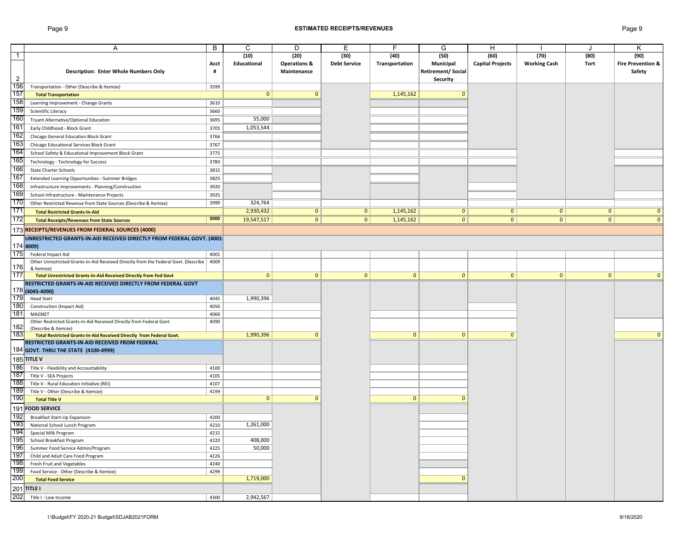## Page 9 **ESTIMATED RECEIPTS/REVENUES** Page 9

|                | Α                                                                                          | B            | C            | D                       | Е                       | F.             | G                        | H                       |                     | J            | Κ                            |
|----------------|--------------------------------------------------------------------------------------------|--------------|--------------|-------------------------|-------------------------|----------------|--------------------------|-------------------------|---------------------|--------------|------------------------------|
| $\mathbf{1}$   |                                                                                            |              | (10)         | (20)                    | (30)                    | (40)           | (50)                     | (60)                    | (70)                | (80)         | (90)                         |
|                |                                                                                            | Acct         | Educational  | <b>Operations &amp;</b> | <b>Debt Service</b>     | Transportation | Municipal                | <b>Capital Projects</b> | <b>Working Cash</b> | Tort         | <b>Fire Prevention &amp;</b> |
|                | <b>Description: Enter Whole Numbers Only</b>                                               | #            |              | Maintenance             |                         |                | <b>Retirement/Social</b> |                         |                     |              | Safety                       |
| $\overline{2}$ |                                                                                            |              |              |                         |                         |                | Security                 |                         |                     |              |                              |
| 156            | Transportation - Other (Describe & Itemize)                                                | 3599         |              |                         |                         |                |                          |                         |                     |              |                              |
| 157            | <b>Total Transportation</b>                                                                |              | $\mathbf{0}$ | $\mathbf{0}$            |                         | 1,145,162      | $\mathbf{0}$             |                         |                     |              |                              |
| 158            | Learning Improvement - Change Grants                                                       | 3610         |              |                         |                         |                |                          |                         |                     |              |                              |
| 159            | Scientific Literacy                                                                        | 3660         |              |                         |                         |                |                          |                         |                     |              |                              |
| 160            | Truant Alternative/Optional Education                                                      | 3695         | 55,000       |                         |                         |                |                          |                         |                     |              |                              |
| 161            | Early Childhood - Block Grant                                                              | 3705         | 1,053,544    |                         |                         |                |                          |                         |                     |              |                              |
| 162            | Chicago General Education Block Grant                                                      | 3766         |              |                         |                         |                |                          |                         |                     |              |                              |
| 163            | Chicago Educational Services Block Grant                                                   | 3767         |              |                         |                         |                |                          |                         |                     |              |                              |
| 164            | School Safety & Educational Improvement Block Grant                                        | 3775         |              |                         |                         |                |                          |                         |                     |              |                              |
| 165            | Technology - Technology for Success                                                        | 3780         |              |                         |                         |                |                          |                         |                     |              |                              |
| 166            | <b>State Charter Schools</b>                                                               | 3815         |              |                         |                         |                |                          |                         |                     |              |                              |
| 167            | Extended Learning Opportunities - Summer Bridges                                           | 3825         |              |                         |                         |                |                          |                         |                     |              |                              |
| 168            | Infrastructure Improvements - Planning/Construction                                        | 3920         |              |                         |                         |                |                          |                         |                     |              |                              |
| 169            | School Infrastructure - Maintenance Projects                                               | 3925         |              |                         |                         |                |                          |                         |                     |              |                              |
| 170            | Other Restricted Revenue from State Sources (Describe & Itemize)                           | 3999         | 324,764      |                         |                         |                |                          |                         |                     |              |                              |
| 171            | <b>Total Restricted Grants-In-Aid</b>                                                      |              | 2,930,432    | 0                       | 0                       | 1,145,162      | 0                        | 0                       | 0                   | 0            | $\mathbf{0}$                 |
| 172            | <b>Total Receipts/Revenues from State Sources</b>                                          | 3000         | 19,547,517   | 0                       | $\overline{\mathbf{0}}$ | 1,145,162      | 0                        | 0                       | $\overline{0}$      | 0            | $\overline{0}$               |
|                | 173 RECEIPTS/REVENUES FROM FEDERAL SOURCES (4000)                                          |              |              |                         |                         |                |                          |                         |                     |              |                              |
|                | UNRESTRICTED GRANTS-IN-AID RECEIVED DIRECTLY FROM FEDERAL GOVT. (4001-                     |              |              |                         |                         |                |                          |                         |                     |              |                              |
|                | 174 4009)                                                                                  |              |              |                         |                         |                |                          |                         |                     |              |                              |
| 175            | Federal Impact Aid                                                                         | 4001         |              |                         |                         |                |                          |                         |                     |              |                              |
|                | Other Unrestricted Grants-In-Aid Received Directly from the Federal Govt. (Describe   4009 |              |              |                         |                         |                |                          |                         |                     |              |                              |
| 176            | & Itemize)                                                                                 |              |              |                         |                         |                |                          |                         |                     |              |                              |
| 177            | Total Unrestricted Grants-In-Aid Received Directly from Fed Govt                           |              | $\mathbf{0}$ | $\mathbf{0}$            | $\mathbf{0}$            | $\mathbf{0}$   | $\mathbf{0}$             | $\mathbf{0}$            | $\mathbf{0}$        | $\mathbf{0}$ | $\mathbf{0}$                 |
|                | RESTRICTED GRANTS-IN-AID RECEIVED DIRECTLY FROM FEDERAL GOVT                               |              |              |                         |                         |                |                          |                         |                     |              |                              |
|                | 178 (4045-4090)                                                                            |              |              |                         |                         |                |                          |                         |                     |              |                              |
| 179            | <b>Head Start</b>                                                                          | 4045         | 1,990,396    |                         |                         |                |                          |                         |                     |              |                              |
| 180            | <b>Construction (Impact Aid)</b>                                                           | 4050         |              |                         |                         |                |                          |                         |                     |              |                              |
| 181            | MAGNET<br>Other Restricted Grants-In-Aid Received Directly from Federal Govt.              | 4060<br>4090 |              |                         |                         |                |                          |                         |                     |              |                              |
| 182            | (Describe & Itemize)                                                                       |              |              |                         |                         |                |                          |                         |                     |              |                              |
| 183            | Total Restricted Grants-In-Aid Received Directly from Federal Govt.                        |              | 1,990,396    | $\mathbf{0}$            |                         | $\mathbf{0}$   | $\mathbf{0}$             | $\mathbf{0}$            |                     |              | $\mathbf{0}$                 |
|                | RESTRICTED GRANTS-IN-AID RECEIVED FROM FEDERAL                                             |              |              |                         |                         |                |                          |                         |                     |              |                              |
|                | 184 GOVT. THRU THE STATE (4100-4999)                                                       |              |              |                         |                         |                |                          |                         |                     |              |                              |
|                | <b>185 TITLE V</b>                                                                         |              |              |                         |                         |                |                          |                         |                     |              |                              |
| 186            | Title V - Flexibility and Accountability                                                   | 4100         |              |                         |                         |                |                          |                         |                     |              |                              |
| 187            | Title V - SEA Projects                                                                     | 4105         |              |                         |                         |                |                          |                         |                     |              |                              |
| 188            | Title V - Rural Education Initiative (REI)                                                 | 4107         |              |                         |                         |                |                          |                         |                     |              |                              |
| 189            | Title V - Other (Describe & Itemize)                                                       | 4199         |              |                         |                         |                |                          |                         |                     |              |                              |
| 190            | <b>Total Title V</b>                                                                       |              | $\mathbf{0}$ | $\mathbf{0}$            |                         | $\mathbf{0}$   | $\Omega$                 |                         |                     |              |                              |
|                | 191 FOOD SERVICE                                                                           |              |              |                         |                         |                |                          |                         |                     |              |                              |
| 192            | Breakfast Start-Up Expansion                                                               | 4200         |              |                         |                         |                |                          |                         |                     |              |                              |
| 193            | National School Lunch Program                                                              | 4210         | 1,261,000    |                         |                         |                |                          |                         |                     |              |                              |
| 194            | Special Milk Program                                                                       | 4215         |              |                         |                         |                |                          |                         |                     |              |                              |
| 195            | School Breakfast Program                                                                   | 4220         | 408,000      |                         |                         |                |                          |                         |                     |              |                              |
| 196            | Summer Food Service Admin/Program                                                          | 4225         | 50,000       |                         |                         |                |                          |                         |                     |              |                              |
| 197            | Child and Adult Care Food Program                                                          | 4226         |              |                         |                         |                |                          |                         |                     |              |                              |
| 198            | Fresh Fruit and Vegetables                                                                 | 4240         |              |                         |                         |                |                          |                         |                     |              |                              |
| 199            | Food Service - Other (Describe & Itemize)                                                  | 4299         |              |                         |                         |                |                          |                         |                     |              |                              |
| 200            | <b>Total Food Service</b>                                                                  |              | 1,719,000    |                         |                         |                | $\mathbf{0}$             |                         |                     |              |                              |
|                | 201 TITLE I                                                                                |              |              |                         |                         |                |                          |                         |                     |              |                              |
| 202            | Title I - Low Income                                                                       | 4300         | 2,942,567    |                         |                         |                |                          |                         |                     |              |                              |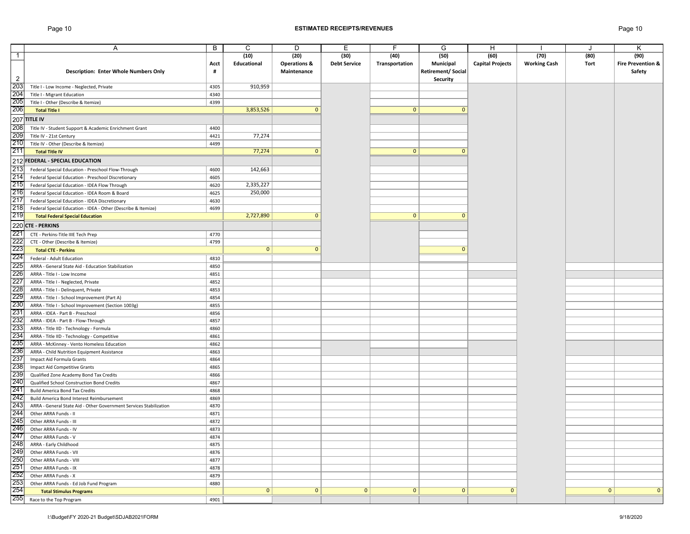# Page 10 **ESTIMATED RECEIPTS/REVENUES** Page 10

|                                                      | Α                                                                  | B            | C            | D                       | E                   | E              | G                        | Η                       |                     |              | Κ                            |
|------------------------------------------------------|--------------------------------------------------------------------|--------------|--------------|-------------------------|---------------------|----------------|--------------------------|-------------------------|---------------------|--------------|------------------------------|
| $\overline{1}$                                       |                                                                    |              | (10)         | (20)                    | (30)                | (40)           | (50)                     | (60)                    | (70)                | (80)         | (90)                         |
|                                                      |                                                                    | Acct         | Educational  | <b>Operations &amp;</b> | <b>Debt Service</b> | Transportation | Municipal                | <b>Capital Projects</b> | <b>Working Cash</b> | Tort         | <b>Fire Prevention &amp;</b> |
|                                                      | Description: Enter Whole Numbers Only                              | $\#$         |              | Maintenance             |                     |                | <b>Retirement/Social</b> |                         |                     |              | Safety                       |
| $\overline{2}$                                       |                                                                    |              |              |                         |                     |                | Security                 |                         |                     |              |                              |
| 203                                                  | Title I - Low Income - Neglected, Private                          | 4305         | 910,959      |                         |                     |                |                          |                         |                     |              |                              |
| 204                                                  | Title I - Migrant Education                                        | 4340         |              |                         |                     |                |                          |                         |                     |              |                              |
| 205                                                  | Title I - Other (Describe & Itemize)                               | 4399         |              |                         |                     |                |                          |                         |                     |              |                              |
| 206                                                  | <b>Total Title I</b>                                               |              | 3,853,526    | $\mathbf{0}$            |                     | $\overline{0}$ | $\mathbf{0}$             |                         |                     |              |                              |
|                                                      | 207 TITLE IV                                                       |              |              |                         |                     |                |                          |                         |                     |              |                              |
| 208                                                  |                                                                    |              |              |                         |                     |                |                          |                         |                     |              |                              |
| 209                                                  | Title IV - Student Support & Academic Enrichment Grant             | 4400         | 77,274       |                         |                     |                |                          |                         |                     |              |                              |
| 210                                                  | Title IV - 21st Century                                            | 4421<br>4499 |              |                         |                     |                |                          |                         |                     |              |                              |
| 211                                                  | Title IV - Other (Describe & Itemize)                              |              | 77,274       | $\mathbf{0}$            |                     | $\overline{0}$ | $\mathbf{0}$             |                         |                     |              |                              |
|                                                      | <b>Total Title IV</b>                                              |              |              |                         |                     |                |                          |                         |                     |              |                              |
|                                                      | 212 FEDERAL - SPECIAL EDUCATION                                    |              |              |                         |                     |                |                          |                         |                     |              |                              |
| 213                                                  | Federal Special Education - Preschool Flow-Through                 | 4600         | 142,663      |                         |                     |                |                          |                         |                     |              |                              |
| 214                                                  | Federal Special Education - Preschool Discretionary                | 4605         |              |                         |                     |                |                          |                         |                     |              |                              |
| 215                                                  | Federal Special Education - IDEA Flow Through                      | 4620         | 2,335,227    |                         |                     |                |                          |                         |                     |              |                              |
| 216                                                  | Federal Special Education - IDEA Room & Board                      | 4625         | 250,000      |                         |                     |                |                          |                         |                     |              |                              |
| 217                                                  | Federal Special Education - IDEA Discretionary                     | 4630         |              |                         |                     |                |                          |                         |                     |              |                              |
| 218                                                  | Federal Special Education - IDEA - Other (Describe & Itemize)      | 4699         |              |                         |                     |                |                          |                         |                     |              |                              |
| 219                                                  | <b>Total Federal Special Education</b>                             |              | 2,727,890    | $\Omega$                |                     | $\overline{0}$ | $\mathbf{0}$             |                         |                     |              |                              |
|                                                      | 220 CTE - PERKINS                                                  |              |              |                         |                     |                |                          |                         |                     |              |                              |
|                                                      | CTE - Perkins-Title IIIE Tech Prep                                 | 4770         |              |                         |                     |                |                          |                         |                     |              |                              |
| 221<br>222                                           | CTE - Other (Describe & Itemize)                                   | 4799         |              |                         |                     |                |                          |                         |                     |              |                              |
|                                                      | <b>Total CTE - Perkins</b>                                         |              | $\mathbf{0}$ | $\mathbf{0}$            |                     |                | $\overline{0}$           |                         |                     |              |                              |
|                                                      | Federal - Adult Education                                          | 4810         |              |                         |                     |                |                          |                         |                     |              |                              |
|                                                      | ARRA - General State Aid - Education Stabilization                 | 4850         |              |                         |                     |                |                          |                         |                     |              |                              |
|                                                      | ARRA - Title I - Low Income                                        | 4851         |              |                         |                     |                |                          |                         |                     |              |                              |
|                                                      | ARRA - Title I - Neglected, Private                                | 4852         |              |                         |                     |                |                          |                         |                     |              |                              |
|                                                      | ARRA - Title I - Delinquent, Private                               | 4853         |              |                         |                     |                |                          |                         |                     |              |                              |
|                                                      | ARRA - Title I - School Improvement (Part A)                       | 4854         |              |                         |                     |                |                          |                         |                     |              |                              |
|                                                      | ARRA - Title I - School Improvement (Section 1003g)                | 4855         |              |                         |                     |                |                          |                         |                     |              |                              |
|                                                      | ARRA - IDEA - Part B - Preschool                                   | 4856         |              |                         |                     |                |                          |                         |                     |              |                              |
|                                                      | ARRA - IDEA - Part B - Flow-Through                                | 4857         |              |                         |                     |                |                          |                         |                     |              |                              |
|                                                      | ARRA - Title IID - Technology - Formula                            | 4860         |              |                         |                     |                |                          |                         |                     |              |                              |
|                                                      | ARRA - Title IID - Technology - Competitive                        | 4861         |              |                         |                     |                |                          |                         |                     |              |                              |
|                                                      | ARRA - McKinney - Vento Homeless Education                         | 4862         |              |                         |                     |                |                          |                         |                     |              |                              |
|                                                      | ARRA - Child Nutrition Equipment Assistance                        | 4863         |              |                         |                     |                |                          |                         |                     |              |                              |
|                                                      | Impact Aid Formula Grants                                          | 4864         |              |                         |                     |                |                          |                         |                     |              |                              |
|                                                      | Impact Aid Competitive Grants                                      | 4865         |              |                         |                     |                |                          |                         |                     |              |                              |
|                                                      | Qualified Zone Academy Bond Tax Credits                            | 4866         |              |                         |                     |                |                          |                         |                     |              |                              |
|                                                      | Qualified School Construction Bond Credits                         | 4867         |              |                         |                     |                |                          |                         |                     |              |                              |
| 241                                                  | <b>Build America Bond Tax Credits</b>                              | 4868         |              |                         |                     |                |                          |                         |                     |              |                              |
| 242                                                  | Build America Bond Interest Reimbursement                          | 4869         |              |                         |                     |                |                          |                         |                     |              |                              |
|                                                      | ARRA - General State Aid - Other Government Services Stabilization | 4870         |              |                         |                     |                |                          |                         |                     |              |                              |
| 243<br>244                                           | Other ARRA Funds - II                                              | 4871         |              |                         |                     |                |                          |                         |                     |              |                              |
| 245                                                  | Other ARRA Funds - III                                             | 4872         |              |                         |                     |                |                          |                         |                     |              |                              |
| 246                                                  | Other ARRA Funds - IV                                              | 4873         |              |                         |                     |                |                          |                         |                     |              |                              |
| 247                                                  | Other ARRA Funds - V                                               | 4874         |              |                         |                     |                |                          |                         |                     |              |                              |
|                                                      | ARRA - Early Childhood                                             | 4875         |              |                         |                     |                |                          |                         |                     |              |                              |
| 248<br>249<br>250<br>251<br>252<br>253<br>254<br>255 | Other ARRA Funds - VII                                             | 4876         |              |                         |                     |                |                          |                         |                     |              |                              |
|                                                      | Other ARRA Funds - VIII                                            | 4877         |              |                         |                     |                |                          |                         |                     |              |                              |
|                                                      | Other ARRA Funds - IX                                              | 4878         |              |                         |                     |                |                          |                         |                     |              |                              |
|                                                      | Other ARRA Funds - X                                               | 4879         |              |                         |                     |                |                          |                         |                     |              |                              |
|                                                      | Other ARRA Funds - Ed Job Fund Program                             | 4880         |              |                         |                     |                |                          |                         |                     |              |                              |
|                                                      | <b>Total Stimulus Programs</b>                                     |              | 0            | $\mathbf{0}$            | $\mathbf{0}$        | 0              | 0                        | $\mathbf 0$             |                     | $\mathbf{0}$ | $\mathbf{0}$                 |
|                                                      | Race to the Top Program                                            | 4901         |              |                         |                     |                |                          |                         |                     |              |                              |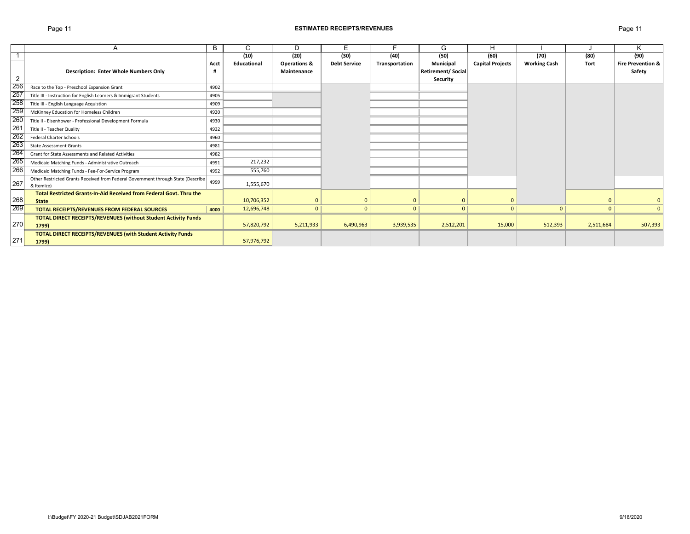# Page 11 **ESTIMATED RECEIPTS/REVENUES** Page 11

|                 |                                                                                  | B    | C           | D                       | E.                  |                | G                 | н                       |                     |              | ĸ                            |
|-----------------|----------------------------------------------------------------------------------|------|-------------|-------------------------|---------------------|----------------|-------------------|-------------------------|---------------------|--------------|------------------------------|
|                 |                                                                                  |      | (10)        | (20)                    | (30)                | (40)           | (50)              | (60)                    | (70)                | (80)         | (90)                         |
|                 |                                                                                  | Acct | Educational | <b>Operations &amp;</b> | <b>Debt Service</b> | Transportation | Municipal         | <b>Capital Projects</b> | <b>Working Cash</b> | Tort         | <b>Fire Prevention &amp;</b> |
|                 | <b>Description: Enter Whole Numbers Only</b>                                     | #    |             | Maintenance             |                     |                | Retirement/Social |                         |                     |              | Safety                       |
| 2               |                                                                                  |      |             |                         |                     |                | Security          |                         |                     |              |                              |
| 256             | Race to the Top - Preschool Expansion Grant                                      | 4902 |             |                         |                     |                |                   |                         |                     |              |                              |
| 257             | Title III - Instruction for English Learners & Immigrant Students                | 4905 |             |                         |                     |                |                   |                         |                     |              |                              |
| 258             | Title III - English Language Acquistion                                          | 4909 |             |                         |                     |                |                   |                         |                     |              |                              |
| 259             | McKinney Education for Homeless Children                                         | 4920 |             |                         |                     |                |                   |                         |                     |              |                              |
| 260             | Title II - Eisenhower - Professional Development Formula                         | 4930 |             |                         |                     |                |                   |                         |                     |              |                              |
| 26 <sup>7</sup> | Title II - Teacher Quality                                                       | 4932 |             |                         |                     |                |                   |                         |                     |              |                              |
| 262             | <b>Federal Charter Schools</b>                                                   | 4960 |             |                         |                     |                |                   |                         |                     |              |                              |
| 263             | <b>State Assessment Grants</b>                                                   | 4981 |             |                         |                     |                |                   |                         |                     |              |                              |
| 264             | Grant for State Assessments and Related Activities                               | 4982 |             |                         |                     |                |                   |                         |                     |              |                              |
| 265             | Medicaid Matching Funds - Administrative Outreach                                | 4991 | 217,232     |                         |                     |                |                   |                         |                     |              |                              |
| 266             | Medicaid Matching Funds - Fee-For-Service Program                                | 4992 | 555,760     |                         |                     |                |                   |                         |                     |              |                              |
|                 | Other Restricted Grants Received from Federal Government through State (Describe | 4999 |             |                         |                     |                |                   |                         |                     |              |                              |
| 267             | & Itemize)                                                                       |      | 1,555,670   |                         |                     |                |                   |                         |                     |              |                              |
|                 | Total Restricted Grants-In-Aid Received from Federal Govt. Thru the              |      |             |                         |                     |                |                   |                         |                     |              |                              |
| 268             | <b>State</b>                                                                     |      | 10,706,352  | $\mathbf{0}$            |                     | $\mathbf{0}$   | $\Omega$          | $\Omega$                |                     | $\Omega$     | $\mathbf{0}$                 |
| 269             | <b>TOTAL RECEIPTS/REVENUES FROM FEDERAL SOURCES</b>                              | 4000 | 12,696,748  | 0 <sup>1</sup>          | $\Omega$            | $\mathbf{0}$   | 0 <sup>1</sup>    | $\mathbf{0}$            | $\mathbf{0}$        | $\mathbf{0}$ | $\mathbf{0}$                 |
|                 | <b>TOTAL DIRECT RECEIPTS/REVENUES (without Student Activity Funds</b>            |      |             |                         |                     |                |                   |                         |                     |              |                              |
| 270             | 1799)                                                                            |      | 57,820,792  | 5,211,933               | 6,490,963           | 3,939,535      | 2,512,201         | 15,000                  | 512,393             | 2,511,684    | 507,393                      |
|                 | TOTAL DIRECT RECEIPTS/REVENUES (with Student Activity Funds                      |      |             |                         |                     |                |                   |                         |                     |              |                              |
| 271             | 1799)                                                                            |      | 57,976,792  |                         |                     |                |                   |                         |                     |              |                              |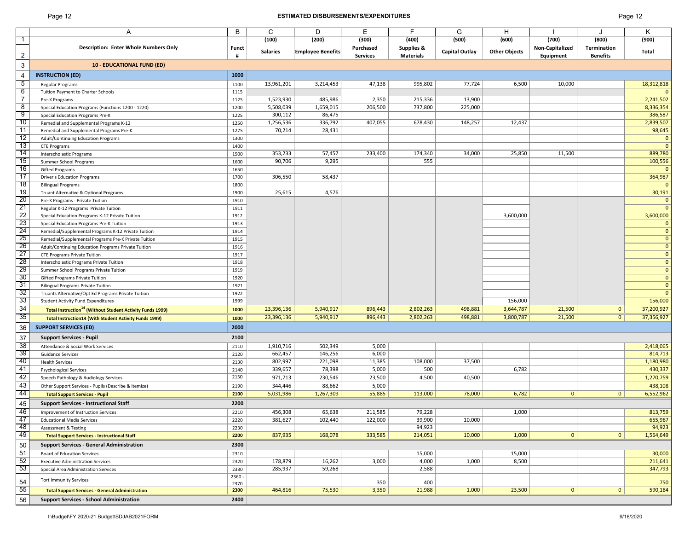# Page 12 **ESTIMATED DISBURSEMENTS/EXPENDITURES** Page 12

|                | A                                                                                                | В            | C                  | D                        | E               | F                     | G              | н                    |                 |                 | Κ                            |
|----------------|--------------------------------------------------------------------------------------------------|--------------|--------------------|--------------------------|-----------------|-----------------------|----------------|----------------------|-----------------|-----------------|------------------------------|
| $\overline{1}$ |                                                                                                  |              | (100)              | (200)                    | (300)           | (400)                 | (500)          | (600)                | (700)           | (800)           | (900)                        |
|                | <b>Description: Enter Whole Numbers Only</b>                                                     | <b>Funct</b> |                    |                          | Purchased       | <b>Supplies &amp;</b> |                |                      | Non-Capitalized | Termination     |                              |
|                |                                                                                                  | #            | <b>Salaries</b>    | <b>Employee Benefits</b> | <b>Services</b> | <b>Materials</b>      | Capital Outlay | <b>Other Objects</b> | Equipment       | <b>Benefits</b> | Total                        |
| 3              | <b>10 - EDUCATIONAL FUND (ED)</b>                                                                |              |                    |                          |                 |                       |                |                      |                 |                 |                              |
| $\overline{4}$ | <b>INSTRUCTION (ED)</b>                                                                          | 1000         |                    |                          |                 |                       |                |                      |                 |                 |                              |
| $\overline{5}$ | Regular Programs                                                                                 | 1100         | 13,961,201         | 3,214,453                | 47,138          | 995,802               | 77,724         | 6,500                | 10,000          |                 | 18,312,818                   |
| 6              | Tuition Payment to Charter Schools                                                               | 1115         |                    |                          |                 |                       |                |                      |                 |                 |                              |
| $\overline{7}$ | Pre-K Programs                                                                                   | 1125         | 1,523,930          | 485,986                  | 2,350           | 215,336               | 13,900         |                      |                 |                 | 2,241,502                    |
| 8              | Special Education Programs (Functions 1200 - 1220)                                               | 1200         | 5,508,039          | 1,659,015                | 206,500         | 737,800               | 225,000        |                      |                 |                 | 8,336,354                    |
| -9             | Special Education Programs Pre-K                                                                 | 1225         | 300,112            | 86,475                   |                 |                       |                |                      |                 |                 | 386,587                      |
| 10             | Remedial and Supplemental Programs K-12                                                          | 1250         | 1,256,536          | 336,792                  | 407,055         | 678,430               | 148,257        | 12,437               |                 |                 | 2,839,507                    |
| 11             | Remedial and Supplemental Programs Pre-K                                                         | 1275         | 70,214             | 28,431                   |                 |                       |                |                      |                 |                 | 98,645                       |
| 12             | Adult/Continuing Education Programs                                                              | 1300         |                    |                          |                 |                       |                |                      |                 |                 | $\mathbf 0$                  |
| 13<br>14       | <b>CTE Programs</b>                                                                              | 1400         |                    |                          |                 |                       |                |                      |                 |                 | $\mathbf{0}$                 |
| 15             | Interscholastic Programs                                                                         | 1500         | 353,233            | 57,457<br>9,295          | 233,400         | 174,340<br>555        | 34,000         | 25,850               | 11,500          |                 | 889,780                      |
| 16             | Summer School Programs                                                                           | 1600<br>1650 | 90,706             |                          |                 |                       |                |                      |                 |                 | 100,556<br>$\mathbf 0$       |
| 17             | <b>Gifted Programs</b><br><b>Driver's Education Programs</b>                                     | 1700         | 306,550            | 58,437                   |                 |                       |                |                      |                 |                 | 364,987                      |
| 18             | <b>Bilingual Programs</b>                                                                        | 1800         |                    |                          |                 |                       |                |                      |                 |                 | $\Omega$                     |
| 19             | Truant Alternative & Optional Programs                                                           | 1900         | 25,615             | 4,576                    |                 |                       |                |                      |                 |                 | 30,191                       |
| 20             | Pre-K Programs - Private Tuition                                                                 | 1910         |                    |                          |                 |                       |                |                      |                 |                 | $\mathbf 0$                  |
| 21             | Regular K-12 Programs Private Tuition                                                            | 1911         |                    |                          |                 |                       |                |                      |                 |                 | $\mathbf{0}$                 |
| 22             | Special Education Programs K-12 Private Tuition                                                  | 1912         |                    |                          |                 |                       |                | 3,600,000            |                 |                 | 3,600,000                    |
| 23             | Special Education Programs Pre-K Tuition                                                         | 1913         |                    |                          |                 |                       |                |                      |                 |                 | $\mathbf 0$                  |
| 24             | Remedial/Supplemental Programs K-12 Private Tuition                                              | 1914         |                    |                          |                 |                       |                |                      |                 |                 | $\mathbf{0}$                 |
| 25             | Remedial/Supplemental Programs Pre-K Private Tuition                                             | 1915         |                    |                          |                 |                       |                |                      |                 |                 | $\mathbf{0}$                 |
| 26             | Adult/Continuing Education Programs Private Tuition                                              | 1916         |                    |                          |                 |                       |                |                      |                 |                 | $\mathbf{0}$                 |
| 27             | <b>CTE Programs Private Tuition</b>                                                              | 1917         |                    |                          |                 |                       |                |                      |                 |                 | $\mathbf 0$                  |
| 28             | Interscholastic Programs Private Tuition                                                         | 1918         |                    |                          |                 |                       |                |                      |                 |                 | $\mathbf 0$                  |
| 29             | Summer School Programs Private Tuition                                                           | 1919         |                    |                          |                 |                       |                |                      |                 |                 | $\mathbf 0$                  |
| 30<br>31       | Gifted Programs Private Tuition                                                                  | 1920         |                    |                          |                 |                       |                |                      |                 |                 | $\mathbf{0}$<br>$\mathbf{0}$ |
| 32             | <b>Bilingual Programs Private Tuition</b>                                                        | 1921<br>1922 |                    |                          |                 |                       |                |                      |                 |                 | $\mathbf{0}$                 |
| 33             | Truants Alternative/Opt Ed Programs Private Tuition<br><b>Student Activity Fund Expenditures</b> | 1999         |                    |                          |                 |                       |                | 156,000              |                 |                 | 156,000                      |
| 34             | Total Instruction <sup>14</sup> (Without Student Activity Funds 1999)                            | 1000         | 23,396,136         | 5,940,917                | 896,443         | 2,802,263             | 498,881        | 3,644,787            | 21,500          | $\mathbf{0}$    | 37,200,927                   |
| 35             |                                                                                                  |              | 23,396,136         | 5,940,917                | 896,443         | 2,802,263             | 498,881        | 3,800,787            | 21,500          | 0               | 37,356,927                   |
|                | <b>Total Instruction14 (With Student Activity Funds 1999)</b>                                    | 1000         |                    |                          |                 |                       |                |                      |                 |                 |                              |
| 36             | <b>SUPPORT SERVICES (ED)</b>                                                                     | 2000         |                    |                          |                 |                       |                |                      |                 |                 |                              |
| 37             | <b>Support Services - Pupil</b>                                                                  | 2100         |                    |                          |                 |                       |                |                      |                 |                 |                              |
| 38<br>39       | Attendance & Social Work Services                                                                | 2110         | 1,910,716          | 502,349                  | 5,000           |                       |                |                      |                 |                 | 2,418,065                    |
| 40             | <b>Guidance Services</b>                                                                         | 2120         | 662,457<br>802,997 | 146,256<br>221,098       | 6,000           |                       | 37,500         |                      |                 |                 | 814,713                      |
| 41             | <b>Health Services</b><br><b>Psychological Services</b>                                          | 2130<br>2140 | 339,657            | 78,398                   | 11,385<br>5,000 | 108,000<br>500        |                | 6,782                |                 |                 | 1,180,980<br>430,337         |
| 42             | Speech Pathology & Audiology Services                                                            | 2150         | 971,713            | 230,546                  | 23,500          | 4,500                 | 40,500         |                      |                 |                 | 1,270,759                    |
| 43             | Other Support Services - Pupils (Describe & Itemize)                                             | 2190         | 344,446            | 88,662                   | 5,000           |                       |                |                      |                 |                 | 438,108                      |
| 44             | <b>Total Support Services - Pupil</b>                                                            | 2100         | 5,031,986          | 1,267,309                | 55,885          | 113,000               | 78,000         | 6,782                | $\mathbf{0}$    | $\overline{0}$  | 6,552,962                    |
|                |                                                                                                  |              |                    |                          |                 |                       |                |                      |                 |                 |                              |
| 45<br>46       | <b>Support Services - Instructional Staff</b>                                                    | 2200         |                    |                          |                 |                       |                |                      |                 |                 |                              |
| 47             | Improvement of Instruction Services                                                              | 2210         | 456,308            | 65,638                   | 211,585         | 79,228                |                | 1,000                |                 |                 | 813,759                      |
| 48             | <b>Educational Media Services</b>                                                                | 2220         | 381,627            | 102,440                  | 122,000         | 39,900                | 10,000         |                      |                 |                 | 655,967                      |
| 49             | Assessment & Testing<br><b>Total Support Services - Instructional Staff</b>                      | 2230<br>2200 | 837,935            | 168,078                  | 333,585         | 94,923<br>214,051     | 10,000         | 1,000                | $\mathbf{0}$    | 0               | 94,923<br>1,564,649          |
|                |                                                                                                  |              |                    |                          |                 |                       |                |                      |                 |                 |                              |
| 50<br>51       | <b>Support Services - General Administration</b>                                                 | 2300         |                    |                          |                 |                       |                |                      |                 |                 |                              |
| 52             | Board of Education Services                                                                      | 2310         |                    |                          |                 | 15,000                |                | 15,000               |                 |                 | 30,000                       |
| 53             | <b>Executive Administration Services</b><br>Special Area Administration Services                 | 2320<br>2330 | 178,879<br>285,937 | 16,262<br>59,268         | 3,000           | 4,000<br>2,588        | 1,000          | 8,500                |                 |                 | 211,641<br>347,793           |
|                |                                                                                                  | $2360 -$     |                    |                          |                 |                       |                |                      |                 |                 |                              |
| 54             | <b>Tort Immunity Services</b>                                                                    | 2370         |                    |                          | 350             | 400                   |                |                      |                 |                 | 750                          |
| 55             | <b>Total Support Services - General Administration</b>                                           | 2300         | 464,816            | 75,530                   | 3,350           | 21,988                | 1,000          | 23,500               | 0               | 0               | 590,184                      |
| 56             | <b>Support Services - School Administration</b>                                                  | 2400         |                    |                          |                 |                       |                |                      |                 |                 |                              |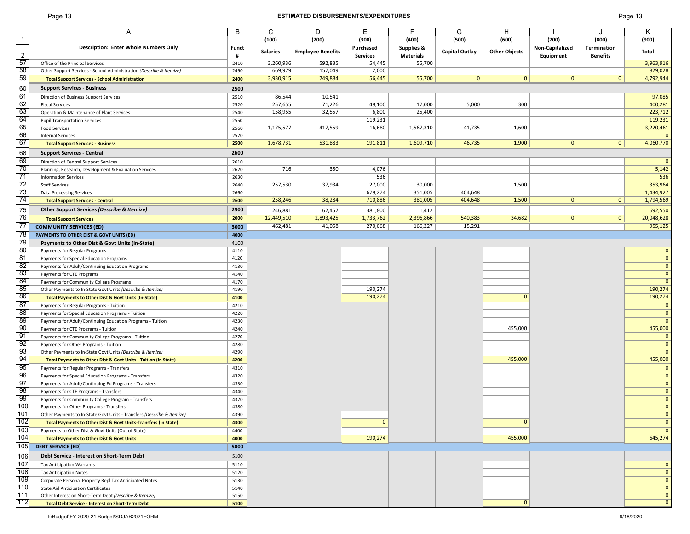# Page 13 **ESTIMATED DISBURSEMENTS/EXPENDITURES** Page 13

| Page 13 |  |  |
|---------|--|--|
|         |  |  |

|                 |                                                                                                       | B            |                 | D                 | E                         | F.                         |                | H                    |                 |                 |                              |
|-----------------|-------------------------------------------------------------------------------------------------------|--------------|-----------------|-------------------|---------------------------|----------------------------|----------------|----------------------|-----------------|-----------------|------------------------------|
| $\mathbf{1}$    | Α                                                                                                     |              | C<br>(100)      | (200)             | (300)                     | (400)                      | G<br>(500)     | (600)                | (700)           | (800)           | Κ<br>(900)                   |
|                 | <b>Description: Enter Whole Numbers Only</b>                                                          |              |                 |                   |                           |                            |                |                      |                 |                 |                              |
| $\overline{2}$  |                                                                                                       | <b>Funct</b> | <b>Salaries</b> | Employee Benefits | Purchased                 | Supplies &                 | Capital Outlay | <b>Other Objects</b> | Non-Capitalized | Termination     | Total                        |
| 57              | Office of the Principal Services                                                                      | #<br>2410    | 3,260,936       | 592,835           | <b>Services</b><br>54,445 | <b>Materials</b><br>55,700 |                |                      | Equipment       | <b>Benefits</b> | 3,963,916                    |
| 58              | Other Support Services - School Administration (Describe & Itemize)                                   | 2490         | 669,979         | 157,049           | 2,000                     |                            |                |                      |                 |                 | 829,028                      |
| 59              | <b>Total Support Services - School Administration</b>                                                 | 2400         | 3,930,915       | 749,884           | 56,445                    | 55,700                     | 0              | $\mathbf{0}$         | $\mathbf{0}$    | 0               | 4,792,944                    |
| 60              | <b>Support Services - Business</b>                                                                    | 2500         |                 |                   |                           |                            |                |                      |                 |                 |                              |
| 61              | Direction of Business Support Services                                                                | 2510         | 86,544          | 10,541            |                           |                            |                |                      |                 |                 | 97,085                       |
| 62              | <b>Fiscal Services</b>                                                                                | 2520         | 257,655         | 71,226            | 49,100                    | 17,000                     | 5,000          | 300                  |                 |                 | 400,281                      |
| 63              | Operation & Maintenance of Plant Services                                                             | 2540         | 158,955         | 32,557            | 6,800                     | 25,400                     |                |                      |                 |                 | 223,712                      |
| 64              | <b>Pupil Transportation Services</b>                                                                  | 2550         |                 |                   | 119,231                   |                            |                |                      |                 |                 | 119,231                      |
| 65              | <b>Food Services</b>                                                                                  | 2560         | 1,175,577       | 417,559           | 16,680                    | 1,567,310                  | 41,735         | 1,600                |                 |                 | 3,220,461                    |
| 66              | <b>Internal Services</b>                                                                              | 2570         |                 |                   |                           |                            |                |                      |                 |                 | $\mathbf{0}$                 |
| 67              | <b>Total Support Services - Business</b>                                                              | 2500         | 1,678,731       | 531,883           | 191,811                   | 1,609,710                  | 46,735         | 1,900                | $\mathbf{0}$    | $\mathbf{0}$    | 4,060,770                    |
| 68              | <b>Support Services - Central</b>                                                                     | 2600         |                 |                   |                           |                            |                |                      |                 |                 |                              |
| 69              |                                                                                                       |              |                 |                   |                           |                            |                |                      |                 |                 | $\mathbf{0}$                 |
| 70              | Direction of Central Support Services                                                                 | 2610         | 716             | 350               | 4,076                     |                            |                |                      |                 |                 | 5,142                        |
| 71              | Planning, Research, Development & Evaluation Services                                                 | 2620         |                 |                   | 536                       |                            |                |                      |                 |                 | 536                          |
| 72              | <b>Information Services</b><br><b>Staff Services</b>                                                  | 2630<br>2640 | 257,530         | 37,934            | 27,000                    | 30,000                     |                | 1,500                |                 |                 | 353,964                      |
| 73              |                                                                                                       | 2660         |                 |                   | 679,274                   | 351,005                    | 404,648        |                      |                 |                 | 1,434,927                    |
| 74              | <b>Data Processing Services</b>                                                                       | 2600         | 258,246         | 38,284            | 710,886                   | 381,005                    | 404,648        | 1,500                | $\mathbf{0}$    | $\mathbf{0}$    | 1,794,569                    |
|                 | <b>Total Support Services - Central</b>                                                               |              |                 |                   |                           |                            |                |                      |                 |                 |                              |
| 75<br>-76       | Other Support Services (Describe & Itemize)                                                           | 2900         | 246,881         | 62,457            | 381,800                   | 1,412                      |                |                      |                 |                 | 692,550                      |
| 77              | <b>Total Support Services</b>                                                                         | 2000         | 12,449,510      | 2,893,425         | 1,733,762                 | 2,396,866                  | 540,383        | 34,682               | $\mathbf{0}$    | $\mathbf{0}$    | 20,048,628                   |
|                 | <b>COMMUNITY SERVICES (ED)</b>                                                                        | 3000         | 462,481         | 41,058            | 270,068                   | 166,227                    | 15,291         |                      |                 |                 | 955,125                      |
| 78<br>79        | PAYMENTS TO OTHER DIST & GOVT UNITS (ED)                                                              | 4000         |                 |                   |                           |                            |                |                      |                 |                 |                              |
| -80             | Payments to Other Dist & Govt Units (In-State)                                                        | 4100         |                 |                   |                           |                            |                |                      |                 |                 |                              |
| 81              | Payments for Regular Programs                                                                         | 4110         |                 |                   |                           |                            |                |                      |                 |                 | $\mathbf{0}$                 |
| 82              | Payments for Special Education Programs                                                               | 4120         |                 |                   |                           |                            |                |                      |                 |                 | $\mathbf{0}$                 |
| 83              | Payments for Adult/Continuing Education Programs                                                      | 4130         |                 |                   |                           |                            |                |                      |                 |                 | $\mathbf{0}$<br>$\mathbf{0}$ |
| 84              | Payments for CTE Programs                                                                             | 4140<br>4170 |                 |                   |                           |                            |                |                      |                 |                 | $\mathbf{0}$                 |
| 85              | Payments for Community College Programs<br>Other Payments to In-State Govt Units (Describe & Itemize) | 4190         |                 |                   | 190,274                   |                            |                |                      |                 |                 | 190,274                      |
| 86              | Total Payments to Other Dist & Govt Units (In-State)                                                  | 4100         |                 |                   | 190,274                   |                            |                | $\mathbf{0}$         |                 |                 | 190,274                      |
| 87              | Payments for Regular Programs - Tuition                                                               | 4210         |                 |                   |                           |                            |                |                      |                 |                 | $\mathbf{0}$                 |
| 88              | Payments for Special Education Programs - Tuition                                                     | 4220         |                 |                   |                           |                            |                |                      |                 |                 | $\mathbf{0}$                 |
| 89              | Payments for Adult/Continuing Education Programs - Tuition                                            | 4230         |                 |                   |                           |                            |                |                      |                 |                 | $\mathbf{0}$                 |
| 90              | Payments for CTE Programs - Tuition                                                                   | 4240         |                 |                   |                           |                            |                | 455,000              |                 |                 | 455,000                      |
| 91              | Payments for Community College Programs - Tuition                                                     | 4270         |                 |                   |                           |                            |                |                      |                 |                 | $\mathbf 0$                  |
| 92              | Payments for Other Programs - Tuition                                                                 | 4280         |                 |                   |                           |                            |                |                      |                 |                 | $\mathbf{0}$                 |
| 93              | Other Payments to In-State Govt Units (Describe & Itemize)                                            | 4290         |                 |                   |                           |                            |                |                      |                 |                 | $\mathbf{0}$                 |
| 94              | Total Payments to Other Dist & Govt Units - Tuition (In State)                                        | 4200         |                 |                   |                           |                            |                | 455,000              |                 |                 | 455,000                      |
| 95              | Payments for Regular Programs - Transfers                                                             | 4310         |                 |                   |                           |                            |                |                      |                 |                 | $\mathbf{0}$                 |
| 96              | Payments for Special Education Programs - Transfers                                                   | 4320         |                 |                   |                           |                            |                |                      |                 |                 | $\mathbf{0}$                 |
| 97              | Payments for Adult/Continuing Ed Programs - Transfers                                                 | 4330         |                 |                   |                           |                            |                |                      |                 |                 | $\mathbf{0}$                 |
| 98              | Payments for CTE Programs - Transfers                                                                 | 4340         |                 |                   |                           |                            |                |                      |                 |                 | $\mathbf{0}$                 |
| 99              | Payments for Community College Program - Transfers                                                    | 4370         |                 |                   |                           |                            |                |                      |                 |                 | $\mathbf{0}$                 |
| 10 <sup>°</sup> | Payments for Other Programs - Transfers                                                               | 4380         |                 |                   |                           |                            |                |                      |                 |                 | $\mathbf{0}$                 |
| 101             | Other Payments to In-State Govt Units - Transfers (Describe & Itemize)                                | 4390         |                 |                   |                           |                            |                |                      |                 |                 | $\mathbf{0}$                 |
| 102             | Total Payments to Other Dist & Govt Units-Transfers (In State)                                        | 4300         |                 |                   | $\mathbf{0}$              |                            |                | $\mathbf{0}$         |                 |                 | $\mathbf{0}$                 |
| 103             | Payments to Other Dist & Govt Units (Out of State)                                                    | 4400         |                 |                   |                           |                            |                |                      |                 |                 | $\mathbf{0}$                 |
| 104             | <b>Total Payments to Other Dist &amp; Govt Units</b>                                                  | 4000         |                 |                   | 190,274                   |                            |                | 455,000              |                 |                 | 645,274                      |
| 105             | <b>DEBT SERVICE (ED)</b>                                                                              | 5000         |                 |                   |                           |                            |                |                      |                 |                 |                              |
| 106             | Debt Service - Interest on Short-Term Debt                                                            | 5100         |                 |                   |                           |                            |                |                      |                 |                 |                              |
| 107             | <b>Tax Anticipation Warrants</b>                                                                      | 5110         |                 |                   |                           |                            |                |                      |                 |                 | $\mathbf{0}$                 |
| 108             | <b>Tax Anticipation Notes</b>                                                                         | 5120         |                 |                   |                           |                            |                |                      |                 |                 | $\mathbf{0}$                 |
| 109             | Corporate Personal Property Repl Tax Anticipated Notes                                                | 5130         |                 |                   |                           |                            |                |                      |                 |                 | $\mathbf{0}$                 |
| 110             | <b>State Aid Anticipation Certificates</b>                                                            | 5140         |                 |                   |                           |                            |                |                      |                 |                 | $\mathbf{0}$                 |
| 111             | Other Interest on Short-Term Debt (Describe & Itemize)                                                | 5150         |                 |                   |                           |                            |                |                      |                 |                 | $\mathbf{0}$                 |
| [112            | Total Debt Service - Interest on Short-Term Debt                                                      | 5100         |                 |                   |                           |                            |                | $\mathbf{0}$         |                 |                 | $\mathbf{0}$                 |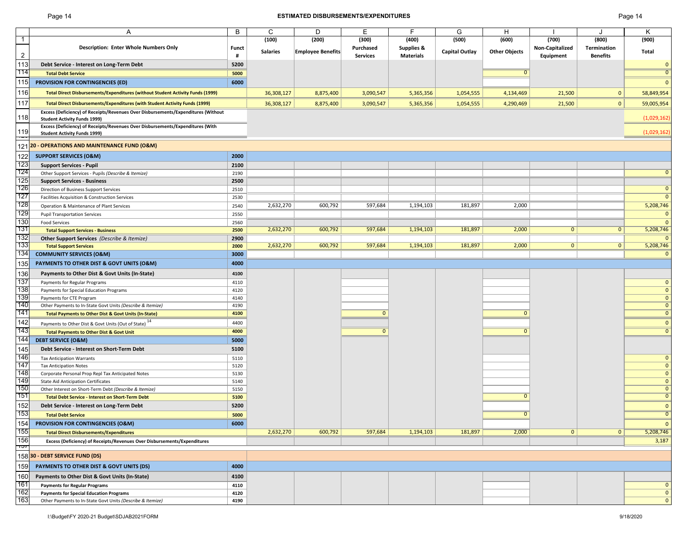# **Page 14 ESTIMATED DISBURSEMENTS/EXPENDITURES Page 14 Page 14 Page 14**

|                | Α                                                                                 | В            | C               | D                        | E               | F                | G              | Η                    |                 |                 | Κ              |
|----------------|-----------------------------------------------------------------------------------|--------------|-----------------|--------------------------|-----------------|------------------|----------------|----------------------|-----------------|-----------------|----------------|
| $\mathbf{1}$   |                                                                                   |              | (100)           | (200)                    | (300)           | (400)            | (500)          | (600)                | (700)           | (800)           | (900)          |
|                | <b>Description: Enter Whole Numbers Only</b>                                      | <b>Funct</b> |                 |                          | Purchased       | Supplies &       | Capital Outlay |                      | Non-Capitalized | Termination     |                |
| $\overline{2}$ |                                                                                   | #            | <b>Salaries</b> | <b>Employee Benefits</b> | <b>Services</b> | <b>Materials</b> |                | <b>Other Objects</b> | Equipment       | <b>Benefits</b> | Total          |
| 113            | Debt Service - Interest on Long-Term Debt                                         | 5200         |                 |                          |                 |                  |                |                      |                 |                 | $\mathbf 0$    |
| 114            | <b>Total Debt Service</b>                                                         | 5000         |                 |                          |                 |                  |                | $\overline{0}$       |                 |                 | $\overline{0}$ |
| 115            |                                                                                   | 6000         |                 |                          |                 |                  |                |                      |                 |                 |                |
|                | PROVISION FOR CONTINGENCIES (ED)                                                  |              |                 |                          |                 |                  |                |                      |                 |                 | $\mathbf{0}$   |
| 116            | Total Direct Disbursements/Expenditures (without Student Activity Funds (1999)    |              | 36,308,127      | 8,875,400                | 3,090,547       | 5,365,356        | 1,054,555      | 4,134,469            | 21,500          | $\mathbf{0}$    | 58,849,954     |
| 117            | Total Direct Disbursements/Expenditures (with Student Activity Funds (1999)       |              | 36,308,127      | 8,875,400                | 3,090,547       | 5,365,356        | 1,054,555      | 4,290,469            | 21,500          | $\mathbf{0}$    | 59,005,954     |
|                | Excess (Deficiency) of Receipts/Revenues Over Disbursements/Expenditures (Without |              |                 |                          |                 |                  |                |                      |                 |                 |                |
| 118            | <b>Student Activity Funds 1999)</b>                                               |              |                 |                          |                 |                  |                |                      |                 |                 | (1,029,162)    |
|                | Excess (Deficiency) of Receipts/Revenues Over Disbursements/Expenditures (With    |              |                 |                          |                 |                  |                |                      |                 |                 |                |
| 119            | <b>Student Activity Funds 1999)</b>                                               |              |                 |                          |                 |                  |                |                      |                 |                 | (1,029,162)    |
|                | 121 20 - OPERATIONS AND MAINTENANCE FUND (O&M)                                    |              |                 |                          |                 |                  |                |                      |                 |                 |                |
|                |                                                                                   |              |                 |                          |                 |                  |                |                      |                 |                 |                |
| 122            | <b>SUPPORT SERVICES (O&amp;M)</b>                                                 | 2000         |                 |                          |                 |                  |                |                      |                 |                 |                |
| 123            | <b>Support Services - Pupil</b>                                                   | 2100         |                 |                          |                 |                  |                |                      |                 |                 |                |
| 124            | Other Support Services - Pupils (Describe & Itemize)                              | 2190         |                 |                          |                 |                  |                |                      |                 |                 | $\mathbf{0}$   |
| 125            | <b>Support Services - Business</b>                                                | 2500         |                 |                          |                 |                  |                |                      |                 |                 |                |
| 126            | Direction of Business Support Services                                            | 2510         |                 |                          |                 |                  |                |                      |                 |                 | $\overline{0}$ |
| 127            | Facilities Acquisition & Construction Services                                    | 2530         |                 |                          |                 |                  |                |                      |                 |                 | $\mathbf{0}$   |
| 128            | Operation & Maintenance of Plant Services                                         | 2540         | 2,632,270       | 600,792                  | 597,684         | 1,194,103        | 181,897        | 2,000                |                 |                 | 5,208,746      |
| 129            | <b>Pupil Transportation Services</b>                                              | 2550         |                 |                          |                 |                  |                |                      |                 |                 | $\mathbf{0}$   |
| 130            | <b>Food Services</b>                                                              | 2560         |                 |                          |                 |                  |                |                      |                 |                 | $\Omega$       |
| 131            | <b>Total Support Services - Business</b>                                          | 2500         | 2,632,270       | 600,792                  | 597,684         | 1,194,103        | 181,897        | 2,000                | $\mathbf{0}$    | $\mathbf{0}$    | 5,208,746      |
| 132            | <b>Other Support Services</b> (Describe & Itemize)                                | 2900         |                 |                          |                 |                  |                |                      |                 |                 | $\Omega$       |
| 133            | <b>Total Support Services</b>                                                     | 2000         | 2,632,270       | 600,792                  | 597,684         | 1,194,103        | 181,897        | 2,000                | $\mathbf{0}$    | $\mathbf{0}$    | 5,208,746      |
| 134            | <b>COMMUNITY SERVICES (O&amp;M)</b>                                               | 3000         |                 |                          |                 |                  |                |                      |                 |                 | $\overline{0}$ |
| 135            | PAYMENTS TO OTHER DIST & GOVT UNITS (O&M)                                         | 4000         |                 |                          |                 |                  |                |                      |                 |                 |                |
|                |                                                                                   |              |                 |                          |                 |                  |                |                      |                 |                 |                |
| 136            | Payments to Other Dist & Govt Units (In-State)                                    | 4100         |                 |                          |                 |                  |                |                      |                 |                 |                |
| 137            | Payments for Regular Programs                                                     | 4110         |                 |                          |                 |                  |                |                      |                 |                 | $\mathbf{0}$   |
| 138            | Payments for Special Education Programs                                           | 4120         |                 |                          |                 |                  |                |                      |                 |                 | $\mathbf{0}$   |
| 139            | Payments for CTE Program                                                          | 4140         |                 |                          |                 |                  |                |                      |                 |                 | $\mathbf{0}$   |
| 140            | Other Payments to In-State Govt Units (Describe & Itemize)                        | 4190         |                 |                          |                 |                  |                |                      |                 |                 | $\mathbf{0}$   |
| 141            | <b>Total Payments to Other Dist &amp; Govt Units (In-State)</b>                   | 4100         |                 |                          | $\Omega$        |                  |                | $\mathbf{0}$         |                 |                 | $\mathbf{0}$   |
| 142            | Payments to Other Dist & Govt Units (Out of State) <sup>14</sup>                  | 4400         |                 |                          |                 |                  |                |                      |                 |                 | $\mathbf{0}$   |
| 143            | <b>Total Payments to Other Dist &amp; Govt Unit</b>                               | 4000         |                 |                          | $\mathbf{0}$    |                  |                | $\mathbf{0}$         |                 |                 | $\mathbf{0}$   |
| 144            | <b>DEBT SERVICE (O&amp;M)</b>                                                     | 5000         |                 |                          |                 |                  |                |                      |                 |                 |                |
| 145            | Debt Service - Interest on Short-Term Debt                                        | 5100         |                 |                          |                 |                  |                |                      |                 |                 |                |
| 146            | <b>Tax Anticipation Warrants</b>                                                  | 5110         |                 |                          |                 |                  |                |                      |                 |                 | $\mathbf 0$    |
| 147            | <b>Tax Anticipation Notes</b>                                                     | 5120         |                 |                          |                 |                  |                |                      |                 |                 | $\mathbf{0}$   |
| 148            | Corporate Personal Prop Repl Tax Anticipated Notes                                | 5130         |                 |                          |                 |                  |                |                      |                 |                 | $\mathbf{0}$   |
| 149            | <b>State Aid Anticipation Certificates</b>                                        | 5140         |                 |                          |                 |                  |                |                      |                 |                 | $\mathbf{0}$   |
| 150            | Other Interest on Short-Term Debt (Describe & Itemize)                            | 5150         |                 |                          |                 |                  |                |                      |                 |                 | $\mathbf{0}$   |
| 151            | Total Debt Service - Interest on Short-Term Debt                                  | 5100         |                 |                          |                 |                  |                | $\Omega$             |                 |                 | $\mathbf{0}$   |
| 152            | Debt Service - Interest on Long-Term Debt                                         | 5200         |                 |                          |                 |                  |                |                      |                 |                 | $\mathbf{0}$   |
| 153            | <b>Total Debt Service</b>                                                         | 5000         |                 |                          |                 |                  |                |                      |                 |                 |                |
|                |                                                                                   |              |                 |                          |                 |                  |                |                      |                 |                 |                |
| 154            | PROVISION FOR CONTINGENCIES (O&M)                                                 | 6000         |                 |                          |                 |                  |                |                      |                 |                 | $\mathbf{0}$   |
| 155            | <b>Total Direct Disbursements/Expenditures</b>                                    |              | 2,632,270       | 600,792                  | 597,684         | 1,194,103        | 181,897        | 2,000                | $\mathbf{0}$    | $\mathbf{0}$    | 5,208,746      |
| 156            | Excess (Deficiency) of Receipts/Revenues Over Disbursements/Expenditures          |              |                 |                          |                 |                  |                |                      |                 |                 | 3,187          |
| זטו            |                                                                                   |              |                 |                          |                 |                  |                |                      |                 |                 |                |
|                | 15830 - DEBT SERVICE FUND (DS)                                                    |              |                 |                          |                 |                  |                |                      |                 |                 |                |
| 159            | PAYMENTS TO OTHER DIST & GOVT UNITS (DS)                                          | 4000         |                 |                          |                 |                  |                |                      |                 |                 |                |
| 160            | Payments to Other Dist & Govt Units (In-State)                                    | 4100         |                 |                          |                 |                  |                |                      |                 |                 |                |
| 161            | <b>Payments for Regular Programs</b>                                              | 4110         |                 |                          |                 |                  |                |                      |                 |                 | $\mathbf{0}$   |
| 162            | <b>Payments for Special Education Programs</b>                                    | 4120         |                 |                          |                 |                  |                |                      |                 |                 | $\mathbf 0$    |
| 163            | Other Payments to In-State Govt Units (Describe & Itemize)                        | 4190         |                 |                          |                 |                  |                |                      |                 |                 | $\mathbf{0}$   |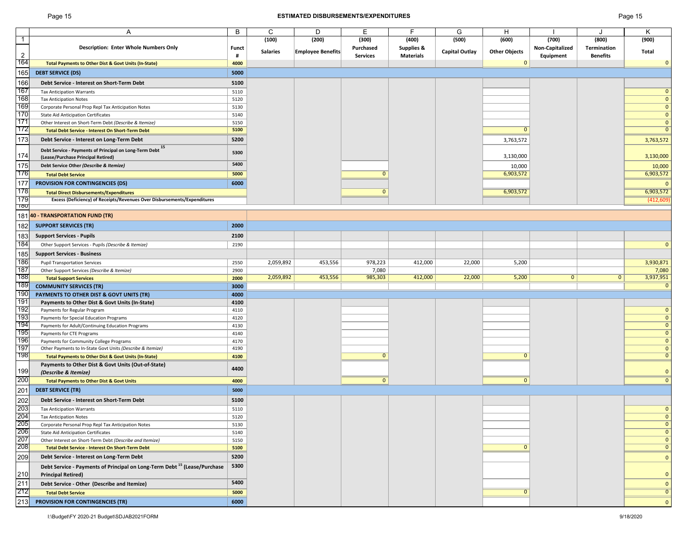# Page 15 **ESTIMATED DISBURSEMENTS/EXPENDITURES** Page 15

| ⊃age 15 |  |  |
|---------|--|--|
|---------|--|--|

|                | A                                                                                               | В     | C               | D                        | E               | F                | G              | н                    |                 |                    | Κ                   |
|----------------|-------------------------------------------------------------------------------------------------|-------|-----------------|--------------------------|-----------------|------------------|----------------|----------------------|-----------------|--------------------|---------------------|
| $\overline{1}$ |                                                                                                 |       | (100)           | (200)                    | (300)           | (400)            | (500)          | (600)                | (700)           | (800)              | (900)               |
|                | <b>Description: Enter Whole Numbers Only</b>                                                    | Funct |                 |                          | Purchased       | Supplies &       |                |                      | Non-Capitalized | <b>Termination</b> |                     |
| $\overline{2}$ |                                                                                                 | #     | <b>Salaries</b> | <b>Employee Benefits</b> | <b>Services</b> | <b>Materials</b> | Capital Outlay | <b>Other Objects</b> | Equipment       | <b>Benefits</b>    | <b>Total</b>        |
| 164            | <b>Total Payments to Other Dist &amp; Govt Units (In-State)</b>                                 | 4000  |                 |                          |                 |                  |                | $\mathbf{0}$         |                 |                    | $\mathbf{0}$        |
| 165            | <b>DEBT SERVICE (DS)</b>                                                                        | 5000  |                 |                          |                 |                  |                |                      |                 |                    |                     |
|                |                                                                                                 |       |                 |                          |                 |                  |                |                      |                 |                    |                     |
| 166            | Debt Service - Interest on Short-Term Debt                                                      | 5100  |                 |                          |                 |                  |                |                      |                 |                    |                     |
| 167            | <b>Tax Anticipation Warrants</b>                                                                | 5110  |                 |                          |                 |                  |                |                      |                 |                    | $\mathbf{0}$        |
| 168            | <b>Tax Anticipation Notes</b>                                                                   | 5120  |                 |                          |                 |                  |                |                      |                 |                    | $\mathbf{0}$        |
| 169            | Corporate Personal Prop Repl Tax Anticipation Notes                                             | 5130  |                 |                          |                 |                  |                |                      |                 |                    | $\mathbf{0}$        |
| 170            | State Aid Anticipation Certificates                                                             | 5140  |                 |                          |                 |                  |                |                      |                 |                    | $\mathbf{0}$        |
| 171            | Other Interest on Short-Term Debt (Describe & Itemize)                                          | 5150  |                 |                          |                 |                  |                |                      |                 |                    | $\mathbf{0}$        |
| 172            | <b>Total Debt Service - Interest On Short-Term Debt</b>                                         | 5100  |                 |                          |                 |                  |                | $\Omega$             |                 |                    | $\mathbf{0}$        |
| 173            | Debt Service - Interest on Long-Term Debt                                                       | 5200  |                 |                          |                 |                  |                | 3,763,572            |                 |                    | 3,763,572           |
| 174            | Debt Service - Payments of Principal on Long-Term Debt 15<br>(Lease/Purchase Principal Retired) | 5300  |                 |                          |                 |                  |                | 3,130,000            |                 |                    | 3,130,000           |
| 175            | Debt Service Other (Describe & Itemize)                                                         | 5400  |                 |                          |                 |                  |                |                      |                 |                    |                     |
| 176            |                                                                                                 | 5000  |                 |                          | $\mathbf{0}$    |                  |                | 10,000<br>6,903,572  |                 |                    | 10,000<br>6,903,572 |
|                | <b>Total Debt Service</b>                                                                       |       |                 |                          |                 |                  |                |                      |                 |                    |                     |
| 177            | <b>PROVISION FOR CONTINGENCIES (DS)</b>                                                         | 6000  |                 |                          |                 |                  |                |                      |                 |                    | $\mathbf{0}$        |
| 178            | <b>Total Direct Disbursements/Expenditures</b>                                                  |       |                 |                          | $\mathbf{0}$    |                  |                | 6,903,572            |                 |                    | 6,903,572           |
| 179            | Excess (Deficiency) of Receipts/Revenues Over Disbursements/Expenditures                        |       |                 |                          |                 |                  |                |                      |                 |                    | (412, 609)          |
| Του            |                                                                                                 |       |                 |                          |                 |                  |                |                      |                 |                    |                     |
|                | 181 40 - TRANSPORTATION FUND (TR)                                                               |       |                 |                          |                 |                  |                |                      |                 |                    |                     |
| 182            | <b>SUPPORT SERVICES (TR)</b>                                                                    | 2000  |                 |                          |                 |                  |                |                      |                 |                    |                     |
| 183            | <b>Support Services - Pupils</b>                                                                | 2100  |                 |                          |                 |                  |                |                      |                 |                    |                     |
| 184            | Other Support Services - Pupils (Describe & Itemize)                                            | 2190  |                 |                          |                 |                  |                |                      |                 |                    | $\mathbf{0}$        |
|                |                                                                                                 |       |                 |                          |                 |                  |                |                      |                 |                    |                     |
| 185            | <b>Support Services - Business</b>                                                              |       |                 |                          |                 |                  |                |                      |                 |                    |                     |
| 186<br>187     | <b>Pupil Transportation Services</b>                                                            | 2550  | 2,059,892       | 453,556                  | 978,223         | 412,000          | 22,000         | 5,200                |                 |                    | 3,930,871           |
| 188            | Other Support Services (Describe & Itemize)                                                     | 2900  |                 |                          | 7,080           |                  |                |                      |                 |                    | 7,080               |
|                | <b>Total Support Services</b>                                                                   | 2000  | 2,059,892       | 453,556                  | 985,303         | 412,000          | 22,000         | 5,200                | $\mathbf 0$     | $\mathbf{0}$       | 3,937,951           |
| 189            | <b>COMMUNITY SERVICES (TR)</b>                                                                  | 3000  |                 |                          |                 |                  |                |                      |                 |                    | $\mathbf{0}$        |
| 190            | PAYMENTS TO OTHER DIST & GOVT UNITS (TR)                                                        | 4000  |                 |                          |                 |                  |                |                      |                 |                    |                     |
| 191            | Payments to Other Dist & Govt Units (In-State)                                                  | 4100  |                 |                          |                 |                  |                |                      |                 |                    |                     |
| 192            | Payments for Regular Program                                                                    | 4110  |                 |                          |                 |                  |                |                      |                 |                    | $\mathbf{0}$        |
| 193            | Payments for Special Education Programs                                                         | 4120  |                 |                          |                 |                  |                |                      |                 |                    | $\mathbf{0}$        |
| 194            | Payments for Adult/Continuing Education Programs                                                | 4130  |                 |                          |                 |                  |                |                      |                 |                    | $\mathbf{0}$        |
| 195            | Payments for CTE Programs                                                                       | 4140  |                 |                          |                 |                  |                |                      |                 |                    | $\mathbf{0}$        |
| 196            | Payments for Community College Programs                                                         | 4170  |                 |                          |                 |                  |                |                      |                 |                    | $\mathbf{0}$        |
| 197            | Other Payments to In-State Govt Units (Describe & Itemize)                                      | 4190  |                 |                          |                 |                  |                |                      |                 |                    | $\mathbf{0}$        |
| 198            | Total Payments to Other Dist & Govt Units (In-State)                                            | 4100  |                 |                          | $\mathbf{0}$    |                  |                | $\mathbf 0$          |                 |                    | $\mathbf{0}$        |
|                | Payments to Other Dist & Govt Units (Out-of-State)                                              | 4400  |                 |                          |                 |                  |                |                      |                 |                    |                     |
| 199<br>200     | (Describe & Itemize)                                                                            |       |                 |                          |                 |                  |                |                      |                 |                    | $\mathbf 0$         |
|                | <b>Total Payments to Other Dist &amp; Govt Units</b>                                            | 4000  |                 |                          | $\overline{0}$  |                  |                | $\mathbf{0}$         |                 |                    | $\mathbf{0}$        |
| 201            | <b>DEBT SERVICE (TR)</b>                                                                        | 5000  |                 |                          |                 |                  |                |                      |                 |                    |                     |
| 202            | Debt Service - Interest on Short-Term Debt                                                      | 5100  |                 |                          |                 |                  |                |                      |                 |                    |                     |
| 203            | <b>Tax Anticipation Warrants</b>                                                                | 5110  |                 |                          |                 |                  |                |                      |                 |                    | $\mathbf{0}$        |
| 204            | <b>Tax Anticipation Notes</b>                                                                   | 5120  |                 |                          |                 |                  |                |                      |                 |                    | 0                   |
| 205            | Corporate Personal Prop Repl Tax Anticipation Notes                                             | 5130  |                 |                          |                 |                  |                |                      |                 |                    | $\mathbf{0}$        |
| 206            | <b>State Aid Anticipation Certificates</b>                                                      | 5140  |                 |                          |                 |                  |                |                      |                 |                    | $\mathbf{0}$        |
| 207            | Other Interest on Short-Term Debt (Describe and Itemize)                                        | 5150  |                 |                          |                 |                  |                |                      |                 |                    | $\mathbf{0}$        |
| 208            | <b>Total Debt Service - Interest On Short-Term Debt</b>                                         | 5100  |                 |                          |                 |                  |                | $\Omega$             |                 |                    | $\mathbf{0}$        |
| 209            | Debt Service - Interest on Long-Term Debt                                                       | 5200  |                 |                          |                 |                  |                |                      |                 |                    | $\mathbf{0}$        |
|                | Debt Service - Payments of Principal on Long-Term Debt <sup>15</sup> (Lease/Purchase            | 5300  |                 |                          |                 |                  |                |                      |                 |                    |                     |
| 210            | <b>Principal Retired)</b>                                                                       |       |                 |                          |                 |                  |                |                      |                 |                    | $\mathbf{0}$        |
| 211            | Debt Service - Other (Describe and Itemize)                                                     | 5400  |                 |                          |                 |                  |                |                      |                 |                    | $\mathbf{0}$        |
| 212            | <b>Total Debt Service</b>                                                                       | 5000  |                 |                          |                 |                  |                | $\Omega$             |                 |                    | $\overline{0}$      |
| 213            | PROVISION FOR CONTINGENCIES (TR)                                                                | 6000  |                 |                          |                 |                  |                |                      |                 |                    |                     |
|                |                                                                                                 |       |                 |                          |                 |                  |                |                      |                 |                    | $\mathbf{0}$        |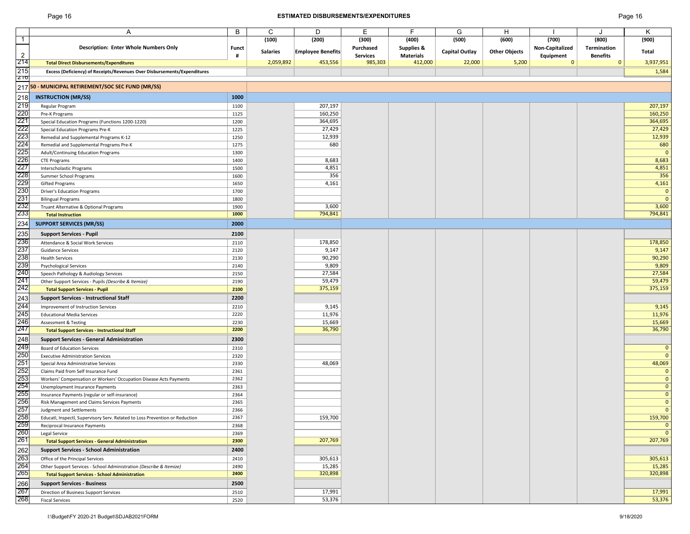# Page 16 **ESTIMATED DISBURSEMENTS/EXPENDITURES** Page 16

|                | Α                                                                            | B            | C               | D                 | E               | F                | G              | H                    |                 |                 | Κ                         |
|----------------|------------------------------------------------------------------------------|--------------|-----------------|-------------------|-----------------|------------------|----------------|----------------------|-----------------|-----------------|---------------------------|
| $\mathbf{1}$   |                                                                              |              | (100)           | (200)             | (300)           | (400)            | (500)          | (600)                | (700)           | (800)           | (900)                     |
|                | <b>Description: Enter Whole Numbers Only</b>                                 | Funct        | <b>Salaries</b> | Employee Benefits | Purchased       | Supplies &       | Capital Outlay | <b>Other Objects</b> | Non-Capitalized | Termination     | Total                     |
| $\overline{2}$ |                                                                              | #            |                 |                   | <b>Services</b> | <b>Materials</b> |                |                      | Equipment       | <b>Benefits</b> |                           |
| 214            | <b>Total Direct Disbursements/Expenditures</b>                               |              | 2,059,892       | 453,556           | 985,303         | 412,000          | 22,000         | 5,200                | $\mathbf{0}$    | $\mathbf{0}$    | 3,937,951                 |
| 215            | Excess (Deficiency) of Receipts/Revenues Over Disbursements/Expenditures     |              |                 |                   |                 |                  |                |                      |                 |                 | 1,584                     |
| 210            |                                                                              |              |                 |                   |                 |                  |                |                      |                 |                 |                           |
|                | 217 50 - MUNICIPAL RETIREMENT/SOC SEC FUND (MR/SS)                           |              |                 |                   |                 |                  |                |                      |                 |                 |                           |
| 218            | <b>INSTRUCTION (MR/SS)</b>                                                   | 1000         |                 |                   |                 |                  |                |                      |                 |                 |                           |
| 219            | Regular Program                                                              | 1100         |                 | 207,197           |                 |                  |                |                      |                 |                 | 207,197                   |
| 220            | Pre-K Programs                                                               | 1125         |                 | 160,250           |                 |                  |                |                      |                 |                 | 160,250                   |
| 221            | Special Education Programs (Functions 1200-1220)                             | 1200         |                 | 364,695           |                 |                  |                |                      |                 |                 | 364,695                   |
| 222            | Special Education Programs Pre-K                                             | 1225         |                 | 27,429            |                 |                  |                |                      |                 |                 | 27,429                    |
| 223            | Remedial and Supplemental Programs K-12                                      | 1250         |                 | 12,939            |                 |                  |                |                      |                 |                 | 12,939                    |
| 224            | Remedial and Supplemental Programs Pre-K                                     | 1275         |                 | 680               |                 |                  |                |                      |                 |                 | 680                       |
| 225            | Adult/Continuing Education Programs                                          | 1300         |                 |                   |                 |                  |                |                      |                 |                 | $\mathbf{0}$              |
| 226            | <b>CTE Programs</b>                                                          | 1400         |                 | 8,683             |                 |                  |                |                      |                 |                 | 8,683                     |
| 227            | Interscholastic Programs                                                     | 1500         |                 | 4,851             |                 |                  |                |                      |                 |                 | 4,851                     |
| 228            | Summer School Programs                                                       | 1600         |                 | 356               |                 |                  |                |                      |                 |                 | 356                       |
| 229            | <b>Gifted Programs</b>                                                       | 1650         |                 | 4,161             |                 |                  |                |                      |                 |                 | 4,161                     |
| 230            | <b>Driver's Education Programs</b>                                           | 1700         |                 |                   |                 |                  |                |                      |                 |                 | $\mathbf{0}$              |
| 231            | <b>Bilingual Programs</b>                                                    | 1800         |                 |                   |                 |                  |                |                      |                 |                 | $\mathbf{0}$              |
| 232<br>233     | Truant Alternative & Optional Programs                                       | 1900<br>1000 |                 | 3,600<br>794,841  |                 |                  |                |                      |                 |                 | 3,600<br>794,841          |
|                | <b>Total Instruction</b>                                                     |              |                 |                   |                 |                  |                |                      |                 |                 |                           |
| 234            | <b>SUPPORT SERVICES (MR/SS)</b>                                              | 2000         |                 |                   |                 |                  |                |                      |                 |                 |                           |
| 235            | <b>Support Services - Pupil</b>                                              | 2100         |                 |                   |                 |                  |                |                      |                 |                 |                           |
| 236            | Attendance & Social Work Services                                            | 2110         |                 | 178,850           |                 |                  |                |                      |                 |                 | 178,850                   |
| 237            | <b>Guidance Services</b>                                                     | 2120         |                 | 9,147             |                 |                  |                |                      |                 |                 | 9,147                     |
| 238            | <b>Health Services</b>                                                       | 2130         |                 | 90,290            |                 |                  |                |                      |                 |                 | 90,290                    |
| 239            | <b>Psychological Services</b>                                                | 2140         |                 | 9,809             |                 |                  |                |                      |                 |                 | 9,809                     |
| 240            | Speech Pathology & Audiology Services                                        | 2150         |                 | 27,584            |                 |                  |                |                      |                 |                 | 27,584                    |
| 241            | Other Support Services - Pupils (Describe & Itemize)                         | 2190         |                 | 59,479            |                 |                  |                |                      |                 |                 | 59,479                    |
| 242            | <b>Total Support Services - Pupil</b>                                        | 2100         |                 | 375,159           |                 |                  |                |                      |                 |                 | 375,159                   |
| 243            | <b>Support Services - Instructional Staff</b>                                | 2200         |                 |                   |                 |                  |                |                      |                 |                 |                           |
| 244            | Improvement of Instruction Services                                          | 2210         |                 | 9,145             |                 |                  |                |                      |                 |                 | 9,145                     |
| 245            | <b>Educational Media Services</b>                                            | 2220         |                 | 11,976            |                 |                  |                |                      |                 |                 | 11,976                    |
| 246            | <b>Assessment &amp; Testing</b>                                              | 2230         |                 | 15,669            |                 |                  |                |                      |                 |                 | 15,669                    |
| 247            | <b>Total Support Services - Instructional Staff</b>                          | 2200         |                 | 36,790            |                 |                  |                |                      |                 |                 | 36,790                    |
| 248            | <b>Support Services - General Administration</b>                             | 2300         |                 |                   |                 |                  |                |                      |                 |                 |                           |
| 249            | Board of Education Services                                                  | 2310         |                 |                   |                 |                  |                |                      |                 |                 | $\mathbf{0}$              |
| 250            | <b>Executive Administration Services</b>                                     | 2320         |                 |                   |                 |                  |                |                      |                 |                 | $\mathbf{0}$              |
| 251            | Special Area Administrative Services                                         | 2330         |                 | 48,069            |                 |                  |                |                      |                 |                 | 48,069                    |
| 252            | Claims Paid from Self Insurance Fund                                         | 2361         |                 |                   |                 |                  |                |                      |                 |                 | $\mathbf{0}$              |
| 253            | Workers' Compensation or Workers' Occupation Disease Acts Payments           | 2362         |                 |                   |                 |                  |                |                      |                 |                 | $\mathbf{0}$              |
| 254            | Unemployment Insurance Payments                                              | 2363         |                 |                   |                 |                  |                |                      |                 |                 | $\mathbf{0}$              |
| 255            | Insurance Payments (regular or self-insurance)                               | 2364         |                 |                   |                 |                  |                |                      |                 |                 | $\mathbf{0}$              |
| 256<br>257     | Risk Management and Claims Services Payments                                 | 2365         |                 |                   |                 |                  |                |                      |                 |                 | $\mathbf{0}$              |
|                | Judgment and Settlements                                                     | 2366         |                 |                   |                 |                  |                |                      |                 |                 | $\mathbf{0}$              |
| 258<br>259     | Educatl, Inspectl, Supervisory Serv. Related to Loss Prevention or Reduction | 2367         |                 | 159,700           |                 |                  |                |                      |                 |                 | 159,700                   |
| 260            | Reciprocal Insurance Payments                                                | 2368<br>2369 |                 |                   |                 |                  |                |                      |                 |                 | $\pmb{0}$<br>$\mathbf{0}$ |
| 261            | Legal Service<br><b>Total Support Services - General Administration</b>      | 2300         |                 | 207,769           |                 |                  |                |                      |                 |                 | 207,769                   |
|                |                                                                              |              |                 |                   |                 |                  |                |                      |                 |                 |                           |
| 262            | <b>Support Services - School Administration</b>                              | 2400         |                 |                   |                 |                  |                |                      |                 |                 |                           |
| 263<br>264     | Office of the Principal Services                                             | 2410         |                 | 305,613           |                 |                  |                |                      |                 |                 | 305,613                   |
| 265            | Other Support Services - School Administration (Describe & Itemize)          | 2490<br>2400 |                 | 15,285<br>320,898 |                 |                  |                |                      |                 |                 | 15,285<br>320,898         |
|                | <b>Total Support Services - School Administration</b>                        |              |                 |                   |                 |                  |                |                      |                 |                 |                           |
| 266            | <b>Support Services - Business</b>                                           | 2500         |                 |                   |                 |                  |                |                      |                 |                 |                           |
| 267            | Direction of Business Support Services                                       | 2510         |                 | 17,991            |                 |                  |                |                      |                 |                 | 17,991                    |
| 268            | <b>Fiscal Services</b>                                                       | 2520         |                 | 53,376            |                 |                  |                |                      |                 |                 | 53,376                    |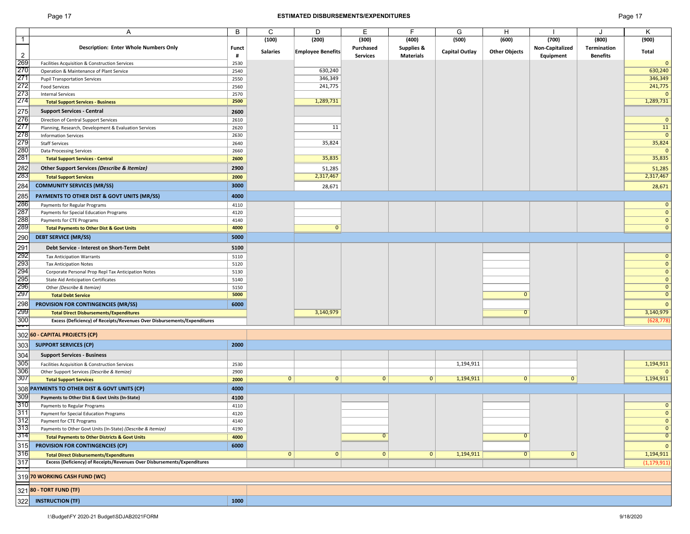### Page 17 **ESTIMATED DISBURSEMENTS/EXPENDITURES** Page 17

| c |  |  |
|---|--|--|
|---|--|--|

|                |                                                                          | B            |                 | D                        | E               | F                |                       |                      |                 |                 |                             |
|----------------|--------------------------------------------------------------------------|--------------|-----------------|--------------------------|-----------------|------------------|-----------------------|----------------------|-----------------|-----------------|-----------------------------|
|                | A                                                                        |              | C               |                          |                 |                  | G                     | H                    |                 | J               | Κ                           |
| $\mathbf{1}$   |                                                                          |              | (100)           | (200)                    | (300)           | (400)            | (500)                 | (600)                | (700)           | (800)           | (900)                       |
|                | <b>Description: Enter Whole Numbers Only</b>                             | Funct        | <b>Salaries</b> | <b>Employee Benefits</b> | Purchased       | Supplies &       | <b>Capital Outlay</b> | <b>Other Objects</b> | Non-Capitalized | Termination     | Total                       |
| $\overline{2}$ |                                                                          | #            |                 |                          | <b>Services</b> | <b>Materials</b> |                       |                      | Equipment       | <b>Benefits</b> |                             |
| 269            | Facilities Acquisition & Construction Services                           | 2530         |                 |                          |                 |                  |                       |                      |                 |                 | $\overline{0}$              |
| 270            | Operation & Maintenance of Plant Service                                 | 2540         |                 | 630,240                  |                 |                  |                       |                      |                 |                 | 630,240                     |
| 271            | <b>Pupil Transportation Services</b>                                     | 2550         |                 | 346,349                  |                 |                  |                       |                      |                 |                 | 346,349                     |
| 272            | <b>Food Services</b>                                                     | 2560         |                 | 241,775                  |                 |                  |                       |                      |                 |                 | 241,775                     |
| 273            |                                                                          |              |                 |                          |                 |                  |                       |                      |                 |                 | $\mathbf{0}$                |
| 274            | <b>Internal Services</b>                                                 | 2570<br>2500 |                 | 1,289,731                |                 |                  |                       |                      |                 |                 | 1,289,731                   |
|                | <b>Total Support Services - Business</b>                                 |              |                 |                          |                 |                  |                       |                      |                 |                 |                             |
| 275            | <b>Support Services - Central</b>                                        | 2600         |                 |                          |                 |                  |                       |                      |                 |                 |                             |
| 276            | Direction of Central Support Services                                    | 2610         |                 |                          |                 |                  |                       |                      |                 |                 | $\overline{0}$              |
| 277            | Planning, Research, Development & Evaluation Services                    | 2620         |                 | 11                       |                 |                  |                       |                      |                 |                 | 11                          |
| 278            | <b>Information Services</b>                                              | 2630         |                 |                          |                 |                  |                       |                      |                 |                 | $\overline{0}$              |
| 279            | <b>Staff Services</b>                                                    | 2640         |                 | 35,824                   |                 |                  |                       |                      |                 |                 | 35,824                      |
| 280            | <b>Data Processing Services</b>                                          | 2660         |                 |                          |                 |                  |                       |                      |                 |                 | $\mathbf{0}$                |
| 281            | <b>Total Support Services - Central</b>                                  | 2600         |                 | 35,835                   |                 |                  |                       |                      |                 |                 | 35,835                      |
|                |                                                                          | 2900         |                 |                          |                 |                  |                       |                      |                 |                 |                             |
| 282<br>283     | Other Support Services (Describe & Itemize)                              |              |                 | 51,285                   |                 |                  |                       |                      |                 |                 | 51,285                      |
|                | <b>Total Support Services</b>                                            | 2000         |                 | 2,317,467                |                 |                  |                       |                      |                 |                 | 2,317,467                   |
| 284            | <b>COMMUNITY SERVICES (MR/SS)</b>                                        | 3000         |                 | 28,671                   |                 |                  |                       |                      |                 |                 | 28,671                      |
| 285            | PAYMENTS TO OTHER DIST & GOVT UNITS (MR/SS)                              | 4000         |                 |                          |                 |                  |                       |                      |                 |                 |                             |
| 286            | Payments for Regular Programs                                            | 4110         |                 |                          |                 |                  |                       |                      |                 |                 | $\mathbf{0}$                |
| 287            | Payments for Special Education Programs                                  | 4120         |                 |                          |                 |                  |                       |                      |                 |                 | $\overline{0}$              |
| 288            |                                                                          | 4140         |                 |                          |                 |                  |                       |                      |                 |                 | $\overline{0}$              |
| 289            | Payments for CTE Programs                                                | 4000         |                 | $\mathbf{0}$             |                 |                  |                       |                      |                 |                 | $\overline{0}$              |
|                | <b>Total Payments to Other Dist &amp; Govt Units</b>                     |              |                 |                          |                 |                  |                       |                      |                 |                 |                             |
| 290            | <b>DEBT SERVICE (MR/SS)</b>                                              | 5000         |                 |                          |                 |                  |                       |                      |                 |                 |                             |
| 291            | Debt Service - Interest on Short-Term Debt                               | 5100         |                 |                          |                 |                  |                       |                      |                 |                 |                             |
| 292            | <b>Tax Anticipation Warrants</b>                                         | 5110         |                 |                          |                 |                  |                       |                      |                 |                 | $\overline{0}$              |
| 293            | <b>Tax Anticipation Notes</b>                                            | 5120         |                 |                          |                 |                  |                       |                      |                 |                 | $\overline{0}$              |
|                | Corporate Personal Prop Repl Tax Anticipation Notes                      | 5130         |                 |                          |                 |                  |                       |                      |                 |                 | $\overline{0}$              |
| 294<br>295     | <b>State Aid Anticipation Certificates</b>                               | 5140         |                 |                          |                 |                  |                       |                      |                 |                 | $\overline{0}$              |
| 296            | Other (Describe & Itemize)                                               | 5150         |                 |                          |                 |                  |                       |                      |                 |                 | $\overline{0}$              |
| 297            | <b>Total Debt Service</b>                                                | 5000         |                 |                          |                 |                  |                       | $\mathbf{0}$         |                 |                 | $\overline{0}$              |
|                |                                                                          |              |                 |                          |                 |                  |                       |                      |                 |                 |                             |
| 298            | <b>PROVISION FOR CONTINGENCIES (MR/SS)</b>                               | 6000         |                 |                          |                 |                  |                       |                      |                 |                 | $\mathbf{0}$                |
| 299            | <b>Total Direct Disbursements/Expenditures</b>                           |              |                 | 3,140,979                |                 |                  |                       | $\overline{0}$       |                 |                 | 3,140,979                   |
| 300<br>१०      | Excess (Deficiency) of Receipts/Revenues Over Disbursements/Expenditures |              |                 |                          |                 |                  |                       |                      |                 |                 | (628, 778)                  |
|                |                                                                          |              |                 |                          |                 |                  |                       |                      |                 |                 |                             |
|                | 302 60 - CAPITAL PROJECTS (CP)                                           |              |                 |                          |                 |                  |                       |                      |                 |                 |                             |
| 303            | <b>SUPPORT SERVICES (CP)</b>                                             | 2000         |                 |                          |                 |                  |                       |                      |                 |                 |                             |
| 304            | <b>Support Services - Business</b>                                       |              |                 |                          |                 |                  |                       |                      |                 |                 |                             |
| 305            |                                                                          |              |                 |                          |                 |                  |                       |                      |                 |                 |                             |
| 306            | Facilities Acquisition & Construction Services                           | 2530         |                 |                          |                 |                  | 1,194,911             |                      |                 |                 | 1,194,911<br>$\overline{0}$ |
| 307            | Other Support Services (Describe & Itemize)                              | 2900         | 0               | $\mathbf{0}$             | $\mathbf{0}$    | 0                | 1,194,911             | $\mathbf{0}$         | $\mathbf{0}$    |                 | 1,194,911                   |
|                | <b>Total Support Services</b>                                            | 2000         |                 |                          |                 |                  |                       |                      |                 |                 |                             |
|                | 308 PAYMENTS TO OTHER DIST & GOVT UNITS (CP)                             | 4000         |                 |                          |                 |                  |                       |                      |                 |                 |                             |
| 309            | Payments to Other Dist & Govt Units (In-State)                           | 4100         |                 |                          |                 |                  |                       |                      |                 |                 |                             |
| 310            | Payments to Regular Programs                                             | 4110         |                 |                          |                 |                  |                       |                      |                 |                 | $\mathbf{0}$                |
| 311            | Payment for Special Education Programs                                   | 4120         |                 |                          |                 |                  |                       |                      |                 |                 | $\mathbf{0}$                |
| 312            | Payment for CTE Programs                                                 | 4140         |                 |                          |                 |                  |                       |                      |                 |                 | $\overline{0}$              |
| 313            | Payments to Other Govt Units (In-State) (Describe & Itemize)             | 4190         |                 |                          |                 |                  |                       |                      |                 |                 | $\overline{0}$              |
| 314            | <b>Total Payments to Other Districts &amp; Govt Units</b>                | 4000         |                 |                          | $\Omega$        |                  |                       | $\Omega$             |                 |                 | $\overline{0}$              |
| 315            | <b>PROVISION FOR CONTINGENCIES (CP)</b>                                  | 6000         |                 |                          |                 |                  |                       |                      |                 |                 | $\mathbf{0}$                |
| 316            |                                                                          |              |                 |                          |                 |                  |                       |                      |                 |                 |                             |
|                | <b>Total Direct Disbursements/Expenditures</b>                           |              | 0               | $\mathbf{0}$             | $\mathbf{0}$    | 0                | 1,194,911             | $\overline{0}$       | $\mathbf{0}$    |                 | 1,194,911                   |
| 317            | Excess (Deficiency) of Receipts/Revenues Over Disbursements/Expenditures |              |                 |                          |                 |                  |                       |                      |                 |                 | (1, 179, 911)               |
|                | 319 70 WORKING CASH FUND (WC)                                            |              |                 |                          |                 |                  |                       |                      |                 |                 |                             |
|                |                                                                          |              |                 |                          |                 |                  |                       |                      |                 |                 |                             |
|                | 32180 - TORT FUND (TF)                                                   |              |                 |                          |                 |                  |                       |                      |                 |                 |                             |
|                |                                                                          |              |                 |                          |                 |                  |                       |                      |                 |                 |                             |
| 322            | <b>INSTRUCTION (TF)</b>                                                  | 1000         |                 |                          |                 |                  |                       |                      |                 |                 |                             |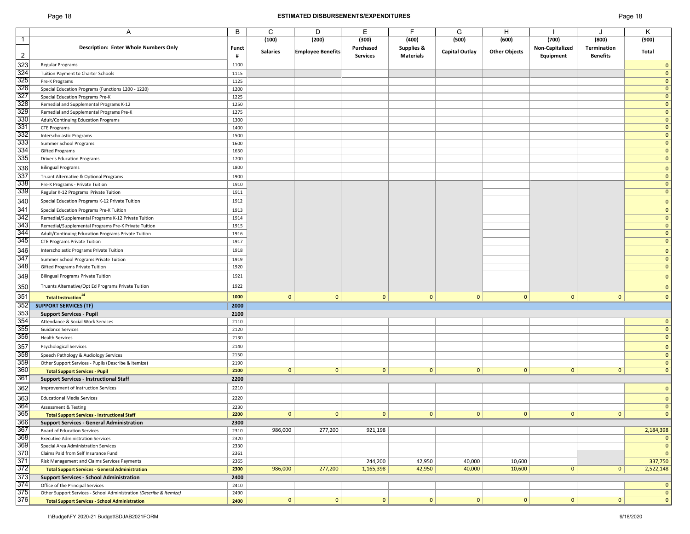## Page 18 **ESTIMATED DISBURSEMENTS/EXPENDITURES** Page 18

|                | Α                                                                   | B            | C               | D                        | Е               | F                     | G                     | H                    |                 | $\cdot$         | Κ            |
|----------------|---------------------------------------------------------------------|--------------|-----------------|--------------------------|-----------------|-----------------------|-----------------------|----------------------|-----------------|-----------------|--------------|
| $\overline{1}$ |                                                                     |              | (100)           | (200)                    | (300)           | (400)                 | (500)                 | (600)                | (700)           | (800)           | (900)        |
|                | Description: Enter Whole Numbers Only                               |              |                 |                          |                 |                       |                       |                      |                 |                 |              |
|                |                                                                     | <b>Funct</b> | <b>Salaries</b> | <b>Employee Benefits</b> | Purchased       | <b>Supplies &amp;</b> | <b>Capital Outlay</b> | <b>Other Objects</b> | Non-Capitalized | Termination     | Total        |
| $\overline{2}$ |                                                                     | #            |                 |                          | <b>Services</b> | <b>Materials</b>      |                       |                      | Equipment       | <b>Benefits</b> |              |
| 323            | Regular Programs                                                    | 1100         |                 |                          |                 |                       |                       |                      |                 |                 | $\mathbf 0$  |
| 324            | Tuition Payment to Charter Schools                                  | 1115         |                 |                          |                 |                       |                       |                      |                 |                 | $\mathbf{0}$ |
| 325            | Pre-K Programs                                                      | 1125         |                 |                          |                 |                       |                       |                      |                 |                 | $\mathbf{0}$ |
| 326            | Special Education Programs (Functions 1200 - 1220)                  | 1200         |                 |                          |                 |                       |                       |                      |                 |                 | $\mathbf{0}$ |
| 327            | Special Education Programs Pre-K                                    | 1225         |                 |                          |                 |                       |                       |                      |                 |                 | $\mathbf{0}$ |
| 328            | Remedial and Supplemental Programs K-12                             | 1250         |                 |                          |                 |                       |                       |                      |                 |                 | $\mathbf{0}$ |
| 329            | Remedial and Supplemental Programs Pre-K                            | 1275         |                 |                          |                 |                       |                       |                      |                 |                 | $\mathbf{0}$ |
| 330            |                                                                     | 1300         |                 |                          |                 |                       |                       |                      |                 |                 | $\mathbf{0}$ |
| 331            | Adult/Continuing Education Programs                                 |              |                 |                          |                 |                       |                       |                      |                 |                 |              |
| 332            | <b>CTE Programs</b>                                                 | 1400         |                 |                          |                 |                       |                       |                      |                 |                 | $\mathbf{0}$ |
|                | Interscholastic Programs                                            | 1500         |                 |                          |                 |                       |                       |                      |                 |                 | $\mathbf{0}$ |
| 333            | Summer School Programs                                              | 1600         |                 |                          |                 |                       |                       |                      |                 |                 | $\mathbf{0}$ |
| 334            | Gifted Programs                                                     | 1650         |                 |                          |                 |                       |                       |                      |                 |                 | $\mathbf{0}$ |
| 335            | <b>Driver's Education Programs</b>                                  | 1700         |                 |                          |                 |                       |                       |                      |                 |                 | $\mathbf{0}$ |
| 336            | <b>Bilingual Programs</b>                                           | 1800         |                 |                          |                 |                       |                       |                      |                 |                 | $\mathbf{0}$ |
| 337            | Truant Alternative & Optional Programs                              | 1900         |                 |                          |                 |                       |                       |                      |                 |                 | $\mathbf{0}$ |
| 338            | Pre-K Programs - Private Tuition                                    | 1910         |                 |                          |                 |                       |                       |                      |                 |                 | $\mathbf{0}$ |
| 339            | Regular K-12 Programs Private Tuition                               | 1911         |                 |                          |                 |                       |                       |                      |                 |                 | $\mathbf{0}$ |
|                |                                                                     |              |                 |                          |                 |                       |                       |                      |                 |                 |              |
| 340            | Special Education Programs K-12 Private Tuition                     | 1912         |                 |                          |                 |                       |                       |                      |                 |                 | $\mathbf{0}$ |
| 341            | Special Education Programs Pre-K Tuition                            | 1913         |                 |                          |                 |                       |                       |                      |                 |                 | $\mathbf 0$  |
| 342            | Remedial/Supplemental Programs K-12 Private Tuition                 | 1914         |                 |                          |                 |                       |                       |                      |                 |                 | $\mathbf 0$  |
| 343            | Remedial/Supplemental Programs Pre-K Private Tuition                | 1915         |                 |                          |                 |                       |                       |                      |                 |                 | $\mathbf{0}$ |
| 344            | Adult/Continuing Education Programs Private Tuition                 | 1916         |                 |                          |                 |                       |                       |                      |                 |                 | $\mathbf 0$  |
| 345            | <b>CTE Programs Private Tuition</b>                                 | 1917         |                 |                          |                 |                       |                       |                      |                 |                 | $\mathbf 0$  |
| 346            | Interscholastic Programs Private Tuition                            | 1918         |                 |                          |                 |                       |                       |                      |                 |                 | $\mathbf 0$  |
| 347            |                                                                     |              |                 |                          |                 |                       |                       |                      |                 |                 |              |
|                | Summer School Programs Private Tuition                              | 1919         |                 |                          |                 |                       |                       |                      |                 |                 | $\mathbf 0$  |
| 348            | Gifted Programs Private Tuition                                     | 1920         |                 |                          |                 |                       |                       |                      |                 |                 | $\mathbf 0$  |
| 349            | <b>Bilingual Programs Private Tuition</b>                           | 1921         |                 |                          |                 |                       |                       |                      |                 |                 | $\mathbf{0}$ |
| 350            | Truants Alternative/Opt Ed Programs Private Tuition                 | 1922         |                 |                          |                 |                       |                       |                      |                 |                 | $\mathbf 0$  |
|                |                                                                     |              |                 |                          |                 |                       |                       |                      |                 |                 |              |
| 351            | <b>Total Instruction</b> <sup>14</sup>                              | 1000         | $\mathbf{0}$    | $\mathbf{0}$             | $\mathbf 0$     | $\mathbf{0}$          | $\mathbf{0}$          | $\mathbf{0}$         | $\mathbf{0}$    | $\mathbf{0}$    | $\mathbf{0}$ |
| 352            | <b>SUPPORT SERVICES (TF)</b>                                        | 2000         |                 |                          |                 |                       |                       |                      |                 |                 |              |
| 353            | <b>Support Services - Pupil</b>                                     | 2100         |                 |                          |                 |                       |                       |                      |                 |                 |              |
| 354            | Attendance & Social Work Services                                   | 2110         |                 |                          |                 |                       |                       |                      |                 |                 | $\mathbf 0$  |
| 355            | <b>Guidance Services</b>                                            | 2120         |                 |                          |                 |                       |                       |                      |                 |                 | $\mathbf{0}$ |
| 356            | <b>Health Services</b>                                              | 2130         |                 |                          |                 |                       |                       |                      |                 |                 | $\mathbf 0$  |
|                |                                                                     |              |                 |                          |                 |                       |                       |                      |                 |                 |              |
| 357            | <b>Psychological Services</b>                                       | 2140         |                 |                          |                 |                       |                       |                      |                 |                 | $\mathbf{0}$ |
| 358            | Speech Pathology & Audiology Services                               | 2150         |                 |                          |                 |                       |                       |                      |                 |                 | $\mathbf{0}$ |
| 359            | Other Support Services - Pupils (Describe & Itemize)                | 2190         |                 |                          |                 |                       |                       |                      |                 |                 | $\mathbf{0}$ |
| 360            | <b>Total Support Services - Pupil</b>                               | 2100         | 0               | $\mathbf{0}$             | $\mathbf{0}$    | $\mathbf{0}$          | 0                     | $\circ$              | $\mathbf{0}$    | $\mathbf{0}$    | $\mathbf{0}$ |
| 361            | <b>Support Services - Instructional Staff</b>                       | 2200         |                 |                          |                 |                       |                       |                      |                 |                 |              |
| 362            | Improvement of Instruction Services                                 | 2210         |                 |                          |                 |                       |                       |                      |                 |                 | $\mathbf{0}$ |
|                |                                                                     |              |                 |                          |                 |                       |                       |                      |                 |                 |              |
| 363            | <b>Educational Media Services</b>                                   | 2220         |                 |                          |                 |                       |                       |                      |                 |                 | $\mathbf{0}$ |
| 364            | Assessment & Testing                                                | 2230         |                 |                          |                 |                       |                       |                      |                 |                 | $\mathbf{0}$ |
| 365            | <b>Total Support Services - Instructional Staff</b>                 | 2200         | $\mathbf{0}$    | $\mathbf{0}$             | $\mathbf{0}$    | $\mathbf{0}$          | $\overline{0}$        | $\overline{0}$       | $\mathbf{0}$    | $\mathbf{0}$    | $\mathbf{0}$ |
| 366            | <b>Support Services - General Administration</b>                    | 2300         |                 |                          |                 |                       |                       |                      |                 |                 |              |
| 367            | <b>Board of Education Services</b>                                  | 2310         | 986,000         | 277,200                  | 921,198         |                       |                       |                      |                 |                 | 2,184,398    |
| 368            | <b>Executive Administration Services</b>                            | 2320         |                 |                          |                 |                       |                       |                      |                 |                 | $\mathbf 0$  |
| 369            | Special Area Administration Services                                | 2330         |                 |                          |                 |                       |                       |                      |                 |                 | $\mathbf{0}$ |
| 370            | Claims Paid from Self Insurance Fund                                | 2361         |                 |                          |                 |                       |                       |                      |                 |                 | $\mathbf{0}$ |
|                | Risk Management and Claims Services Payments                        | 2365         |                 |                          | 244,200         | 42,950                | 40,000                | 10,600               |                 |                 | 337,750      |
| 371<br>372     | <b>Total Support Services - General Administration</b>              | 2300         | 986,000         | 277,200                  | 1,165,398       | 42,950                | 40,000                | 10,600               | 0               | 0               | 2,522,148    |
| 373            | <b>Support Services - School Administration</b>                     | 2400         |                 |                          |                 |                       |                       |                      |                 |                 |              |
| 374            | Office of the Principal Services                                    | 2410         |                 |                          |                 |                       |                       |                      |                 |                 | $\mathbf 0$  |
| 375            |                                                                     | 2490         |                 |                          |                 |                       |                       |                      |                 |                 | $\mathbf{0}$ |
| 376            | Other Support Services - School Administration (Describe & Itemize) |              | 0               | 0                        | 0               |                       | 0                     | 0                    | 0               | 0               |              |
|                | <b>Total Support Services - School Administration</b>               | 2400         |                 |                          |                 | $\mathbf{0}$          |                       |                      |                 |                 | $\mathbf{0}$ |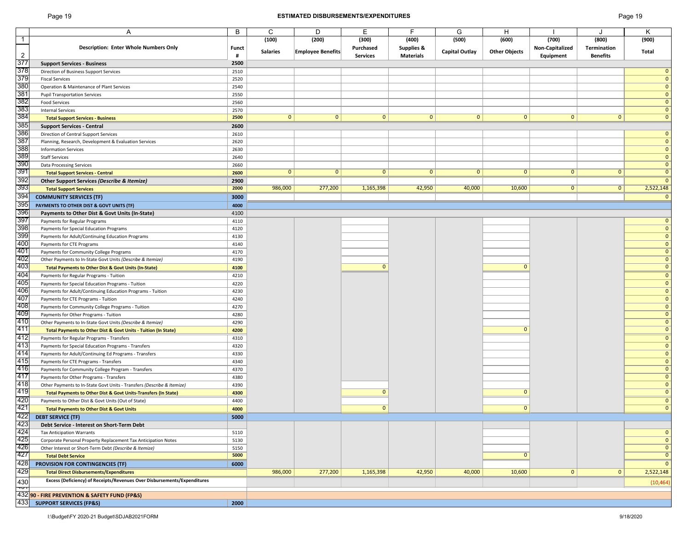## Page 19 **ESTIMATED DISBURSEMENTS/EXPENDITURES** Page 19

|                | A                                                                         | B            | C               | D                        | E               | F                     | G                     | Н                    |                 |                 | K              |
|----------------|---------------------------------------------------------------------------|--------------|-----------------|--------------------------|-----------------|-----------------------|-----------------------|----------------------|-----------------|-----------------|----------------|
| $\mathbf{1}$   |                                                                           |              | (100)           | (200)                    | (300)           | (400)                 | (500)                 | (600)                | (700)           | (800)           | (900)          |
|                | <b>Description: Enter Whole Numbers Only</b>                              | <b>Funct</b> | <b>Salaries</b> | <b>Employee Benefits</b> | Purchased       | <b>Supplies &amp;</b> | <b>Capital Outlay</b> | <b>Other Objects</b> | Non-Capitalized | Termination     | Total          |
| $\overline{2}$ |                                                                           | .#           |                 |                          | <b>Services</b> | <b>Materials</b>      |                       |                      | Equipment       | <b>Benefits</b> |                |
| 377            | <b>Support Services - Business</b>                                        | 2500         |                 |                          |                 |                       |                       |                      |                 |                 |                |
| 378            | Direction of Business Support Services                                    | 2510         |                 |                          |                 |                       |                       |                      |                 |                 | $\mathbf{0}$   |
| 379            | <b>Fiscal Services</b>                                                    | 2520         |                 |                          |                 |                       |                       |                      |                 |                 | $\mathbf{0}$   |
| 380            | Operation & Maintenance of Plant Services                                 | 2540         |                 |                          |                 |                       |                       |                      |                 |                 | $\mathbf{0}$   |
| 381            | <b>Pupil Transportation Services</b>                                      | 2550         |                 |                          |                 |                       |                       |                      |                 |                 | $\mathbf{0}$   |
| 382            | <b>Food Services</b>                                                      | 2560         |                 |                          |                 |                       |                       |                      |                 |                 | $\mathbf{0}$   |
| 383            | <b>Internal Services</b>                                                  | 2570         |                 |                          |                 |                       |                       |                      |                 |                 | $\mathbf{0}$   |
| 384            | <b>Total Support Services - Business</b>                                  | 2500         | 0               | 0                        | $\mathbf{0}$    | $\mathbf{0}$          | 0                     | 0                    | $\mathbf{0}$    | $\mathbf{0}$    | $\mathbf{0}$   |
| 385            | <b>Support Services - Central</b>                                         | 2600         |                 |                          |                 |                       |                       |                      |                 |                 |                |
| 386            | Direction of Central Support Services                                     | 2610         |                 |                          |                 |                       |                       |                      |                 |                 | $\mathbf{0}$   |
| 387            |                                                                           | 2620         |                 |                          |                 |                       |                       |                      |                 |                 | $\mathbf{0}$   |
| 388            | Planning, Research, Development & Evaluation Services                     | 2630         |                 |                          |                 |                       |                       |                      |                 |                 | $\mathbf{0}$   |
| 389            | <b>Information Services</b>                                               | 2640         |                 |                          |                 |                       |                       |                      |                 |                 | $\mathbf{0}$   |
| 390            | <b>Staff Services</b>                                                     |              |                 |                          |                 |                       |                       |                      |                 |                 |                |
| 391            | <b>Data Processing Services</b>                                           | 2660         |                 |                          |                 |                       |                       |                      |                 |                 | $\mathbf{0}$   |
|                | <b>Total Support Services - Central</b>                                   | 2600         | 0               | $\mathbf{0}$             | $\mathbf{0}$    | $\mathbf{0}$          | $\mathbf{0}$          | $\mathbf{0}$         | $\mathbf{0}$    | $\mathbf{0}$    | $\mathbf{0}$   |
| 392            | Other Support Services (Describe & Itemize)                               | 2900         |                 |                          |                 |                       |                       |                      |                 |                 | $\mathbf{0}$   |
| 393            | <b>Total Support Services</b>                                             | 2000         | 986,000         | 277,200                  | 1,165,398       | 42,950                | 40,000                | 10,600               | $\mathbf{0}$    | $\mathbf{0}$    | 2,522,148      |
| 394            | <b>COMMUNITY SERVICES (TF)</b>                                            | 3000         |                 |                          |                 |                       |                       |                      |                 |                 | $\overline{0}$ |
| 395            | PAYMENTS TO OTHER DIST & GOVT UNITS (TF)                                  | 4000         |                 |                          |                 |                       |                       |                      |                 |                 |                |
| 396            | Payments to Other Dist & Govt Units (In-State)                            | 4100         |                 |                          |                 |                       |                       |                      |                 |                 |                |
| 397            | Payments for Regular Programs                                             | 4110         |                 |                          |                 |                       |                       |                      |                 |                 | $\mathbf{0}$   |
| 398            | Payments for Special Education Programs                                   | 4120         |                 |                          |                 |                       |                       |                      |                 |                 | $\mathbf{0}$   |
| 399            | Payments for Adult/Continuing Education Programs                          | 4130         |                 |                          |                 |                       |                       |                      |                 |                 | $\mathbf{0}$   |
| 400            | Payments for CTE Programs                                                 | 4140         |                 |                          |                 |                       |                       |                      |                 |                 | $\mathbf{0}$   |
| 401            | Payments for Community College Programs                                   | 4170         |                 |                          |                 |                       |                       |                      |                 |                 | $\mathbf{0}$   |
| 402            | Other Payments to In-State Govt Units (Describe & Itemize)                | 4190         |                 |                          |                 |                       |                       |                      |                 |                 | $\mathbf{0}$   |
| 403            | Total Payments to Other Dist & Govt Units (In-State)                      | 4100         |                 |                          | $\Omega$        |                       |                       | $\Omega$             |                 |                 | $\mathbf{0}$   |
| 404            | Payments for Regular Programs - Tuition                                   | 4210         |                 |                          |                 |                       |                       |                      |                 |                 | $\mathbf{0}$   |
| 405            | Payments for Special Education Programs - Tuition                         | 4220         |                 |                          |                 |                       |                       |                      |                 |                 | $\mathbf{0}$   |
| 406            | Payments for Adult/Continuing Education Programs - Tuition                | 4230         |                 |                          |                 |                       |                       |                      |                 |                 | $\mathbf{0}$   |
| 407            | Payments for CTE Programs - Tuition                                       | 4240         |                 |                          |                 |                       |                       |                      |                 |                 | $\mathbf{0}$   |
| 408            | Payments for Community College Programs - Tuition                         | 4270         |                 |                          |                 |                       |                       |                      |                 |                 | $\mathbf{0}$   |
| 409            | Payments for Other Programs - Tuition                                     | 4280         |                 |                          |                 |                       |                       |                      |                 |                 | $\mathbf{0}$   |
| 410            |                                                                           | 4290         |                 |                          |                 |                       |                       |                      |                 |                 | $\mathbf{0}$   |
| 411            | Other Payments to In-State Govt Units (Describe & Itemize)                | 4200         |                 |                          |                 |                       |                       | $\Omega$             |                 |                 | $\mathbf{0}$   |
|                | <b>Total Payments to Other Dist &amp; Govt Units - Tuition (In State)</b> |              |                 |                          |                 |                       |                       |                      |                 |                 |                |
| 412            | Payments for Regular Programs - Transfers                                 | 4310         |                 |                          |                 |                       |                       |                      |                 |                 | $\mathbf{0}$   |
| 413            | Payments for Special Education Programs - Transfers                       | 4320         |                 |                          |                 |                       |                       |                      |                 |                 | $\mathbf{0}$   |
| 414            | Payments for Adult/Continuing Ed Programs - Transfers                     | 4330         |                 |                          |                 |                       |                       |                      |                 |                 | $\mathbf{0}$   |
| 415            | Payments for CTE Programs - Transfers                                     | 4340         |                 |                          |                 |                       |                       |                      |                 |                 | $\mathbf{0}$   |
| 416            | Payments for Community College Program - Transfers                        | 4370         |                 |                          |                 |                       |                       |                      |                 |                 | $\mathbf{0}$   |
| 417            | Payments for Other Programs - Transfers                                   | 4380         |                 |                          |                 |                       |                       |                      |                 |                 | $\mathbf{0}$   |
| 418            | Other Payments to In-State Govt Units - Transfers (Describe & Itemize)    | 4390         |                 |                          |                 |                       |                       |                      |                 |                 | $\mathbf{0}$   |
| 419            | <b>Total Payments to Other Dist &amp; Govt Units-Transfers (In State)</b> | 4300         |                 |                          | $\mathbf{0}$    |                       |                       | $\mathbf{0}$         |                 |                 | $\mathbf{0}$   |
| 420            | Payments to Other Dist & Govt Units (Out of State)                        | 4400         |                 |                          |                 |                       |                       |                      |                 |                 | $\overline{0}$ |
| 421            | <b>Total Payments to Other Dist &amp; Govt Units</b>                      | 4000         |                 |                          | $\mathbf{0}$    |                       |                       | $\mathbf{0}$         |                 |                 | $\mathbf{0}$   |
| 422            | <b>DEBT SERVICE (TF)</b>                                                  | 5000         |                 |                          |                 |                       |                       |                      |                 |                 |                |
| 423            | Debt Service - Interest on Short-Term Debt                                |              |                 |                          |                 |                       |                       |                      |                 |                 |                |
| 424            | <b>Tax Anticipation Warrants</b>                                          | 5110         |                 |                          |                 |                       |                       |                      |                 |                 | $\mathbf 0$    |
| 425            | Corporate Personal Property Replacement Tax Anticipation Notes            | 5130         |                 |                          |                 |                       |                       |                      |                 |                 | $\mathbf 0$    |
| 426            | Other Interest or Short-Term Debt (Describe & Itemize)                    | 5150         |                 |                          |                 |                       |                       |                      |                 |                 | $\mathbf{0}$   |
| 427            | <b>Total Debt Service</b>                                                 | 5000         |                 |                          |                 |                       |                       | $\mathbf{0}$         |                 |                 | $\mathbf{0}$   |
| 428            | PROVISION FOR CONTINGENCIES (TF)                                          | 6000         |                 |                          |                 |                       |                       |                      |                 |                 | $\overline{0}$ |
| 429            | <b>Total Direct Disbursements/Expenditures</b>                            |              | 986,000         | 277,200                  | 1,165,398       | 42,950                | 40,000                | 10,600               | $\mathbf{0}$    | $\mathbf{0}$    | 2,522,148      |
| 430            | Excess (Deficiency) of Receipts/Revenues Over Disbursements/Expenditures  |              |                 |                          |                 |                       |                       |                      |                 |                 |                |
| ᠇ᠳ             |                                                                           |              |                 |                          |                 |                       |                       |                      |                 |                 | (10, 464)      |
|                | 432 90 - FIRE PREVENTION & SAFETY FUND (FP&S)                             |              |                 |                          |                 |                       |                       |                      |                 |                 |                |
| 433            | <b>SUPPORT SERVICES (FP&amp;S)</b>                                        | 2000         |                 |                          |                 |                       |                       |                      |                 |                 |                |
|                |                                                                           |              |                 |                          |                 |                       |                       |                      |                 |                 |                |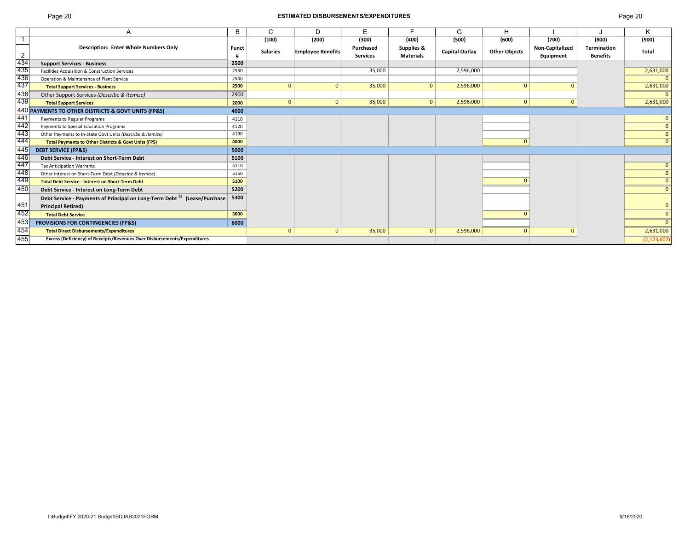## Page 20 **ESTIMATED DISBURSEMENTS/EXPENDITURES** Page 20

| ہ |  |
|---|--|
|   |  |

|                                        |                                                                                                                   | B            | C               | D                        | E                            |                                | G              | H                    |                              |                                | κ             |
|----------------------------------------|-------------------------------------------------------------------------------------------------------------------|--------------|-----------------|--------------------------|------------------------------|--------------------------------|----------------|----------------------|------------------------------|--------------------------------|---------------|
|                                        |                                                                                                                   |              | (100)           | (200)                    | (300)                        | (400)                          | (500)          | (600)                | (700)                        | (800)                          | (900)         |
| $\overline{2}$                         | <b>Description: Enter Whole Numbers Only</b>                                                                      | <b>Funct</b> | <b>Salaries</b> | <b>Employee Benefits</b> | Purchased<br><b>Services</b> | Supplies &<br><b>Materials</b> | Capital Outlay | <b>Other Objects</b> | Non-Capitalized<br>Equipment | Termination<br><b>Benefits</b> | Total         |
| 434                                    | <b>Support Services - Business</b>                                                                                | 2500         |                 |                          |                              |                                |                |                      |                              |                                |               |
| $\frac{135}{435}$<br>$\frac{436}{437}$ | Facilities Acquisition & Construction Services                                                                    | 2530         |                 |                          | 35,000                       |                                | 2,596,000      |                      |                              |                                | 2,631,000     |
|                                        | Operation & Maintenance of Plant Service                                                                          | 2540         |                 |                          |                              |                                |                |                      |                              |                                | $\mathbf{0}$  |
|                                        | <b>Total Support Services - Business</b>                                                                          | 2500         | $\Omega$        | $\mathbf{0}$             | 35,000                       | $\mathbf{0}$                   | 2,596,000      | $\mathbf{0}$         | $\Omega$                     |                                | 2,631,000     |
| 438                                    | Other Support Services (Describe & Itemize)                                                                       | 2900         |                 |                          |                              |                                |                |                      |                              |                                | $\Omega$      |
| 439                                    | <b>Total Support Services</b>                                                                                     | 2000         | $\mathbf{0}$    | $\mathbf{0}$             | 35,000                       | $\mathbf{0}$                   | 2,596,000      | $\circ$              | $\mathbf{0}$                 |                                | 2,631,000     |
|                                        | 440 PAYMENTS TO OTHER DISTRICTS & GOVT UNITS (FP&S)                                                               | 4000         |                 |                          |                              |                                |                |                      |                              |                                |               |
| 441                                    | Payments to Regular Programs                                                                                      | 4110         |                 |                          |                              |                                |                |                      |                              |                                | $\mathbf{0}$  |
| 442                                    | Payments to Special Education Programs                                                                            | 4120         |                 |                          |                              |                                |                |                      |                              |                                | $\mathbf{0}$  |
| 443<br>444                             | Other Payments to In-State Govt Units (Describe & Itemize)                                                        | 4190         |                 |                          |                              |                                |                |                      |                              |                                | $\mathbf{0}$  |
|                                        | <b>Total Payments to Other Districts &amp; Govt Units (FPS)</b>                                                   | 4000         |                 |                          |                              |                                |                | $\Omega$             |                              |                                | $\mathbf{0}$  |
| 445                                    | <b>DEBT SERVICE (FP&amp;S)</b>                                                                                    | 5000         |                 |                          |                              |                                |                |                      |                              |                                |               |
| 446<br>447                             | Debt Service - Interest on Short-Term Debt                                                                        | 5100         |                 |                          |                              |                                |                |                      |                              |                                |               |
|                                        | <b>Tax Anticipation Warrants</b>                                                                                  | 5110         |                 |                          |                              |                                |                |                      |                              |                                | $\mathbf{0}$  |
| 448                                    | Other Interest on Short-Term Debt (Describe & Itemize)                                                            | 5150         |                 |                          |                              |                                |                |                      |                              |                                | $\mathbf{0}$  |
| 449                                    | <b>Total Debt Service - Interest on Short-Term Debt</b>                                                           | 5100         |                 |                          |                              |                                |                |                      |                              |                                | $\mathbf{0}$  |
| 450                                    | Debt Service - Interest on Long-Term Debt                                                                         | 5200         |                 |                          |                              |                                |                |                      |                              |                                | $\mathbf{0}$  |
| 451                                    | Debt Service - Payments of Principal on Long-Term Debt <sup>15</sup> (Lease/Purchase<br><b>Principal Retired)</b> | 5300         |                 |                          |                              |                                |                |                      |                              |                                | $\mathbf{0}$  |
| 452                                    | <b>Total Debt Service</b>                                                                                         | 5000         |                 |                          |                              |                                |                |                      |                              |                                | $\mathbf{0}$  |
| 453                                    | PROVISIONS FOR CONTINGENCIES (FP&S)                                                                               | 6000         |                 |                          |                              |                                |                |                      |                              |                                | $\Omega$      |
| 454                                    | <b>Total Direct Disbursements/Expenditures</b>                                                                    |              | $\mathbf{0}$    | $\mathbf{0}$             | 35,000                       | $\mathbf{0}$                   | 2,596,000      | $\mathbf{0}$         | $\mathbf{0}$                 |                                | 2,631,000     |
| 455                                    | Excess (Deficiency) of Receipts/Revenues Over Disbursements/Expenditures                                          |              |                 |                          |                              |                                |                |                      |                              |                                | (2, 123, 607) |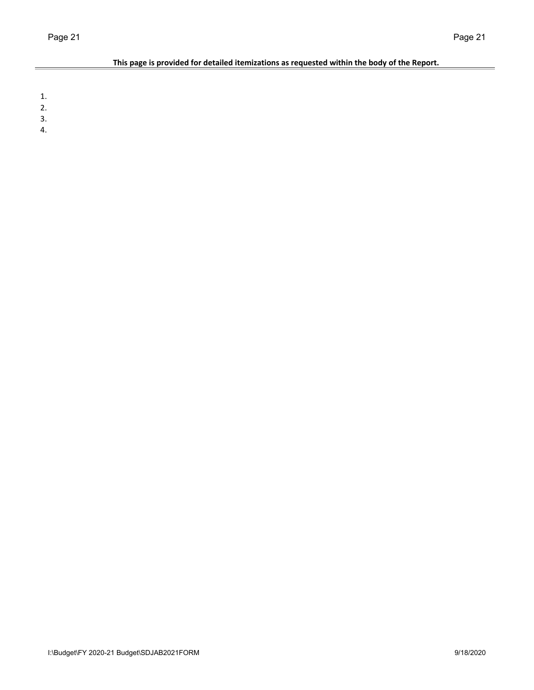# **This page is provided for detailed itemizations as requested within the body of the Report.**

1.

- 2.
- 3.
- 4.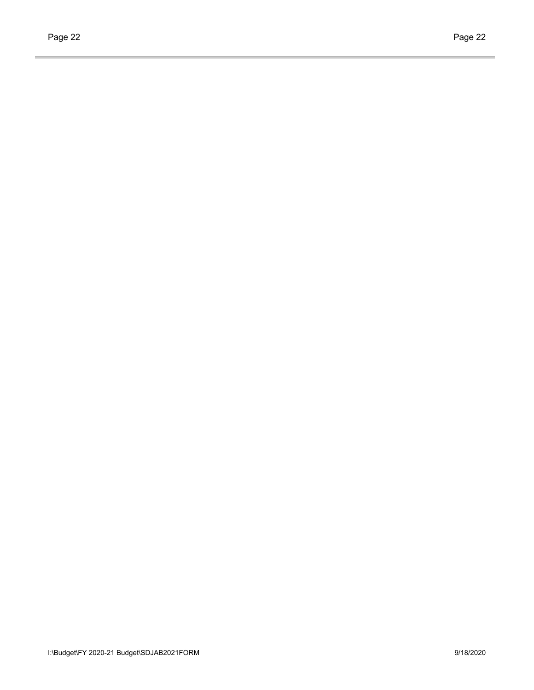$\overline{\phantom{0}}$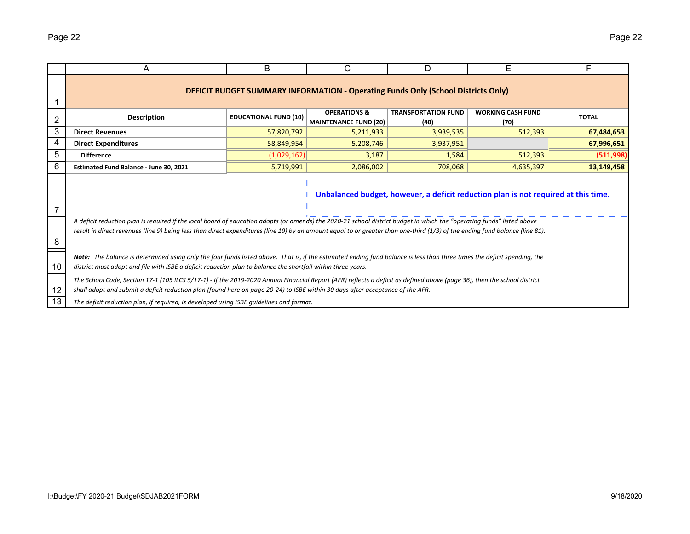|    | A                                                                                                                                                                                                                                                                                                                                                      | B                            | C                                                | D                                  | E.                               |              |  |  |  |  |  |  |  |
|----|--------------------------------------------------------------------------------------------------------------------------------------------------------------------------------------------------------------------------------------------------------------------------------------------------------------------------------------------------------|------------------------------|--------------------------------------------------|------------------------------------|----------------------------------|--------------|--|--|--|--|--|--|--|
|    | <b>DEFICIT BUDGET SUMMARY INFORMATION - Operating Funds Only (School Districts Only)</b>                                                                                                                                                                                                                                                               |                              |                                                  |                                    |                                  |              |  |  |  |  |  |  |  |
| 2  | <b>Description</b>                                                                                                                                                                                                                                                                                                                                     | <b>EDUCATIONAL FUND (10)</b> | <b>OPERATIONS &amp;</b><br>MAINTENANCE FUND (20) | <b>TRANSPORTATION FUND</b><br>(40) | <b>WORKING CASH FUND</b><br>(70) | <b>TOTAL</b> |  |  |  |  |  |  |  |
| 3  | <b>Direct Revenues</b>                                                                                                                                                                                                                                                                                                                                 | 57,820,792                   | 5,211,933                                        | 3,939,535                          | 512,393                          | 67,484,653   |  |  |  |  |  |  |  |
| 4  | <b>Direct Expenditures</b>                                                                                                                                                                                                                                                                                                                             | 58,849,954                   | 5,208,746                                        | 3,937,951                          |                                  | 67,996,651   |  |  |  |  |  |  |  |
| 5  | <b>Difference</b>                                                                                                                                                                                                                                                                                                                                      | (1,029,162)                  | 3,187                                            | 1,584                              | 512,393                          | (511,998)    |  |  |  |  |  |  |  |
| 6  | Estimated Fund Balance - June 30, 2021                                                                                                                                                                                                                                                                                                                 | 5,719,991                    | 2,086,002                                        | 708,068                            | 4,635,397                        | 13,149,458   |  |  |  |  |  |  |  |
| 7  | Unbalanced budget, however, a deficit reduction plan is not required at this time.                                                                                                                                                                                                                                                                     |                              |                                                  |                                    |                                  |              |  |  |  |  |  |  |  |
| 8  | A deficit reduction plan is required if the local board of education adopts (or amends) the 2020-21 school district budget in which the "operating funds" listed above<br>result in direct revenues (line 9) being less than direct expenditures (line 19) by an amount equal to or greater than one-third (1/3) of the ending fund balance (line 81). |                              |                                                  |                                    |                                  |              |  |  |  |  |  |  |  |
| 10 | Note: The balance is determined using only the four funds listed above. That is, if the estimated ending fund balance is less than three times the deficit spending, the<br>district must adopt and file with ISBE a deficit reduction plan to balance the shortfall within three years.                                                               |                              |                                                  |                                    |                                  |              |  |  |  |  |  |  |  |
| 12 | The School Code, Section 17-1 (105 ILCS 5/17-1) - If the 2019-2020 Annual Financial Report (AFR) reflects a deficit as defined above (page 36), then the school district<br>shall adopt and submit a deficit reduction plan (found here on page 20-24) to ISBE within 30 days after acceptance of the AFR.                                             |                              |                                                  |                                    |                                  |              |  |  |  |  |  |  |  |
| 13 | The deficit reduction plan, if required, is developed using ISBE quidelines and format.                                                                                                                                                                                                                                                                |                              |                                                  |                                    |                                  |              |  |  |  |  |  |  |  |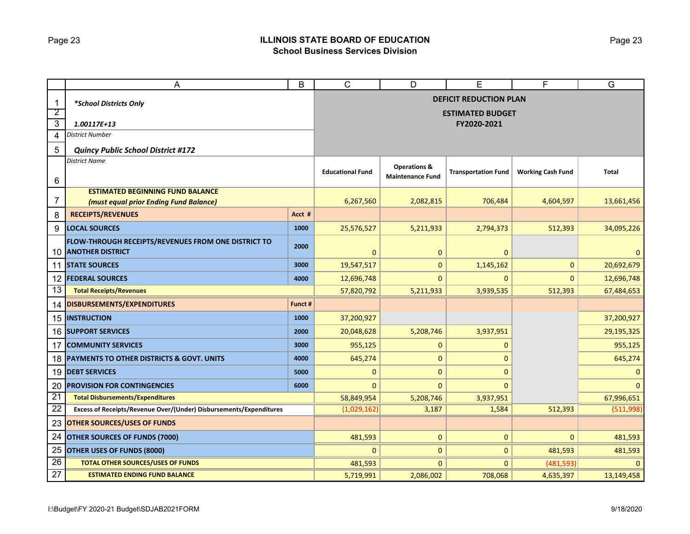# Page 23 **ILLINOIS STATE BOARD OF EDUCATION School Business Services Division**

|                 | Α                                                                          | B                       | $\mathsf{C}$            | D                          | Е                             | F            | G            |  |  |  |
|-----------------|----------------------------------------------------------------------------|-------------------------|-------------------------|----------------------------|-------------------------------|--------------|--------------|--|--|--|
| $\mathbf 1$     | *School Districts Only                                                     |                         |                         |                            | <b>DEFICIT REDUCTION PLAN</b> |              |              |  |  |  |
| 2               |                                                                            |                         | <b>ESTIMATED BUDGET</b> |                            |                               |              |              |  |  |  |
| $\overline{3}$  | 1.00117E+13                                                                |                         |                         |                            | FY2020-2021                   |              |              |  |  |  |
| $\overline{4}$  | <b>District Number</b>                                                     |                         |                         |                            |                               |              |              |  |  |  |
| 5               | <b>Quincy Public School District #172</b>                                  |                         |                         |                            |                               |              |              |  |  |  |
|                 | <b>District Name</b>                                                       |                         |                         | <b>Operations &amp;</b>    |                               |              |              |  |  |  |
| 6               |                                                                            | <b>Educational Fund</b> | <b>Maintenance Fund</b> | <b>Transportation Fund</b> | <b>Working Cash Fund</b>      | <b>Total</b> |              |  |  |  |
|                 | <b>ESTIMATED BEGINNING FUND BALANCE</b>                                    |                         |                         |                            |                               |              |              |  |  |  |
| 7               | (must equal prior Ending Fund Balance)                                     |                         | 6,267,560               | 2,082,815                  | 706,484                       | 4,604,597    | 13,661,456   |  |  |  |
| 8               | <b>RECEIPTS/REVENUES</b>                                                   | Acct #                  |                         |                            |                               |              |              |  |  |  |
| 9               | <b>LOCAL SOURCES</b>                                                       | 1000                    | 25,576,527              | 5,211,933                  | 2,794,373                     | 512,393      | 34,095,226   |  |  |  |
|                 | FLOW-THROUGH RECEIPTS/REVENUES FROM ONE DISTRICT TO<br>10 ANOTHER DISTRICT | 2000                    | 0                       | 0                          | 0                             |              | $\mathbf{0}$ |  |  |  |
| 11              | <b>STATE SOURCES</b>                                                       | 3000                    | 19,547,517              | $\overline{0}$             | 1,145,162                     | $\mathbf{0}$ | 20,692,679   |  |  |  |
| 12              | <b>FEDERAL SOURCES</b>                                                     | 4000                    | 12,696,748              | $\Omega$                   | $\Omega$                      | $\mathbf{0}$ | 12,696,748   |  |  |  |
| 13              | <b>Total Receipts/Revenues</b>                                             |                         | 57,820,792              | 5,211,933                  | 3,939,535                     | 512,393      | 67,484,653   |  |  |  |
| 14              | DISBURSEMENTS/EXPENDITURES                                                 | Funct #                 |                         |                            |                               |              |              |  |  |  |
|                 | 15 INSTRUCTION                                                             | 1000                    | 37,200,927              |                            |                               |              | 37,200,927   |  |  |  |
|                 | <b>16 ISUPPORT SERVICES</b>                                                | 2000                    | 20,048,628              | 5,208,746                  | 3,937,951                     |              | 29,195,325   |  |  |  |
| 17              | <b>COMMUNITY SERVICES</b>                                                  | 3000                    | 955,125                 | 0                          | 0                             |              | 955,125      |  |  |  |
|                 | 18 PAYMENTS TO OTHER DISTRICTS & GOVT. UNITS                               | 4000                    | 645,274                 | 0                          | $\overline{0}$                |              | 645,274      |  |  |  |
| 19              | <b>DEBT SERVICES</b>                                                       | 5000                    | 0                       | $\overline{0}$             | $\Omega$                      |              | 0            |  |  |  |
| 20              | <b>PROVISION FOR CONTINGENCIES</b>                                         | 6000                    | $\Omega$                | $\Omega$                   | $\Omega$                      |              | $\Omega$     |  |  |  |
| $\overline{21}$ | <b>Total Disbursements/Expenditures</b>                                    |                         | 58,849,954              | 5,208,746                  | 3,937,951                     |              | 67,996,651   |  |  |  |
| $\overline{22}$ | Excess of Receipts/Revenue Over/(Under) Disbursements/Expenditures         |                         | (1,029,162)             | 3,187                      | 1,584                         | 512,393      | (511,998)    |  |  |  |
| 23              | <b>OTHER SOURCES/USES OF FUNDS</b>                                         |                         |                         |                            |                               |              |              |  |  |  |
| 24              | <b>OTHER SOURCES OF FUNDS (7000)</b>                                       | 481,593                 | $\mathbf{0}$            | 0                          | $\Omega$                      | 481,593      |              |  |  |  |
| 25              | OTHER USES OF FUNDS (8000)                                                 |                         | 0                       | 0                          | 0                             | 481,593      | 481,593      |  |  |  |
| 26              | <b>TOTAL OTHER SOURCES/USES OF FUNDS</b>                                   |                         | 481,593                 | $\mathbf{0}$               | $\mathbf{0}$                  | (481, 593)   | $\Omega$     |  |  |  |
| $\overline{27}$ | <b>ESTIMATED ENDING FUND BALANCE</b>                                       |                         | 5,719,991               | 2,086,002                  | 708,068                       | 4,635,397    | 13,149,458   |  |  |  |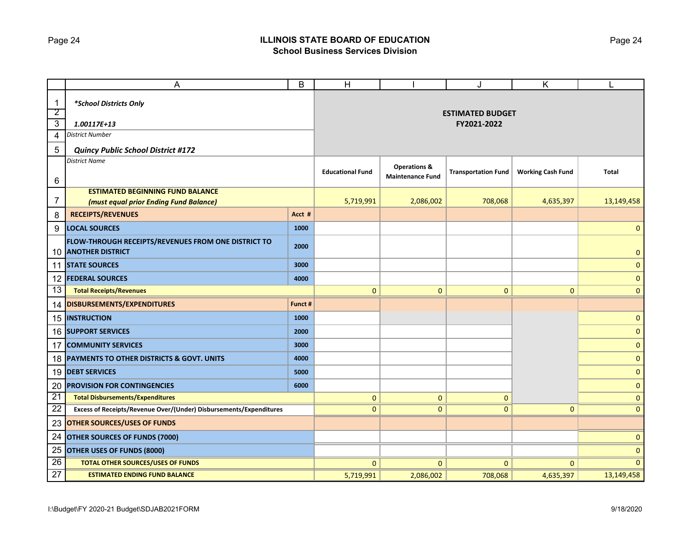# Page 24 **ILLINOIS STATE BOARD OF EDUCATION School Business Services Division**

|                  | A                                                                                 | B       | Н                       |                                                    | J                          | K                        | L            |  |  |
|------------------|-----------------------------------------------------------------------------------|---------|-------------------------|----------------------------------------------------|----------------------------|--------------------------|--------------|--|--|
| $\mathbf 1$<br>2 | *School Districts Only                                                            |         | <b>ESTIMATED BUDGET</b> |                                                    |                            |                          |              |  |  |
| $\overline{3}$   | 1.00117E+13                                                                       |         |                         | FY2021-2022                                        |                            |                          |              |  |  |
| $\overline{4}$   | <b>District Number</b>                                                            |         |                         |                                                    |                            |                          |              |  |  |
| 5                | <b>Quincy Public School District #172</b>                                         |         |                         |                                                    |                            |                          |              |  |  |
| 6                | <b>District Name</b>                                                              |         | <b>Educational Fund</b> | <b>Operations &amp;</b><br><b>Maintenance Fund</b> | <b>Transportation Fund</b> | <b>Working Cash Fund</b> | <b>Total</b> |  |  |
|                  | <b>ESTIMATED BEGINNING FUND BALANCE</b>                                           |         |                         |                                                    |                            |                          |              |  |  |
| 7                | (must equal prior Ending Fund Balance)                                            |         | 5,719,991               | 2,086,002                                          | 708,068                    | 4,635,397                | 13,149,458   |  |  |
| 8                | <b>RECEIPTS/REVENUES</b>                                                          | Acct #  |                         |                                                    |                            |                          |              |  |  |
| 9                | <b>LOCAL SOURCES</b>                                                              | 1000    |                         |                                                    |                            |                          | 0            |  |  |
|                  | FLOW-THROUGH RECEIPTS/REVENUES FROM ONE DISTRICT TO<br><b>10 ANOTHER DISTRICT</b> | 2000    |                         |                                                    |                            |                          | $\mathbf{0}$ |  |  |
|                  | <b>11 STATE SOURCES</b>                                                           | 3000    |                         |                                                    |                            |                          | 0            |  |  |
| 12               | <b>FEDERAL SOURCES</b>                                                            | 4000    |                         |                                                    |                            |                          | 0            |  |  |
| 13               | <b>Total Receipts/Revenues</b>                                                    | 0       | $\overline{0}$          | 0                                                  | $\mathbf{0}$               | $\mathbf 0$              |              |  |  |
|                  | 14 DISBURSEMENTS/EXPENDITURES                                                     | Funct # |                         |                                                    |                            |                          |              |  |  |
|                  | <b>15 INSTRUCTION</b>                                                             | 1000    |                         |                                                    |                            |                          | $\mathbf{0}$ |  |  |
|                  | <b>16 SUPPORT SERVICES</b>                                                        | 2000    |                         |                                                    |                            |                          | $\mathbf 0$  |  |  |
| 17               | <b>COMMUNITY SERVICES</b>                                                         | 3000    |                         |                                                    |                            |                          | 0            |  |  |
| 18               | PAYMENTS TO OTHER DISTRICTS & GOVT. UNITS                                         | 4000    |                         |                                                    |                            |                          | 0            |  |  |
| 19               | <b>DEBT SERVICES</b>                                                              | 5000    |                         |                                                    |                            |                          | $\mathbf 0$  |  |  |
| 20               | <b>PROVISION FOR CONTINGENCIES</b>                                                | 6000    |                         |                                                    |                            |                          | 0            |  |  |
| $\overline{21}$  | <b>Total Disbursements/Expenditures</b>                                           |         | $\mathbf{0}$            | $\mathbf{0}$                                       | $\mathbf{0}$               |                          | $\mathbf{0}$ |  |  |
| 22               | Excess of Receipts/Revenue Over/(Under) Disbursements/Expenditures                |         | $\mathbf{0}$            | $\mathbf{0}$                                       | $\mathbf{0}$               | $\mathbf{0}$             | 0            |  |  |
| 23               | <b>OTHER SOURCES/USES OF FUNDS</b>                                                |         |                         |                                                    |                            |                          |              |  |  |
| 24               | <b>OTHER SOURCES OF FUNDS (7000)</b>                                              |         |                         |                                                    |                            | $\mathbf 0$              |              |  |  |
| 25               | OTHER USES OF FUNDS (8000)                                                        |         |                         |                                                    |                            |                          | $\mathbf 0$  |  |  |
| 26               | <b>TOTAL OTHER SOURCES/USES OF FUNDS</b>                                          |         | $\mathbf{0}$            | $\mathbf{0}$                                       | $\mathbf{0}$               | $\Omega$                 | $\mathbf{0}$ |  |  |
| $\overline{27}$  | <b>ESTIMATED ENDING FUND BALANCE</b>                                              |         | 5,719,991               | 2,086,002                                          | 708,068                    | 4,635,397                | 13,149,458   |  |  |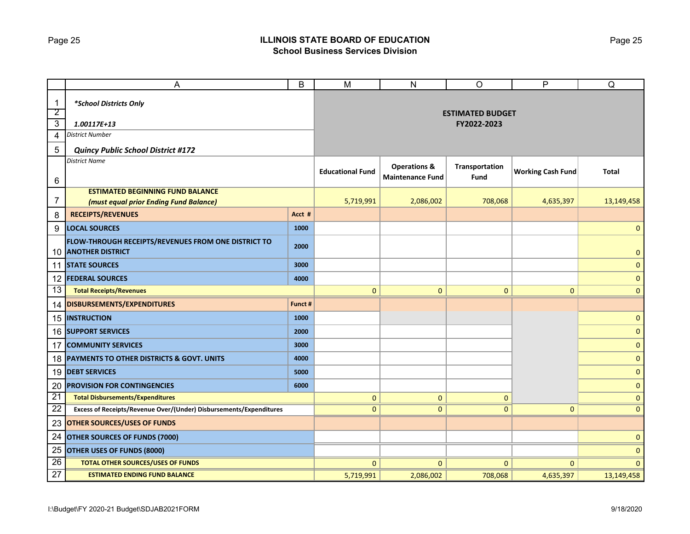# Page 25 **ILLINOIS STATE BOARD OF EDUCATION School Business Services Division**

|                 | A                                                                                 | B            | M                       | $\mathsf{N}$                                       | O                      | $\mathsf{P}$             | Q            |  |  |
|-----------------|-----------------------------------------------------------------------------------|--------------|-------------------------|----------------------------------------------------|------------------------|--------------------------|--------------|--|--|
| $\mathbf 1$     | *School Districts Only                                                            |              |                         |                                                    |                        |                          |              |  |  |
| $\overline{2}$  |                                                                                   |              | <b>ESTIMATED BUDGET</b> |                                                    |                        |                          |              |  |  |
| $\overline{3}$  | 1.00117E+13                                                                       |              |                         | FY2022-2023                                        |                        |                          |              |  |  |
| 4               | District Number                                                                   |              |                         |                                                    |                        |                          |              |  |  |
| 5               | <b>Quincy Public School District #172</b>                                         |              |                         |                                                    |                        |                          |              |  |  |
| 6               | <b>District Name</b>                                                              |              | <b>Educational Fund</b> | <b>Operations &amp;</b><br><b>Maintenance Fund</b> | Transportation<br>Fund | <b>Working Cash Fund</b> | Total        |  |  |
|                 | <b>ESTIMATED BEGINNING FUND BALANCE</b>                                           |              |                         |                                                    |                        |                          |              |  |  |
| 7               | (must equal prior Ending Fund Balance)                                            |              | 5,719,991               | 2,086,002                                          | 708,068                | 4,635,397                | 13,149,458   |  |  |
| 8               | <b>RECEIPTS/REVENUES</b>                                                          | Acct #       |                         |                                                    |                        |                          |              |  |  |
| 9               | <b>LOCAL SOURCES</b>                                                              | 1000         |                         |                                                    |                        |                          | 0            |  |  |
|                 | FLOW-THROUGH RECEIPTS/REVENUES FROM ONE DISTRICT TO<br><b>10 ANOTHER DISTRICT</b> | 2000         |                         |                                                    |                        |                          | $\mathbf 0$  |  |  |
|                 | <b>11 STATE SOURCES</b>                                                           | 3000         |                         |                                                    |                        |                          | 0            |  |  |
|                 | 12 <b>FEDERAL SOURCES</b>                                                         | 4000         |                         |                                                    |                        |                          | 0            |  |  |
| 13              | <b>Total Receipts/Revenues</b>                                                    | $\mathbf{0}$ | $\mathbf{0}$            | 0                                                  | $\mathbf{0}$           | $\mathbf 0$              |              |  |  |
|                 | 14 DISBURSEMENTS/EXPENDITURES                                                     | Funct #      |                         |                                                    |                        |                          |              |  |  |
|                 | 15 INSTRUCTION                                                                    | 1000         |                         |                                                    |                        |                          | 0            |  |  |
|                 | <b>16 SUPPORT SERVICES</b>                                                        | 2000         |                         |                                                    |                        |                          | $\mathbf 0$  |  |  |
| 17              | <b>COMMUNITY SERVICES</b>                                                         | 3000         |                         |                                                    |                        |                          | 0            |  |  |
|                 | 18 PAYMENTS TO OTHER DISTRICTS & GOVT. UNITS                                      | 4000         |                         |                                                    |                        |                          | 0            |  |  |
|                 | 19 DEBT SERVICES                                                                  | 5000         |                         |                                                    |                        |                          | 0            |  |  |
| 20              | <b>PROVISION FOR CONTINGENCIES</b>                                                | 6000         |                         |                                                    |                        |                          | 0            |  |  |
| $\overline{21}$ | <b>Total Disbursements/Expenditures</b>                                           |              | $\mathbf{0}$            | $\mathbf{0}$                                       | $\mathbf{0}$           |                          | $\mathbf{0}$ |  |  |
| 22              | Excess of Receipts/Revenue Over/(Under) Disbursements/Expenditures                |              | $\mathbf{0}$            | $\mathbf{0}$                                       | $\mathbf{0}$           | $\mathbf{0}$             | 0            |  |  |
| 23              | <b>OTHER SOURCES/USES OF FUNDS</b>                                                |              |                         |                                                    |                        |                          |              |  |  |
| 24              | <b>OTHER SOURCES OF FUNDS (7000)</b>                                              |              |                         |                                                    |                        | $\mathbf 0$              |              |  |  |
| 25              | OTHER USES OF FUNDS (8000)                                                        |              |                         |                                                    |                        |                          | $\mathbf 0$  |  |  |
| $\overline{26}$ | <b>TOTAL OTHER SOURCES/USES OF FUNDS</b>                                          |              | $\mathbf{0}$            | $\mathbf{0}$                                       | $\mathbf{0}$           | $\Omega$                 | $\mathbf{0}$ |  |  |
| $\overline{27}$ | <b>ESTIMATED ENDING FUND BALANCE</b>                                              |              | 5,719,991               | 2,086,002                                          | 708,068                | 4,635,397                | 13,149,458   |  |  |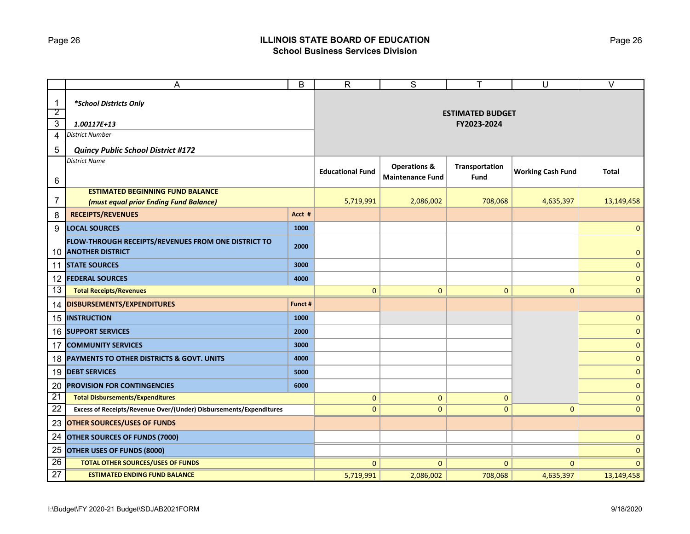# Page 26 **ILLINOIS STATE BOARD OF EDUCATION School Business Services Division**

|                               | A                                                                              | B            | $\mathsf{R}$            | S                                                  | т                      | U                        | $\vee$       |  |  |
|-------------------------------|--------------------------------------------------------------------------------|--------------|-------------------------|----------------------------------------------------|------------------------|--------------------------|--------------|--|--|
| $\mathbf 1$<br>$\overline{2}$ | *School Districts Only                                                         |              | <b>ESTIMATED BUDGET</b> |                                                    |                        |                          |              |  |  |
| $\overline{3}$                | 1.00117E+13                                                                    |              |                         | FY2023-2024                                        |                        |                          |              |  |  |
| 4                             | District Number                                                                |              |                         |                                                    |                        |                          |              |  |  |
| 5                             | <b>Quincy Public School District #172</b>                                      |              |                         |                                                    |                        |                          |              |  |  |
| 6                             | <b>District Name</b>                                                           |              | <b>Educational Fund</b> | <b>Operations &amp;</b><br><b>Maintenance Fund</b> | Transportation<br>Fund | <b>Working Cash Fund</b> | Total        |  |  |
|                               | <b>ESTIMATED BEGINNING FUND BALANCE</b>                                        |              |                         |                                                    |                        |                          |              |  |  |
| 7                             | (must equal prior Ending Fund Balance)                                         |              | 5,719,991               | 2,086,002                                          | 708,068                | 4,635,397                | 13,149,458   |  |  |
| 8                             | <b>RECEIPTS/REVENUES</b>                                                       | Acct #       |                         |                                                    |                        |                          |              |  |  |
| 9                             | <b>LOCAL SOURCES</b>                                                           | 1000         |                         |                                                    |                        |                          | 0            |  |  |
| 10                            | FLOW-THROUGH RECEIPTS/REVENUES FROM ONE DISTRICT TO<br><b>ANOTHER DISTRICT</b> | 2000         |                         |                                                    |                        |                          | $\mathbf 0$  |  |  |
| 11                            | <b>STATE SOURCES</b>                                                           | 3000         |                         |                                                    |                        |                          | 0            |  |  |
| 12                            | <b>FEDERAL SOURCES</b>                                                         | 4000         |                         |                                                    |                        |                          | 0            |  |  |
| $\overline{13}$               | <b>Total Receipts/Revenues</b>                                                 | $\mathbf{0}$ | $\mathbf{0}$            | $\mathbf{0}$                                       | $\overline{0}$         | $\mathbf 0$              |              |  |  |
| 14                            | DISBURSEMENTS/EXPENDITURES                                                     | Funct #      |                         |                                                    |                        |                          |              |  |  |
| 15                            | <b>INSTRUCTION</b>                                                             | 1000         |                         |                                                    |                        |                          | 0            |  |  |
| 16                            | <b>SUPPORT SERVICES</b>                                                        | 2000         |                         |                                                    |                        |                          | $\mathbf 0$  |  |  |
| 17                            | <b>COMMUNITY SERVICES</b>                                                      | 3000         |                         |                                                    |                        |                          | 0            |  |  |
| 18                            | PAYMENTS TO OTHER DISTRICTS & GOVT. UNITS                                      | 4000         |                         |                                                    |                        |                          | 0            |  |  |
| 19                            | <b>DEBT SERVICES</b>                                                           | 5000         |                         |                                                    |                        |                          | 0            |  |  |
| 20                            | <b>PROVISION FOR CONTINGENCIES</b>                                             | 6000         |                         |                                                    |                        |                          | $\mathbf 0$  |  |  |
| 21                            | <b>Total Disbursements/Expenditures</b>                                        | 0            | $\mathbf{0}$            | 0                                                  |                        | $\mathbf{0}$             |              |  |  |
| 22                            | Excess of Receipts/Revenue Over/(Under) Disbursements/Expenditures             |              | $\mathbf{0}$            | $\mathbf{0}$                                       | $\mathbf{0}$           | $\mathbf{0}$             | 0            |  |  |
| 23                            | <b>OTHER SOURCES/USES OF FUNDS</b>                                             |              |                         |                                                    |                        |                          |              |  |  |
| 24                            | OTHER SOURCES OF FUNDS (7000)                                                  |              |                         |                                                    |                        |                          | $\mathbf{0}$ |  |  |
| 25                            | OTHER USES OF FUNDS (8000)                                                     |              |                         |                                                    |                        |                          | $\mathbf 0$  |  |  |
| $\overline{26}$               | <b>TOTAL OTHER SOURCES/USES OF FUNDS</b>                                       |              | $\mathbf{0}$            | $\mathbf{0}$                                       | $\mathbf{0}$           | $\Omega$                 | $\mathbf{0}$ |  |  |
| $\overline{27}$               | <b>ESTIMATED ENDING FUND BALANCE</b>                                           |              | 5,719,991               | 2,086,002                                          | 708,068                | 4,635,397                | 13,149,458   |  |  |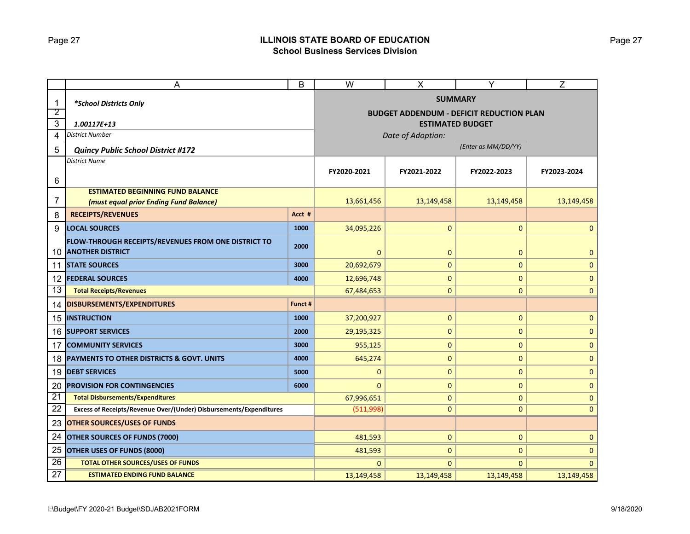# Page 27 **ILLINOIS STATE BOARD OF EDUCATION School Business Services Division**

|                 | Α                                                                  | B          | W                       | X                                               | Y                   | Z            |  |  |  |  |
|-----------------|--------------------------------------------------------------------|------------|-------------------------|-------------------------------------------------|---------------------|--------------|--|--|--|--|
| 1               | *School Districts Only                                             |            |                         | <b>SUMMARY</b>                                  |                     |              |  |  |  |  |
| 2               |                                                                    |            |                         | <b>BUDGET ADDENDUM - DEFICIT REDUCTION PLAN</b> |                     |              |  |  |  |  |
| $\overline{3}$  | 1.00117E+13                                                        |            | <b>ESTIMATED BUDGET</b> |                                                 |                     |              |  |  |  |  |
| 4               | <b>District Number</b>                                             |            | Date of Adoption:       |                                                 |                     |              |  |  |  |  |
| 5               | <b>Quincy Public School District #172</b>                          |            |                         |                                                 | (Enter as MM/DD/YY) |              |  |  |  |  |
|                 | <b>District Name</b>                                               |            |                         |                                                 |                     |              |  |  |  |  |
| 6               |                                                                    |            | FY2020-2021             | FY2021-2022                                     | FY2022-2023         | FY2023-2024  |  |  |  |  |
|                 | <b>ESTIMATED BEGINNING FUND BALANCE</b>                            |            |                         |                                                 |                     |              |  |  |  |  |
| 7               | (must equal prior Ending Fund Balance)                             |            | 13.661.456              | 13,149,458                                      | 13,149,458          | 13,149,458   |  |  |  |  |
| 8               | <b>RECEIPTS/REVENUES</b>                                           | Acct #     |                         |                                                 |                     |              |  |  |  |  |
| 9               | <b>LOCAL SOURCES</b>                                               | 1000       | 34,095,226              | $\mathbf 0$                                     | $\pmb{0}$           | $\Omega$     |  |  |  |  |
|                 | FLOW-THROUGH RECEIPTS/REVENUES FROM ONE DISTRICT TO                | 2000       |                         |                                                 |                     |              |  |  |  |  |
|                 | <b>10 ANOTHER DISTRICT</b>                                         |            | $\mathbf{0}$            | $\mathbf 0$                                     | $\pmb{0}$           | 0            |  |  |  |  |
| 11              | <b>STATE SOURCES</b>                                               | 20,692,679 | 0                       | $\mathbf 0$                                     | $\mathbf 0$         |              |  |  |  |  |
| 12              | <b>FEDERAL SOURCES</b>                                             | 4000       | 12,696,748              | 0                                               | $\pmb{0}$           | $\mathbf{0}$ |  |  |  |  |
| $\overline{13}$ | <b>Total Receipts/Revenues</b>                                     | 67,484,653 | $\pmb{0}$               | $\mathbf 0$                                     | $\mathbf{0}$        |              |  |  |  |  |
| 14              | <b>DISBURSEMENTS/EXPENDITURES</b>                                  | Funct #    |                         |                                                 |                     |              |  |  |  |  |
|                 | <b>15 INSTRUCTION</b>                                              | 1000       | 37,200,927              | $\mathbf{0}$                                    | $\mathbf{0}$        | $\mathbf 0$  |  |  |  |  |
|                 | 16 SUPPORT SERVICES                                                | 2000       | 29,195,325              | 0                                               | $\pmb{0}$           | $\mathbf 0$  |  |  |  |  |
| 17              | <b>COMMUNITY SERVICES</b>                                          | 3000       | 955,125                 | $\pmb{0}$                                       | $\mathbf 0$         | $\mathbf 0$  |  |  |  |  |
| 18.             | <b>PAYMENTS TO OTHER DISTRICTS &amp; GOVT. UNITS</b>               | 4000       | 645,274                 | $\pmb{0}$                                       | $\pmb{0}$           | $\mathbf 0$  |  |  |  |  |
| 19              | <b>DEBT SERVICES</b>                                               | 5000       | $\mathbf 0$             | 0                                               | $\mathbf 0$         | $\mathbf 0$  |  |  |  |  |
| 20              | <b>PROVISION FOR CONTINGENCIES</b>                                 | 6000       | $\mathbf{0}$            | 0                                               | $\pmb{0}$           | $\mathbf 0$  |  |  |  |  |
| $\overline{21}$ | <b>Total Disbursements/Expenditures</b>                            |            | 67,996,651              | $\mathbf{0}$                                    | $\mathbf 0$         | $\mathbf{0}$ |  |  |  |  |
| $\overline{22}$ | Excess of Receipts/Revenue Over/(Under) Disbursements/Expenditures | (511,998)  | $\mathbf{0}$            | $\mathbf{0}$                                    | $\mathbf{0}$        |              |  |  |  |  |
| 23              | <b>OTHER SOURCES/USES OF FUNDS</b>                                 |            |                         |                                                 |                     |              |  |  |  |  |
| 24              | <b>OTHER SOURCES OF FUNDS (7000)</b>                               | 481,593    | 0                       | $\mathbf 0$                                     | $\mathbf 0$         |              |  |  |  |  |
| 25              | OTHER USES OF FUNDS (8000)                                         |            | 481,593                 | 0                                               | 0                   | $\mathbf{0}$ |  |  |  |  |
| $\overline{26}$ | <b>TOTAL OTHER SOURCES/USES OF FUNDS</b>                           |            | $\Omega$                | $\overline{0}$                                  | $\mathbf{0}$        | $\Omega$     |  |  |  |  |
| $\overline{27}$ | <b>ESTIMATED ENDING FUND BALANCE</b>                               |            | 13,149,458              | 13,149,458                                      | 13,149,458          | 13,149,458   |  |  |  |  |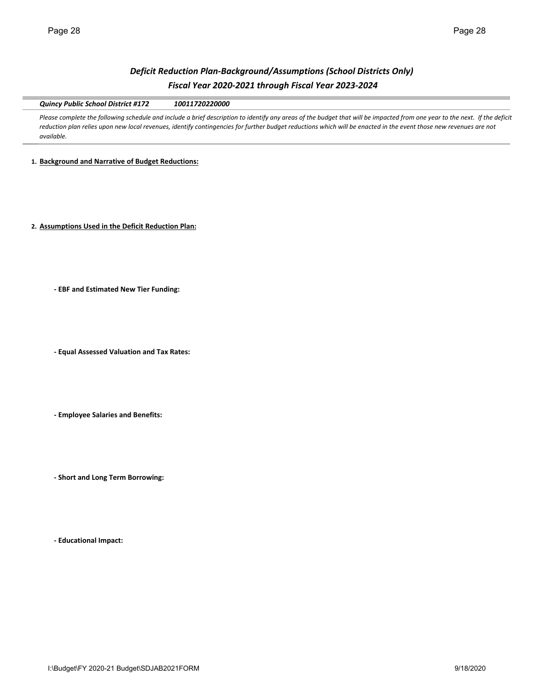# *Deficit Reduction Plan‐Background/Assumptions (School Districts Only) Fiscal Year 2020‐2021 through Fiscal Year 2023‐2024*

*Quincy Public School District #172 10011720220000*

Please complete the following schedule and include a brief description to identify any areas of the budget that will be impacted from one year to the next. If the deficit *reduction plan relies upon new local revenues, identify contingencies for further budget reductions which will be enacted in the event those new revenues are not available.* 

**1. Background and Narrative of Budget Reductions:**

**2. Assumptions Used in the Deficit Reduction Plan:**

**‐ EBF and Estimated New Tier Funding:**

**‐ Equal Assessed Valuation and Tax Rates:**

**‐ Employee Salaries and Benefits:**

**‐ Short and Long Term Borrowing:**

**‐ Educational Impact:**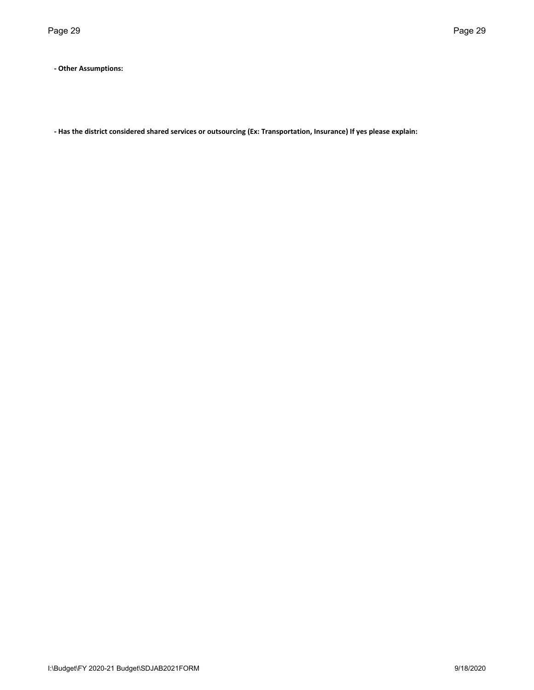**‐ Other Assumptions:**

**‐ Has the district considered shared services or outsourcing (Ex: Transportation, Insurance) If yes please explain:**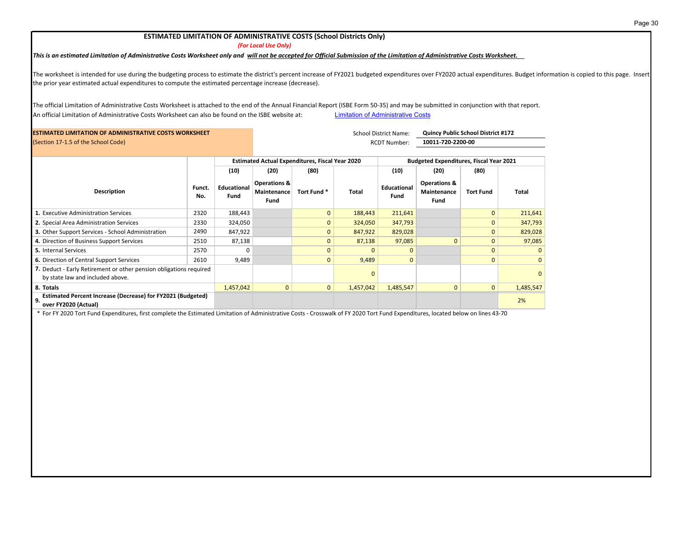## **ESTIMATED LIMITATION OF ADMINISTRATIVE COSTS (School Districts Only)**

*(For Local Use Only)*

*This is an estimated Limitation of Administrative Costs Worksheet only and will not be accepted for Official Submission of the Limitation of Administrative Costs Worksheet.* 

The worksheet is intended for use during the budgeting process to estimate the district's percent increase of FY2021 budgeted expenditures over FY2020 actual expenditures. Budget information is copied to this page. Insert the prior year estimated actual expenditures to compute the estimated percentage increase (decrease).

The official Limitation of Administrative Costs Worksheet is attached to the end of the Annual Financial Report (ISBE Form 50‐35) and may be submitted in conjunction with that report. An official Limitation of Administrative Costs Worksheet can also be found on the ISBE website at: Limitation of Administrative Costs

| <b>ESTIMATED LIMITATION OF ADMINISTRATIVE COSTS WORKSHEET</b>                                          |               |                            |                                            | <b>School District Name:</b>                           | Quincy Public School District #172 |                                   |                                                |                  |              |  |
|--------------------------------------------------------------------------------------------------------|---------------|----------------------------|--------------------------------------------|--------------------------------------------------------|------------------------------------|-----------------------------------|------------------------------------------------|------------------|--------------|--|
| (Section 17-1.5 of the School Code)                                                                    |               |                            |                                            |                                                        |                                    |                                   | 10011-720-2200-00                              |                  |              |  |
|                                                                                                        |               |                            |                                            | <b>Estimated Actual Expenditures, Fiscal Year 2020</b> |                                    |                                   | <b>Budgeted Expenditures, Fiscal Year 2021</b> |                  |              |  |
|                                                                                                        |               | (10)                       | (20)                                       | (80)                                                   |                                    | (10)                              | (20)                                           | (80)             |              |  |
| Description                                                                                            | Funct.<br>No. | <b>Educational</b><br>Fund | Operations &<br>Maintenance<br><b>Fund</b> | Tort Fund*                                             | Total                              | <b>Educational</b><br><b>Fund</b> | <b>Operations &amp;</b><br>Maintenance<br>Fund | <b>Tort Fund</b> | Total        |  |
| 1. Executive Administration Services                                                                   | 2320          | 188,443                    |                                            | $\mathbf{0}$                                           | 188,443                            | 211,641                           |                                                | $\overline{0}$   | 211,641      |  |
| 2. Special Area Administration Services                                                                | 2330          | 324,050                    |                                            | $\mathbf{0}$                                           | 324,050                            | 347,793                           |                                                | $\mathbf{0}$     | 347,793      |  |
| 3. Other Support Services - School Administration                                                      | 2490          | 847,922                    |                                            | 0                                                      | 847,922                            | 829,028                           |                                                | $\mathbf{0}$     | 829,028      |  |
| 4. Direction of Business Support Services                                                              | 2510          | 87,138                     |                                            | 0                                                      | 87,138                             | 97,085                            | $\Omega$                                       | 0                | 97,085       |  |
| 5. Internal Services                                                                                   | 2570          | <sup>0</sup>               |                                            | 0                                                      |                                    | $\Omega$                          |                                                | $\Omega$         |              |  |
| 6. Direction of Central Support Services                                                               | 2610          | 9,489                      |                                            | $\mathbf{0}$                                           | 9,489                              | $\Omega$                          |                                                | $\Omega$         | $\mathbf{0}$ |  |
| 7. Deduct - Early Retirement or other pension obligations required<br>by state law and included above. |               |                            |                                            |                                                        | $\Omega$                           |                                   |                                                |                  | $\Omega$     |  |
| 8. Totals                                                                                              |               | 1,457,042                  | $\mathbf{0}$                               | $\mathbf{0}$                                           | 1,457,042                          | 1,485,547                         | $\mathbf{0}$                                   | $\mathbf{0}$     | 1,485,547    |  |
| Estimated Percent Increase (Decrease) for FY2021 (Budgeted)<br>9.<br>over FY2020 (Actual)              |               |                            |                                            |                                                        |                                    |                                   |                                                |                  | 2%           |  |

\* For FY 2020 Tort Fund Expenditures, first complete the Estimated Limitation of Administrative Costs ‐ Crosswalk of FY 2020 Tort Fund Expenditures, located below on lines 43‐70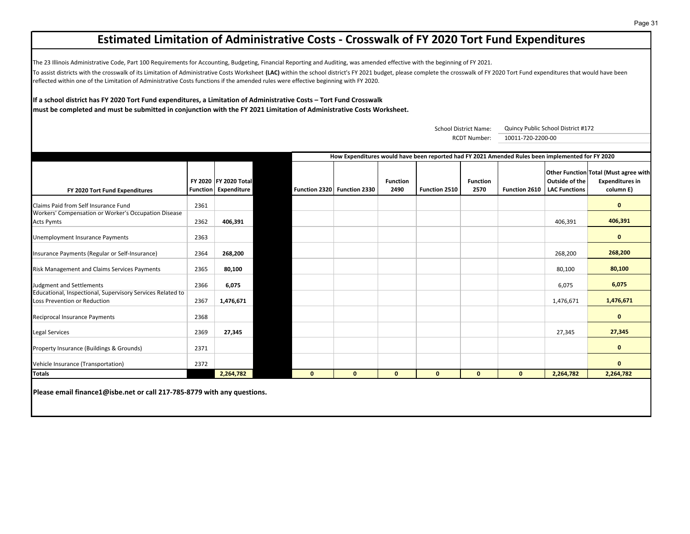# **Estimated Limitation of Administrative Costs ‐ Crosswalk of FY 2020 Tort Fund Expenditures**

The 23 Illinois Administrative Code, Part 100 Requirements for Accounting, Budgeting, Financial Reporting and Auditing, was amended effective with the beginning of FY 2021.

To assist districts with the crosswalk of its Limitation of Administrative Costs Worksheet (LAC) within the school district's FY 2021 budget, please complete the crosswalk of FY 2020 Tort Fund expenditures that would have reflected within one of the Limitation of Administrative Costs functions if the amended rules were effective beginning with FY 2020.

**If a school district has FY 2020 Tort Fund expenditures, a Limitation of Administrative Costs – Tort Fund Crosswalk must be completed and must be submitted in conjunction with the FY 2021 Limitation of Administrative Costs Worksheet.** 

> School District Name: Quincy Public School District #172

RCDT Number: 10011‐720‐2200‐00

|                                                                                            |      |                                                      | How Expenditures would have been reported had FY 2021 Amended Rules been implemented for FY 2020 |                             |                         |                      |                         |                      |                                        |                                                                              |
|--------------------------------------------------------------------------------------------|------|------------------------------------------------------|--------------------------------------------------------------------------------------------------|-----------------------------|-------------------------|----------------------|-------------------------|----------------------|----------------------------------------|------------------------------------------------------------------------------|
| FY 2020 Tort Fund Expenditures                                                             |      | FY 2020 FY 2020 Total<br><b>Function</b> Expenditure |                                                                                                  | Function 2320 Function 2330 | <b>Function</b><br>2490 | <b>Function 2510</b> | <b>Function</b><br>2570 | <b>Function 2610</b> | Outside of the<br><b>LAC Functions</b> | Other Function Total (Must agree with<br><b>Expenditures in</b><br>column E) |
| Claims Paid from Self Insurance Fund                                                       | 2361 |                                                      |                                                                                                  |                             |                         |                      |                         |                      |                                        | $\mathbf{0}$                                                                 |
| Workers' Compensation or Worker's Occupation Disease<br><b>Acts Pymts</b>                  | 2362 | 406,391                                              |                                                                                                  |                             |                         |                      |                         |                      | 406,391                                | 406,391                                                                      |
| <b>Unemployment Insurance Payments</b>                                                     | 2363 |                                                      |                                                                                                  |                             |                         |                      |                         |                      |                                        | $\mathbf{0}$                                                                 |
| Insurance Payments (Regular or Self-Insurance)                                             | 2364 | 268,200                                              |                                                                                                  |                             |                         |                      |                         |                      | 268,200                                | 268,200                                                                      |
| Risk Management and Claims Services Payments                                               | 2365 | 80,100                                               |                                                                                                  |                             |                         |                      |                         |                      | 80,100                                 | 80,100                                                                       |
| <b>Judgment and Settlements</b>                                                            | 2366 | 6,075                                                |                                                                                                  |                             |                         |                      |                         |                      | 6,075                                  | 6,075                                                                        |
| Educational, Inspectional, Supervisory Services Related to<br>Loss Prevention or Reduction | 2367 | 1,476,671                                            |                                                                                                  |                             |                         |                      |                         |                      | 1,476,671                              | 1,476,671                                                                    |
| Reciprocal Insurance Payments                                                              | 2368 |                                                      |                                                                                                  |                             |                         |                      |                         |                      |                                        | $\mathbf{0}$                                                                 |
| <b>Legal Services</b>                                                                      | 2369 | 27,345                                               |                                                                                                  |                             |                         |                      |                         |                      | 27,345                                 | 27,345                                                                       |
| Property Insurance (Buildings & Grounds)                                                   | 2371 |                                                      |                                                                                                  |                             |                         |                      |                         |                      |                                        | $\mathbf{0}$                                                                 |
| Vehicle Insurance (Transportation)                                                         | 2372 |                                                      |                                                                                                  |                             |                         |                      |                         |                      |                                        | $\mathbf{0}$                                                                 |
|                                                                                            |      | 2,264,782                                            | $\mathbf{0}$                                                                                     | $\mathbf{0}$                | $\mathbf{0}$            | $\mathbf{0}$         | $\mathbf{0}$            | $\mathbf{0}$         | 2,264,782                              | 2,264,782                                                                    |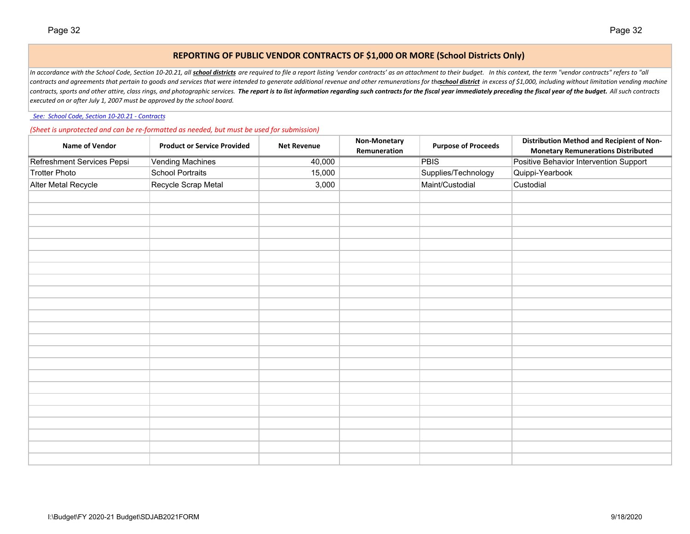# **REPORTING OF PUBLIC VENDOR CONTRACTS OF \$1,000 OR MORE (School Districts Only)**

In accordance with the School Code, Section 10-20.21, all school districts are required to file a report listing 'vendor contracts' as an attachment to their budget. In this context, the term "vendor contracts" refers to " contracts and agreements that pertain to goods and services that were intended to generate additional revenue and other remunerations for the **school district** in excess of \$1,000, including without limitation vending mach contracts, sports and other attire, class rings, and photographic services. The report is to list information regarding such contracts for the fiscal year immediately preceding the fiscal year of the budget. All such contr *executed on or after July 1, 2007 must be approved by the school board.*

### *See: School Code, Section 10‐20.21 ‐ Contracts*

### *(Sheet is unprotected and can be re‐formatted as needed, but must be used for submission)*

| <b>Name of Vendor</b>      | <b>Product or Service Provided</b> | <b>Net Revenue</b> | Non-Monetary | <b>Purpose of Proceeds</b> | Distribution Method and Recipient of Non- |
|----------------------------|------------------------------------|--------------------|--------------|----------------------------|-------------------------------------------|
|                            |                                    |                    | Remuneration |                            | <b>Monetary Remunerations Distributed</b> |
| Refreshment Services Pepsi | <b>Vending Machines</b>            | 40,000             |              | <b>PBIS</b>                | Positive Behavior Intervention Support    |
| <b>Trotter Photo</b>       | School Portraits                   | 15,000             |              | Supplies/Technology        | Quippi-Yearbook                           |
| Alter Metal Recycle        | Recycle Scrap Metal                | 3,000              |              | Maint/Custodial            | Custodial                                 |
|                            |                                    |                    |              |                            |                                           |
|                            |                                    |                    |              |                            |                                           |
|                            |                                    |                    |              |                            |                                           |
|                            |                                    |                    |              |                            |                                           |
|                            |                                    |                    |              |                            |                                           |
|                            |                                    |                    |              |                            |                                           |
|                            |                                    |                    |              |                            |                                           |
|                            |                                    |                    |              |                            |                                           |
|                            |                                    |                    |              |                            |                                           |
|                            |                                    |                    |              |                            |                                           |
|                            |                                    |                    |              |                            |                                           |
|                            |                                    |                    |              |                            |                                           |
|                            |                                    |                    |              |                            |                                           |
|                            |                                    |                    |              |                            |                                           |
|                            |                                    |                    |              |                            |                                           |
|                            |                                    |                    |              |                            |                                           |
|                            |                                    |                    |              |                            |                                           |
|                            |                                    |                    |              |                            |                                           |
|                            |                                    |                    |              |                            |                                           |
|                            |                                    |                    |              |                            |                                           |
|                            |                                    |                    |              |                            |                                           |
|                            |                                    |                    |              |                            |                                           |
|                            |                                    |                    |              |                            |                                           |